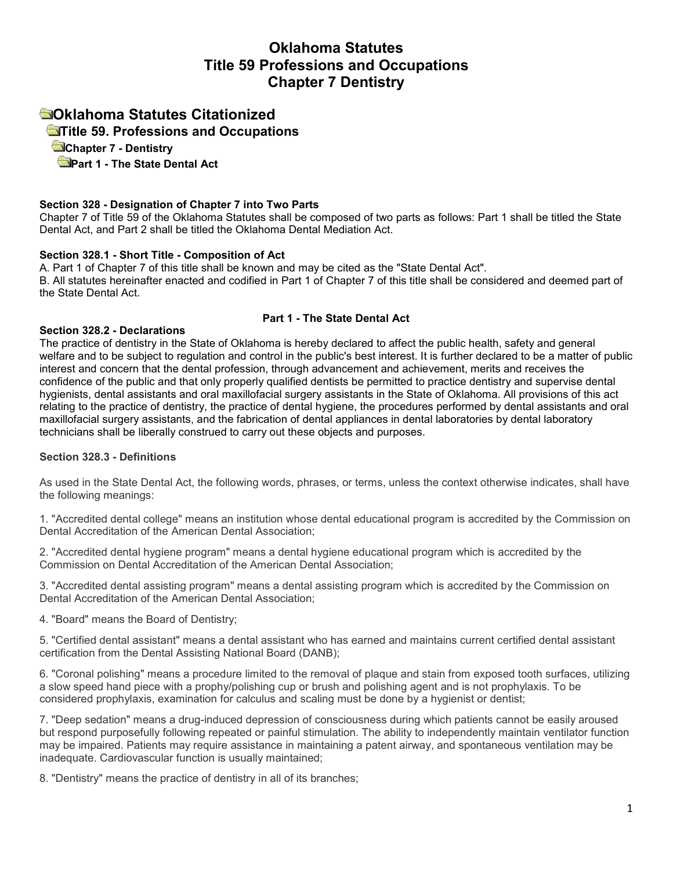# **Oklahoma Statutes Title 59 Professions and Occupations Chapter 7 Dentistry**

# **Oklahoma Statutes Citationized**

 **[T](http://www.oscn.net/applications/OCISWeb/index.asp?level=1&ftdb=STOKST59)itle 59. Professions and Occupations** 

 **Chapter 7 - Dentistry**

 **[P](http://www.oscn.net/applications/OCISWeb/index.asp?level=1&ftdb=STOKST59#Part1-TheStateDentalAct)art 1 - The State Dental Act**

## **Section 328 - Designation of Chapter 7 into Two Parts**

Chapter 7 of Title 59 of the Oklahoma Statutes shall be composed of two parts as follows: Part 1 shall be titled the State Dental Act, and Part 2 shall be titled the Oklahoma Dental Mediation Act.

## **Section 328.1 - Short Title - Composition of Act**

A. Part 1 of Chapter 7 of this title shall be known and may be cited as the "State Dental Act". B. All statutes hereinafter enacted and codified in Part 1 of Chapter 7 of this title shall be considered and deemed part of the State Dental Act.

## **Part 1 - The State Dental Act**

## **Section 328.2 - Declarations**

The practice of dentistry in the State of Oklahoma is hereby declared to affect the public health, safety and general welfare and to be subject to regulation and control in the public's best interest. It is further declared to be a matter of public interest and concern that the dental profession, through advancement and achievement, merits and receives the confidence of the public and that only properly qualified dentists be permitted to practice dentistry and supervise dental hygienists, dental assistants and oral maxillofacial surgery assistants in the State of Oklahoma. All provisions of this act relating to the practice of dentistry, the practice of dental hygiene, the procedures performed by dental assistants and oral maxillofacial surgery assistants, and the fabrication of dental appliances in dental laboratories by dental laboratory technicians shall be liberally construed to carry out these objects and purposes.

## **Section 328.3 - Definitions**

As used in the State Dental Act, the following words, phrases, or terms, unless the context otherwise indicates, shall have the following meanings:

1. "Accredited dental college" means an institution whose dental educational program is accredited by the Commission on Dental Accreditation of the American Dental Association;

2. "Accredited dental hygiene program" means a dental hygiene educational program which is accredited by the Commission on Dental Accreditation of the American Dental Association;

3. "Accredited dental assisting program" means a dental assisting program which is accredited by the Commission on Dental Accreditation of the American Dental Association;

4. "Board" means the Board of Dentistry;

5. "Certified dental assistant" means a dental assistant who has earned and maintains current certified dental assistant certification from the Dental Assisting National Board (DANB);

6. "Coronal polishing" means a procedure limited to the removal of plaque and stain from exposed tooth surfaces, utilizing a slow speed hand piece with a prophy/polishing cup or brush and polishing agent and is not prophylaxis. To be considered prophylaxis, examination for calculus and scaling must be done by a hygienist or dentist;

7. "Deep sedation" means a drug-induced depression of consciousness during which patients cannot be easily aroused but respond purposefully following repeated or painful stimulation. The ability to independently maintain ventilator function may be impaired. Patients may require assistance in maintaining a patent airway, and spontaneous ventilation may be inadequate. Cardiovascular function is usually maintained;

8. "Dentistry" means the practice of dentistry in all of its branches;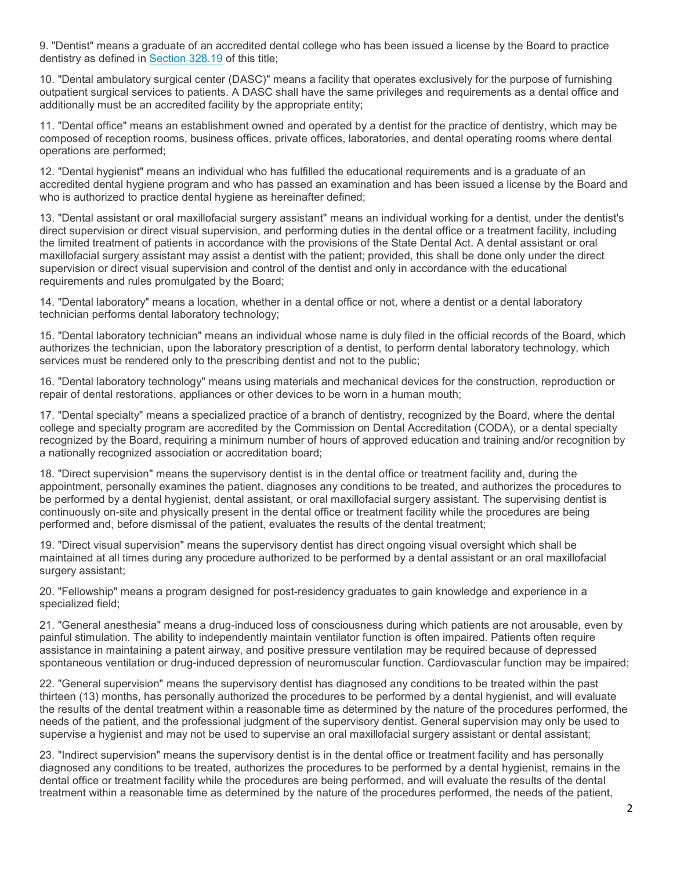9. "Dentist" means a graduate of an accredited dental college who has been issued a license by the Board to practice dentistry as defined in [Section 328.19](http://www.oscn.net/applications/oscn/DeliverDocument.asp?citeid=95481) of this title;

10. "Dental ambulatory surgical center (DASC)" means a facility that operates exclusively for the purpose of furnishing outpatient surgical services to patients. A DASC shall have the same privileges and requirements as a dental office and additionally must be an accredited facility by the appropriate entity;

11. "Dental office" means an establishment owned and operated by a dentist for the practice of dentistry, which may be composed of reception rooms, business offices, private offices, laboratories, and dental operating rooms where dental operations are performed;

12. "Dental hygienist" means an individual who has fulfilled the educational requirements and is a graduate of an accredited dental hygiene program and who has passed an examination and has been issued a license by the Board and who is authorized to practice dental hygiene as hereinafter defined;

13. "Dental assistant or oral maxillofacial surgery assistant" means an individual working for a dentist, under the dentist's direct supervision or direct visual supervision, and performing duties in the dental office or a treatment facility, including the limited treatment of patients in accordance with the provisions of the State Dental Act. A dental assistant or oral maxillofacial surgery assistant may assist a dentist with the patient; provided, this shall be done only under the direct supervision or direct visual supervision and control of the dentist and only in accordance with the educational requirements and rules promulgated by the Board;

14. "Dental laboratory" means a location, whether in a dental office or not, where a dentist or a dental laboratory technician performs dental laboratory technology;

15. "Dental laboratory technician" means an individual whose name is duly filed in the official records of the Board, which authorizes the technician, upon the laboratory prescription of a dentist, to perform dental laboratory technology, which services must be rendered only to the prescribing dentist and not to the public;

16. "Dental laboratory technology" means using materials and mechanical devices for the construction, reproduction or repair of dental restorations, appliances or other devices to be worn in a human mouth;

17. "Dental specialty" means a specialized practice of a branch of dentistry, recognized by the Board, where the dental college and specialty program are accredited by the Commission on Dental Accreditation (CODA), or a dental specialty recognized by the Board, requiring a minimum number of hours of approved education and training and/or recognition by a nationally recognized association or accreditation board;

18. "Direct supervision" means the supervisory dentist is in the dental office or treatment facility and, during the appointment, personally examines the patient, diagnoses any conditions to be treated, and authorizes the procedures to be performed by a dental hygienist, dental assistant, or oral maxillofacial surgery assistant. The supervising dentist is continuously on-site and physically present in the dental office or treatment facility while the procedures are being performed and, before dismissal of the patient, evaluates the results of the dental treatment;

19. "Direct visual supervision" means the supervisory dentist has direct ongoing visual oversight which shall be maintained at all times during any procedure authorized to be performed by a dental assistant or an oral maxillofacial surgery assistant;

20. "Fellowship" means a program designed for post-residency graduates to gain knowledge and experience in a specialized field;

21. "General anesthesia" means a drug-induced loss of consciousness during which patients are not arousable, even by painful stimulation. The ability to independently maintain ventilator function is often impaired. Patients often require assistance in maintaining a patent airway, and positive pressure ventilation may be required because of depressed spontaneous ventilation or drug-induced depression of neuromuscular function. Cardiovascular function may be impaired;

22. "General supervision" means the supervisory dentist has diagnosed any conditions to be treated within the past thirteen (13) months, has personally authorized the procedures to be performed by a dental hygienist, and will evaluate the results of the dental treatment within a reasonable time as determined by the nature of the procedures performed, the needs of the patient, and the professional judgment of the supervisory dentist. General supervision may only be used to supervise a hygienist and may not be used to supervise an oral maxillofacial surgery assistant or dental assistant;

23. "Indirect supervision" means the supervisory dentist is in the dental office or treatment facility and has personally diagnosed any conditions to be treated, authorizes the procedures to be performed by a dental hygienist, remains in the dental office or treatment facility while the procedures are being performed, and will evaluate the results of the dental treatment within a reasonable time as determined by the nature of the procedures performed, the needs of the patient,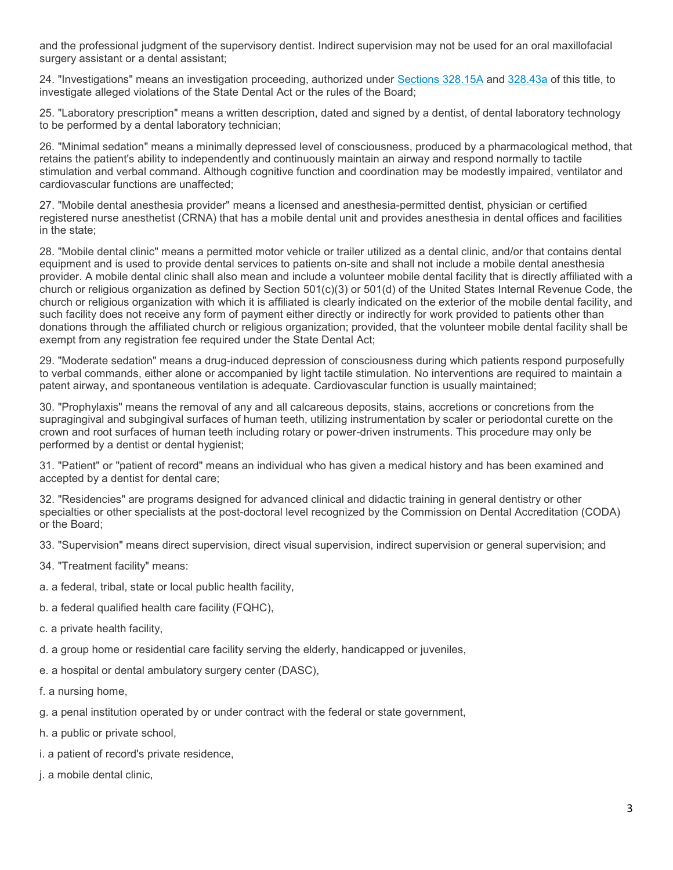and the professional judgment of the supervisory dentist. Indirect supervision may not be used for an oral maxillofacial surgery assistant or a dental assistant;

24. "Investigations" means an investigation proceeding, authorized under [Sections 328.15A](http://www.oscn.net/applications/oscn/DeliverDocument.asp?citeid=463463) and [328.43a](http://www.oscn.net/applications/oscn/DeliverDocument.asp?citeid=95508) of this title, to investigate alleged violations of the State Dental Act or the rules of the Board;

25. "Laboratory prescription" means a written description, dated and signed by a dentist, of dental laboratory technology to be performed by a dental laboratory technician;

26. "Minimal sedation" means a minimally depressed level of consciousness, produced by a pharmacological method, that retains the patient's ability to independently and continuously maintain an airway and respond normally to tactile stimulation and verbal command. Although cognitive function and coordination may be modestly impaired, ventilator and cardiovascular functions are unaffected;

27. "Mobile dental anesthesia provider" means a licensed and anesthesia-permitted dentist, physician or certified registered nurse anesthetist (CRNA) that has a mobile dental unit and provides anesthesia in dental offices and facilities in the state;

28. "Mobile dental clinic" means a permitted motor vehicle or trailer utilized as a dental clinic, and/or that contains dental equipment and is used to provide dental services to patients on-site and shall not include a mobile dental anesthesia provider. A mobile dental clinic shall also mean and include a volunteer mobile dental facility that is directly affiliated with a church or religious organization as defined by Section 501(c)(3) or 501(d) of the United States Internal Revenue Code, the church or religious organization with which it is affiliated is clearly indicated on the exterior of the mobile dental facility, and such facility does not receive any form of payment either directly or indirectly for work provided to patients other than donations through the affiliated church or religious organization; provided, that the volunteer mobile dental facility shall be exempt from any registration fee required under the State Dental Act;

29. "Moderate sedation" means a drug-induced depression of consciousness during which patients respond purposefully to verbal commands, either alone or accompanied by light tactile stimulation. No interventions are required to maintain a patent airway, and spontaneous ventilation is adequate. Cardiovascular function is usually maintained;

30. "Prophylaxis" means the removal of any and all calcareous deposits, stains, accretions or concretions from the supragingival and subgingival surfaces of human teeth, utilizing instrumentation by scaler or periodontal curette on the crown and root surfaces of human teeth including rotary or power-driven instruments. This procedure may only be performed by a dentist or dental hygienist;

31. "Patient" or "patient of record" means an individual who has given a medical history and has been examined and accepted by a dentist for dental care;

32. "Residencies" are programs designed for advanced clinical and didactic training in general dentistry or other specialties or other specialists at the post-doctoral level recognized by the Commission on Dental Accreditation (CODA) or the Board;

33. "Supervision" means direct supervision, direct visual supervision, indirect supervision or general supervision; and

- 34. "Treatment facility" means:
- a. a federal, tribal, state or local public health facility,
- b. a federal qualified health care facility (FQHC),
- c. a private health facility,
- d. a group home or residential care facility serving the elderly, handicapped or juveniles,
- e. a hospital or dental ambulatory surgery center (DASC),
- f. a nursing home,
- g. a penal institution operated by or under contract with the federal or state government,
- h. a public or private school,
- i. a patient of record's private residence,
- j. a mobile dental clinic,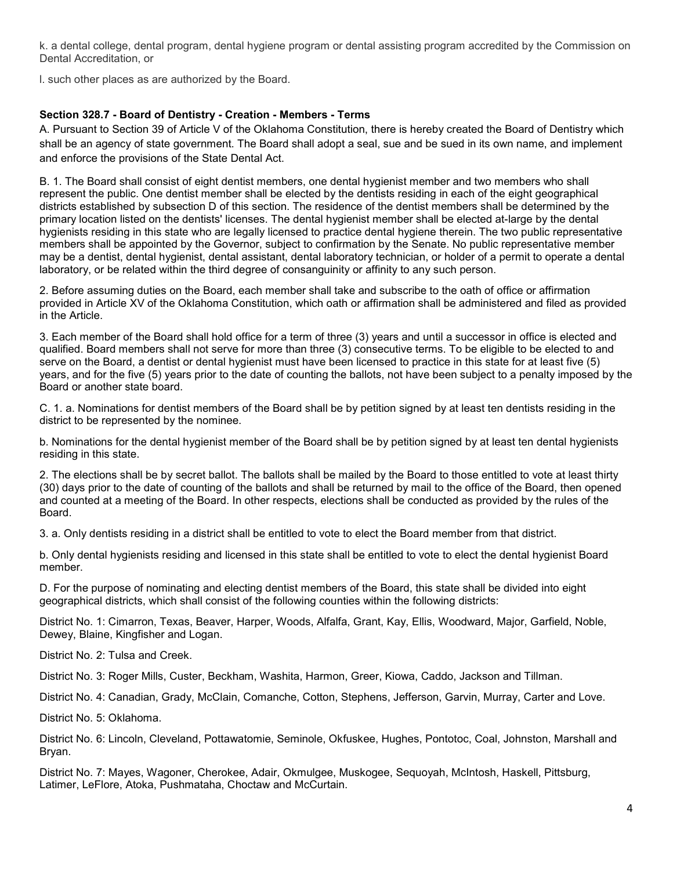k. a dental college, dental program, dental hygiene program or dental assisting program accredited by the Commission on Dental Accreditation, or

l. such other places as are authorized by the Board.

# **Section 328.7 - Board of Dentistry - Creation - Members - Terms**

A. Pursuant to Section 39 of Article V of the Oklahoma Constitution, there is hereby created the Board of Dentistry which shall be an agency of state government. The Board shall adopt a seal, sue and be sued in its own name, and implement and enforce the provisions of the State Dental Act.

B. 1. The Board shall consist of eight dentist members, one dental hygienist member and two members who shall represent the public. One dentist member shall be elected by the dentists residing in each of the eight geographical districts established by subsection D of this section. The residence of the dentist members shall be determined by the primary location listed on the dentists' licenses. The dental hygienist member shall be elected at-large by the dental hygienists residing in this state who are legally licensed to practice dental hygiene therein. The two public representative members shall be appointed by the Governor, subject to confirmation by the Senate. No public representative member may be a dentist, dental hygienist, dental assistant, dental laboratory technician, or holder of a permit to operate a dental laboratory, or be related within the third degree of consanguinity or affinity to any such person.

2. Before assuming duties on the Board, each member shall take and subscribe to the oath of office or affirmation provided in Article XV of the Oklahoma Constitution, which oath or affirmation shall be administered and filed as provided in the Article.

3. Each member of the Board shall hold office for a term of three (3) years and until a successor in office is elected and qualified. Board members shall not serve for more than three (3) consecutive terms. To be eligible to be elected to and serve on the Board, a dentist or dental hygienist must have been licensed to practice in this state for at least five (5) years, and for the five (5) years prior to the date of counting the ballots, not have been subject to a penalty imposed by the Board or another state board.

C. 1. a. Nominations for dentist members of the Board shall be by petition signed by at least ten dentists residing in the district to be represented by the nominee.

b. Nominations for the dental hygienist member of the Board shall be by petition signed by at least ten dental hygienists residing in this state.

2. The elections shall be by secret ballot. The ballots shall be mailed by the Board to those entitled to vote at least thirty (30) days prior to the date of counting of the ballots and shall be returned by mail to the office of the Board, then opened and counted at a meeting of the Board. In other respects, elections shall be conducted as provided by the rules of the Board.

3. a. Only dentists residing in a district shall be entitled to vote to elect the Board member from that district.

b. Only dental hygienists residing and licensed in this state shall be entitled to vote to elect the dental hygienist Board member.

D. For the purpose of nominating and electing dentist members of the Board, this state shall be divided into eight geographical districts, which shall consist of the following counties within the following districts:

District No. 1: Cimarron, Texas, Beaver, Harper, Woods, Alfalfa, Grant, Kay, Ellis, Woodward, Major, Garfield, Noble, Dewey, Blaine, Kingfisher and Logan.

District No. 2: Tulsa and Creek.

District No. 3: Roger Mills, Custer, Beckham, Washita, Harmon, Greer, Kiowa, Caddo, Jackson and Tillman.

District No. 4: Canadian, Grady, McClain, Comanche, Cotton, Stephens, Jefferson, Garvin, Murray, Carter and Love.

District No. 5: Oklahoma.

District No. 6: Lincoln, Cleveland, Pottawatomie, Seminole, Okfuskee, Hughes, Pontotoc, Coal, Johnston, Marshall and Bryan.

District No. 7: Mayes, Wagoner, Cherokee, Adair, Okmulgee, Muskogee, Sequoyah, McIntosh, Haskell, Pittsburg, Latimer, LeFlore, Atoka, Pushmataha, Choctaw and McCurtain.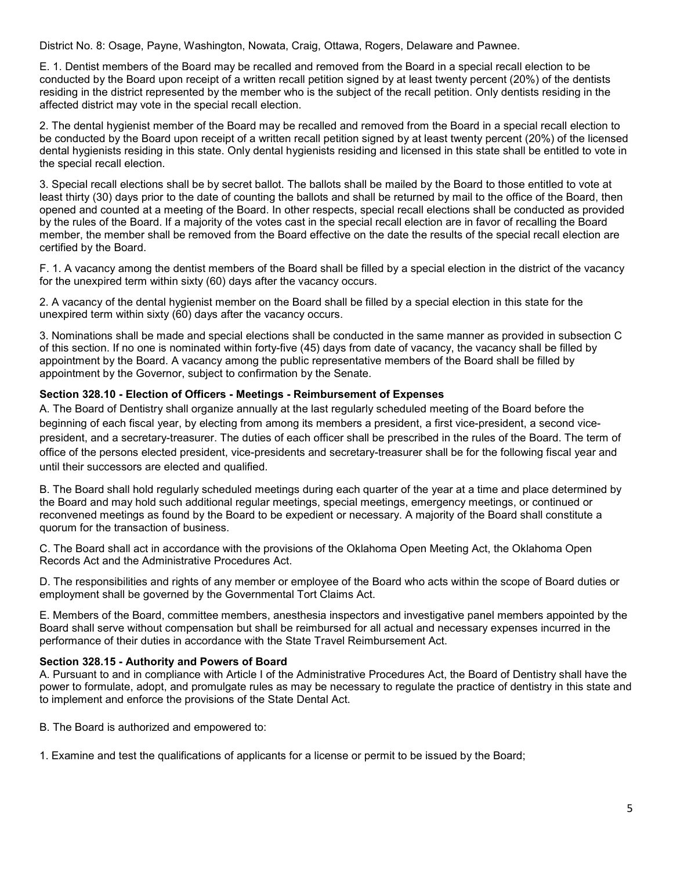District No. 8: Osage, Payne, Washington, Nowata, Craig, Ottawa, Rogers, Delaware and Pawnee.

E. 1. Dentist members of the Board may be recalled and removed from the Board in a special recall election to be conducted by the Board upon receipt of a written recall petition signed by at least twenty percent (20%) of the dentists residing in the district represented by the member who is the subject of the recall petition. Only dentists residing in the affected district may vote in the special recall election.

2. The dental hygienist member of the Board may be recalled and removed from the Board in a special recall election to be conducted by the Board upon receipt of a written recall petition signed by at least twenty percent (20%) of the licensed dental hygienists residing in this state. Only dental hygienists residing and licensed in this state shall be entitled to vote in the special recall election.

3. Special recall elections shall be by secret ballot. The ballots shall be mailed by the Board to those entitled to vote at least thirty (30) days prior to the date of counting the ballots and shall be returned by mail to the office of the Board, then opened and counted at a meeting of the Board. In other respects, special recall elections shall be conducted as provided by the rules of the Board. If a majority of the votes cast in the special recall election are in favor of recalling the Board member, the member shall be removed from the Board effective on the date the results of the special recall election are certified by the Board.

F. 1. A vacancy among the dentist members of the Board shall be filled by a special election in the district of the vacancy for the unexpired term within sixty (60) days after the vacancy occurs.

2. A vacancy of the dental hygienist member on the Board shall be filled by a special election in this state for the unexpired term within sixty (60) days after the vacancy occurs.

3. Nominations shall be made and special elections shall be conducted in the same manner as provided in subsection C of this section. If no one is nominated within forty-five (45) days from date of vacancy, the vacancy shall be filled by appointment by the Board. A vacancy among the public representative members of the Board shall be filled by appointment by the Governor, subject to confirmation by the Senate.

## **Section 328.10 - Election of Officers - Meetings - Reimbursement of Expenses**

A. The Board of Dentistry shall organize annually at the last regularly scheduled meeting of the Board before the beginning of each fiscal year, by electing from among its members a president, a first vice-president, a second vicepresident, and a secretary-treasurer. The duties of each officer shall be prescribed in the rules of the Board. The term of office of the persons elected president, vice-presidents and secretary-treasurer shall be for the following fiscal year and until their successors are elected and qualified.

B. The Board shall hold regularly scheduled meetings during each quarter of the year at a time and place determined by the Board and may hold such additional regular meetings, special meetings, emergency meetings, or continued or reconvened meetings as found by the Board to be expedient or necessary. A majority of the Board shall constitute a quorum for the transaction of business.

C. The Board shall act in accordance with the provisions of the Oklahoma Open Meeting Act, the Oklahoma Open Records Act and the Administrative Procedures Act.

D. The responsibilities and rights of any member or employee of the Board who acts within the scope of Board duties or employment shall be governed by the Governmental Tort Claims Act.

E. Members of the Board, committee members, anesthesia inspectors and investigative panel members appointed by the Board shall serve without compensation but shall be reimbursed for all actual and necessary expenses incurred in the performance of their duties in accordance with the State Travel Reimbursement Act.

#### **Section 328.15 - Authority and Powers of Board**

A. Pursuant to and in compliance with Article I of the Administrative Procedures Act, the Board of Dentistry shall have the power to formulate, adopt, and promulgate rules as may be necessary to regulate the practice of dentistry in this state and to implement and enforce the provisions of the State Dental Act.

B. The Board is authorized and empowered to:

1. Examine and test the qualifications of applicants for a license or permit to be issued by the Board;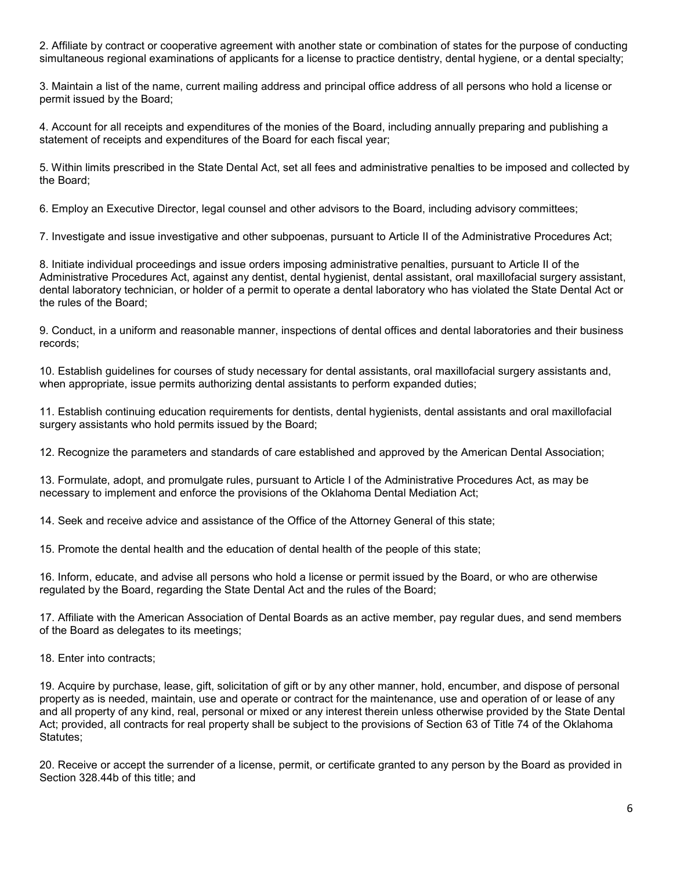2. Affiliate by contract or cooperative agreement with another state or combination of states for the purpose of conducting simultaneous regional examinations of applicants for a license to practice dentistry, dental hygiene, or a dental specialty;

3. Maintain a list of the name, current mailing address and principal office address of all persons who hold a license or permit issued by the Board;

4. Account for all receipts and expenditures of the monies of the Board, including annually preparing and publishing a statement of receipts and expenditures of the Board for each fiscal year;

5. Within limits prescribed in the State Dental Act, set all fees and administrative penalties to be imposed and collected by the Board;

6. Employ an Executive Director, legal counsel and other advisors to the Board, including advisory committees;

7. Investigate and issue investigative and other subpoenas, pursuant to Article II of the Administrative Procedures Act;

8. Initiate individual proceedings and issue orders imposing administrative penalties, pursuant to Article II of the Administrative Procedures Act, against any dentist, dental hygienist, dental assistant, oral maxillofacial surgery assistant, dental laboratory technician, or holder of a permit to operate a dental laboratory who has violated the State Dental Act or the rules of the Board;

9. Conduct, in a uniform and reasonable manner, inspections of dental offices and dental laboratories and their business records;

10. Establish guidelines for courses of study necessary for dental assistants, oral maxillofacial surgery assistants and, when appropriate, issue permits authorizing dental assistants to perform expanded duties;

11. Establish continuing education requirements for dentists, dental hygienists, dental assistants and oral maxillofacial surgery assistants who hold permits issued by the Board;

12. Recognize the parameters and standards of care established and approved by the American Dental Association;

13. Formulate, adopt, and promulgate rules, pursuant to Article I of the Administrative Procedures Act, as may be necessary to implement and enforce the provisions of the Oklahoma Dental Mediation Act;

14. Seek and receive advice and assistance of the Office of the Attorney General of this state;

15. Promote the dental health and the education of dental health of the people of this state;

16. Inform, educate, and advise all persons who hold a license or permit issued by the Board, or who are otherwise regulated by the Board, regarding the State Dental Act and the rules of the Board;

17. Affiliate with the American Association of Dental Boards as an active member, pay regular dues, and send members of the Board as delegates to its meetings;

18. Enter into contracts;

19. Acquire by purchase, lease, gift, solicitation of gift or by any other manner, hold, encumber, and dispose of personal property as is needed, maintain, use and operate or contract for the maintenance, use and operation of or lease of any and all property of any kind, real, personal or mixed or any interest therein unless otherwise provided by the State Dental Act; provided, all contracts for real property shall be subject to the provisions of Section 63 of Title 74 of the Oklahoma Statutes;

20. Receive or accept the surrender of a license, permit, or certificate granted to any person by the Board as provided in Section 328.44b of this title; and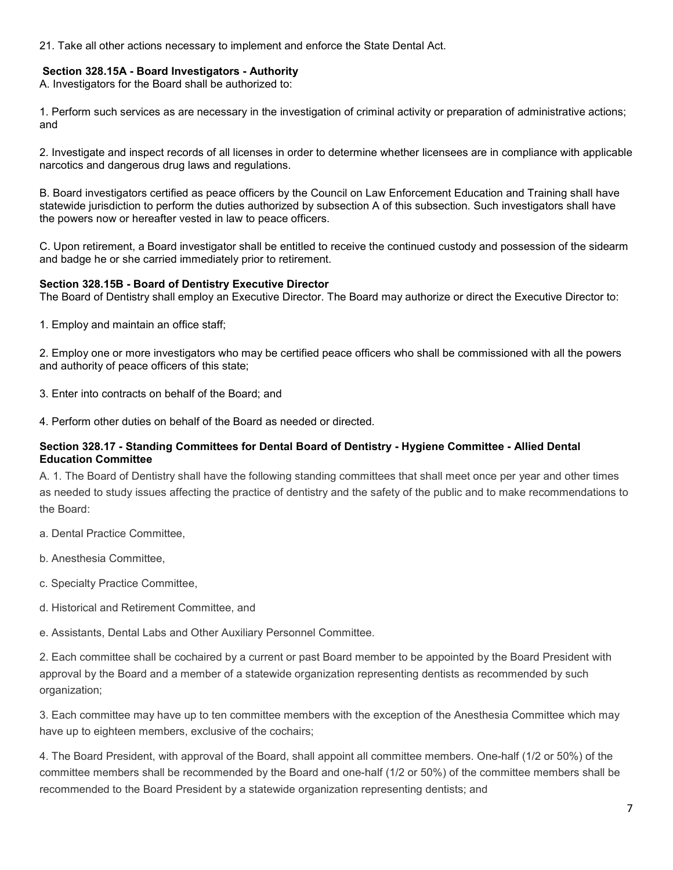21. Take all other actions necessary to implement and enforce the State Dental Act.

#### **Section 328.15A - Board Investigators - Authority**

A. Investigators for the Board shall be authorized to:

1. Perform such services as are necessary in the investigation of criminal activity or preparation of administrative actions; and

2. Investigate and inspect records of all licenses in order to determine whether licensees are in compliance with applicable narcotics and dangerous drug laws and regulations.

B. Board investigators certified as peace officers by the Council on Law Enforcement Education and Training shall have statewide jurisdiction to perform the duties authorized by subsection A of this subsection. Such investigators shall have the powers now or hereafter vested in law to peace officers.

C. Upon retirement, a Board investigator shall be entitled to receive the continued custody and possession of the sidearm and badge he or she carried immediately prior to retirement.

#### **Section 328.15B - Board of Dentistry Executive Director**

The Board of Dentistry shall employ an Executive Director. The Board may authorize or direct the Executive Director to:

1. Employ and maintain an office staff;

2. Employ one or more investigators who may be certified peace officers who shall be commissioned with all the powers and authority of peace officers of this state;

3. Enter into contracts on behalf of the Board; and

4. Perform other duties on behalf of the Board as needed or directed.

#### **Section 328.17 - Standing Committees for Dental Board of Dentistry - Hygiene Committee - Allied Dental Education Committee**

A. 1. The Board of Dentistry shall have the following standing committees that shall meet once per year and other times as needed to study issues affecting the practice of dentistry and the safety of the public and to make recommendations to the Board:

- a. Dental Practice Committee,
- b. Anesthesia Committee,
- c. Specialty Practice Committee,
- d. Historical and Retirement Committee, and

e. Assistants, Dental Labs and Other Auxiliary Personnel Committee.

2. Each committee shall be cochaired by a current or past Board member to be appointed by the Board President with approval by the Board and a member of a statewide organization representing dentists as recommended by such organization;

3. Each committee may have up to ten committee members with the exception of the Anesthesia Committee which may have up to eighteen members, exclusive of the cochairs;

4. The Board President, with approval of the Board, shall appoint all committee members. One-half (1/2 or 50%) of the committee members shall be recommended by the Board and one-half (1/2 or 50%) of the committee members shall be recommended to the Board President by a statewide organization representing dentists; and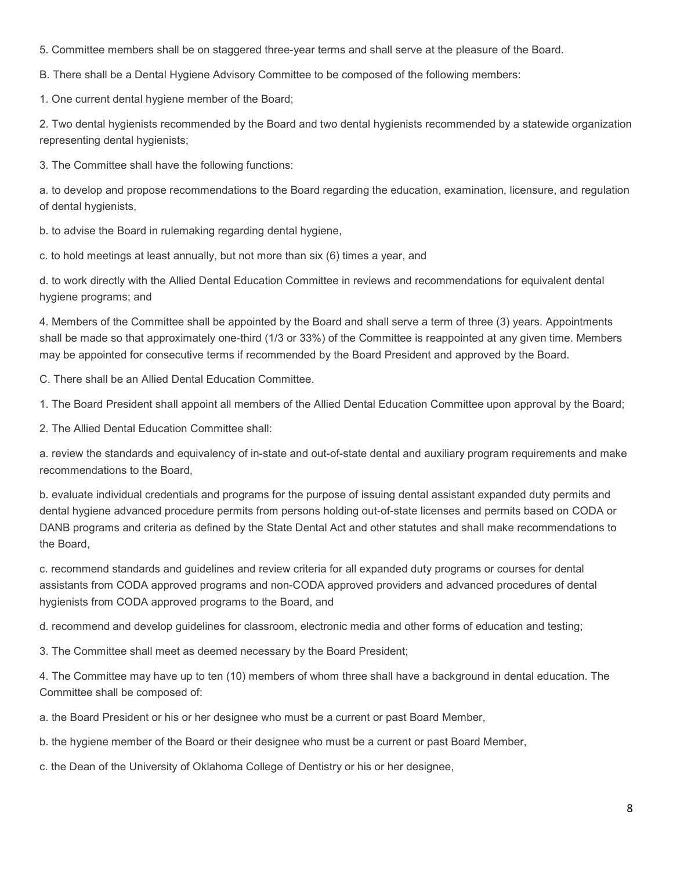5. Committee members shall be on staggered three-year terms and shall serve at the pleasure of the Board.

B. There shall be a Dental Hygiene Advisory Committee to be composed of the following members:

1. One current dental hygiene member of the Board;

2. Two dental hygienists recommended by the Board and two dental hygienists recommended by a statewide organization representing dental hygienists;

3. The Committee shall have the following functions:

a. to develop and propose recommendations to the Board regarding the education, examination, licensure, and regulation of dental hygienists,

b. to advise the Board in rulemaking regarding dental hygiene,

c. to hold meetings at least annually, but not more than six (6) times a year, and

d. to work directly with the Allied Dental Education Committee in reviews and recommendations for equivalent dental hygiene programs; and

4. Members of the Committee shall be appointed by the Board and shall serve a term of three (3) years. Appointments shall be made so that approximately one-third (1/3 or 33%) of the Committee is reappointed at any given time. Members may be appointed for consecutive terms if recommended by the Board President and approved by the Board.

C. There shall be an Allied Dental Education Committee.

1. The Board President shall appoint all members of the Allied Dental Education Committee upon approval by the Board;

2. The Allied Dental Education Committee shall:

a. review the standards and equivalency of in-state and out-of-state dental and auxiliary program requirements and make recommendations to the Board,

b. evaluate individual credentials and programs for the purpose of issuing dental assistant expanded duty permits and dental hygiene advanced procedure permits from persons holding out-of-state licenses and permits based on CODA or DANB programs and criteria as defined by the State Dental Act and other statutes and shall make recommendations to the Board,

c. recommend standards and guidelines and review criteria for all expanded duty programs or courses for dental assistants from CODA approved programs and non-CODA approved providers and advanced procedures of dental hygienists from CODA approved programs to the Board, and

d. recommend and develop guidelines for classroom, electronic media and other forms of education and testing;

3. The Committee shall meet as deemed necessary by the Board President;

4. The Committee may have up to ten (10) members of whom three shall have a background in dental education. The Committee shall be composed of:

a. the Board President or his or her designee who must be a current or past Board Member,

b. the hygiene member of the Board or their designee who must be a current or past Board Member,

c. the Dean of the University of Oklahoma College of Dentistry or his or her designee,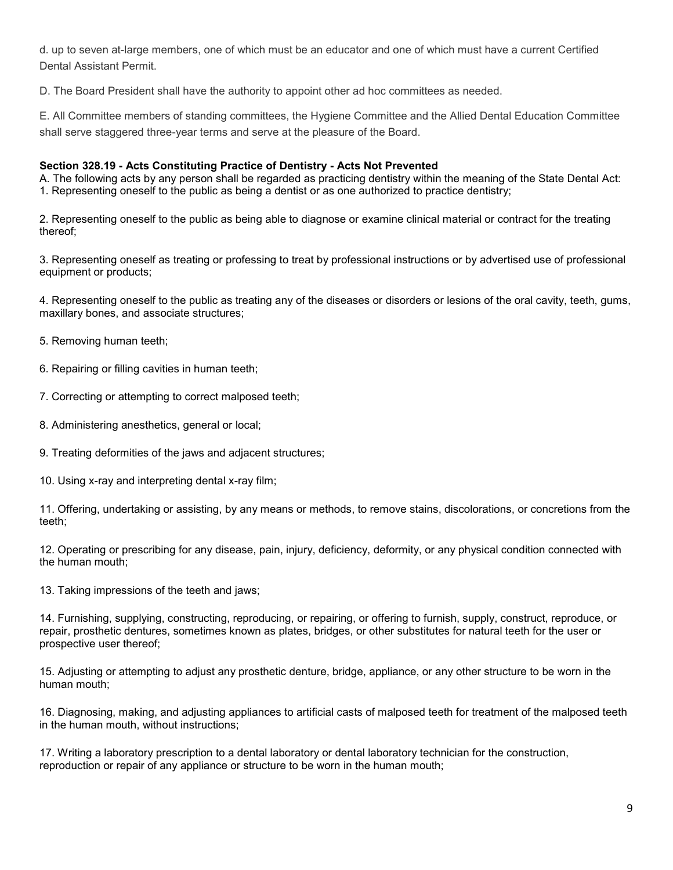d. up to seven at-large members, one of which must be an educator and one of which must have a current Certified Dental Assistant Permit.

D. The Board President shall have the authority to appoint other ad hoc committees as needed.

E. All Committee members of standing committees, the Hygiene Committee and the Allied Dental Education Committee shall serve staggered three-year terms and serve at the pleasure of the Board.

#### **Section 328.19 - Acts Constituting Practice of Dentistry - Acts Not Prevented**

A. The following acts by any person shall be regarded as practicing dentistry within the meaning of the State Dental Act: 1. Representing oneself to the public as being a dentist or as one authorized to practice dentistry;

2. Representing oneself to the public as being able to diagnose or examine clinical material or contract for the treating thereof;

3. Representing oneself as treating or professing to treat by professional instructions or by advertised use of professional equipment or products;

4. Representing oneself to the public as treating any of the diseases or disorders or lesions of the oral cavity, teeth, gums, maxillary bones, and associate structures;

- 5. Removing human teeth;
- 6. Repairing or filling cavities in human teeth;
- 7. Correcting or attempting to correct malposed teeth;
- 8. Administering anesthetics, general or local;
- 9. Treating deformities of the jaws and adjacent structures;
- 10. Using x-ray and interpreting dental x-ray film;

11. Offering, undertaking or assisting, by any means or methods, to remove stains, discolorations, or concretions from the teeth;

12. Operating or prescribing for any disease, pain, injury, deficiency, deformity, or any physical condition connected with the human mouth;

13. Taking impressions of the teeth and jaws;

14. Furnishing, supplying, constructing, reproducing, or repairing, or offering to furnish, supply, construct, reproduce, or repair, prosthetic dentures, sometimes known as plates, bridges, or other substitutes for natural teeth for the user or prospective user thereof;

15. Adjusting or attempting to adjust any prosthetic denture, bridge, appliance, or any other structure to be worn in the human mouth;

16. Diagnosing, making, and adjusting appliances to artificial casts of malposed teeth for treatment of the malposed teeth in the human mouth, without instructions;

17. Writing a laboratory prescription to a dental laboratory or dental laboratory technician for the construction, reproduction or repair of any appliance or structure to be worn in the human mouth;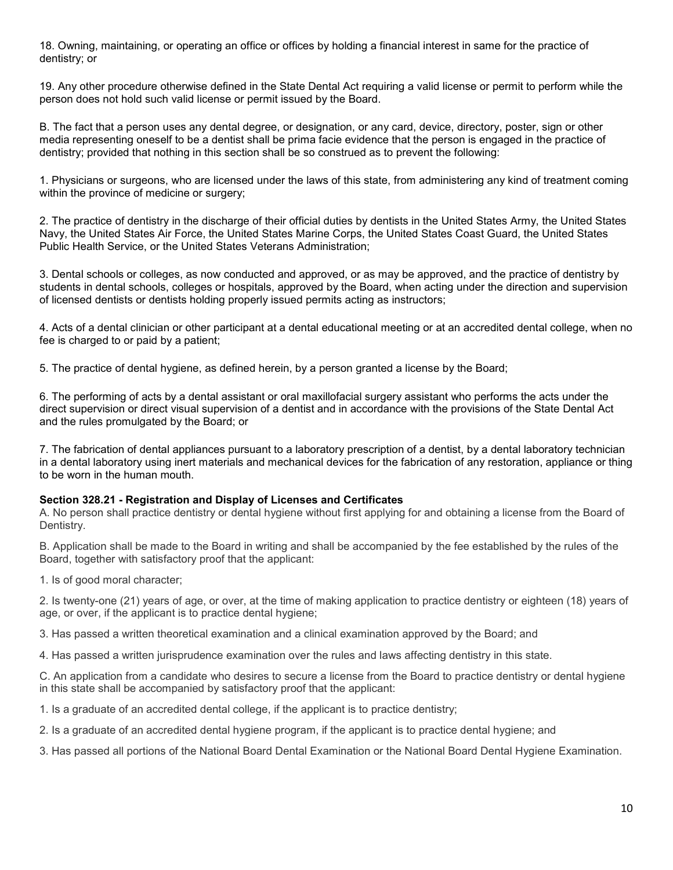18. Owning, maintaining, or operating an office or offices by holding a financial interest in same for the practice of dentistry; or

19. Any other procedure otherwise defined in the State Dental Act requiring a valid license or permit to perform while the person does not hold such valid license or permit issued by the Board.

B. The fact that a person uses any dental degree, or designation, or any card, device, directory, poster, sign or other media representing oneself to be a dentist shall be prima facie evidence that the person is engaged in the practice of dentistry; provided that nothing in this section shall be so construed as to prevent the following:

1. Physicians or surgeons, who are licensed under the laws of this state, from administering any kind of treatment coming within the province of medicine or surgery;

2. The practice of dentistry in the discharge of their official duties by dentists in the United States Army, the United States Navy, the United States Air Force, the United States Marine Corps, the United States Coast Guard, the United States Public Health Service, or the United States Veterans Administration;

3. Dental schools or colleges, as now conducted and approved, or as may be approved, and the practice of dentistry by students in dental schools, colleges or hospitals, approved by the Board, when acting under the direction and supervision of licensed dentists or dentists holding properly issued permits acting as instructors;

4. Acts of a dental clinician or other participant at a dental educational meeting or at an accredited dental college, when no fee is charged to or paid by a patient;

5. The practice of dental hygiene, as defined herein, by a person granted a license by the Board;

6. The performing of acts by a dental assistant or oral maxillofacial surgery assistant who performs the acts under the direct supervision or direct visual supervision of a dentist and in accordance with the provisions of the State Dental Act and the rules promulgated by the Board; or

7. The fabrication of dental appliances pursuant to a laboratory prescription of a dentist, by a dental laboratory technician in a dental laboratory using inert materials and mechanical devices for the fabrication of any restoration, appliance or thing to be worn in the human mouth.

#### **Section 328.21 - Registration and Display of Licenses and Certificates**

A. No person shall practice dentistry or dental hygiene without first applying for and obtaining a license from the Board of Dentistry.

B. Application shall be made to the Board in writing and shall be accompanied by the fee established by the rules of the Board, together with satisfactory proof that the applicant:

1. Is of good moral character;

2. Is twenty-one (21) years of age, or over, at the time of making application to practice dentistry or eighteen (18) years of age, or over, if the applicant is to practice dental hygiene;

3. Has passed a written theoretical examination and a clinical examination approved by the Board; and

4. Has passed a written jurisprudence examination over the rules and laws affecting dentistry in this state.

C. An application from a candidate who desires to secure a license from the Board to practice dentistry or dental hygiene in this state shall be accompanied by satisfactory proof that the applicant:

1. Is a graduate of an accredited dental college, if the applicant is to practice dentistry;

2. Is a graduate of an accredited dental hygiene program, if the applicant is to practice dental hygiene; and

3. Has passed all portions of the National Board Dental Examination or the National Board Dental Hygiene Examination.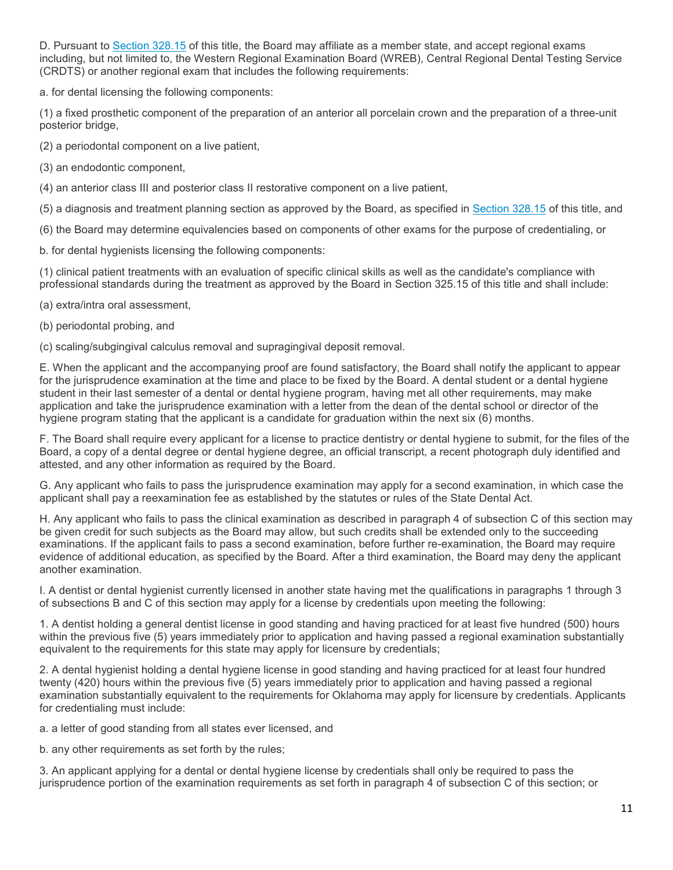D. Pursuant to [Section 328.15](http://www.oscn.net/applications/oscn/DeliverDocument.asp?citeid=95477) of this title, the Board may affiliate as a member state, and accept regional exams including, but not limited to, the Western Regional Examination Board (WREB), Central Regional Dental Testing Service (CRDTS) or another regional exam that includes the following requirements:

a. for dental licensing the following components:

(1) a fixed prosthetic component of the preparation of an anterior all porcelain crown and the preparation of a three-unit posterior bridge,

(2) a periodontal component on a live patient,

(3) an endodontic component,

(4) an anterior class III and posterior class II restorative component on a live patient,

(5) a diagnosis and treatment planning section as approved by the Board, as specified in [Section 328.15](http://www.oscn.net/applications/oscn/DeliverDocument.asp?citeid=95477) of this title, and

(6) the Board may determine equivalencies based on components of other exams for the purpose of credentialing, or

b. for dental hygienists licensing the following components:

(1) clinical patient treatments with an evaluation of specific clinical skills as well as the candidate's compliance with professional standards during the treatment as approved by the Board in Section 325.15 of this title and shall include:

(a) extra/intra oral assessment,

(b) periodontal probing, and

(c) scaling/subgingival calculus removal and supragingival deposit removal.

E. When the applicant and the accompanying proof are found satisfactory, the Board shall notify the applicant to appear for the jurisprudence examination at the time and place to be fixed by the Board. A dental student or a dental hygiene student in their last semester of a dental or dental hygiene program, having met all other requirements, may make application and take the jurisprudence examination with a letter from the dean of the dental school or director of the hygiene program stating that the applicant is a candidate for graduation within the next six (6) months.

F. The Board shall require every applicant for a license to practice dentistry or dental hygiene to submit, for the files of the Board, a copy of a dental degree or dental hygiene degree, an official transcript, a recent photograph duly identified and attested, and any other information as required by the Board.

G. Any applicant who fails to pass the jurisprudence examination may apply for a second examination, in which case the applicant shall pay a reexamination fee as established by the statutes or rules of the State Dental Act.

H. Any applicant who fails to pass the clinical examination as described in paragraph 4 of subsection C of this section may be given credit for such subjects as the Board may allow, but such credits shall be extended only to the succeeding examinations. If the applicant fails to pass a second examination, before further re-examination, the Board may require evidence of additional education, as specified by the Board. After a third examination, the Board may deny the applicant another examination.

I. A dentist or dental hygienist currently licensed in another state having met the qualifications in paragraphs 1 through 3 of subsections B and C of this section may apply for a license by credentials upon meeting the following:

1. A dentist holding a general dentist license in good standing and having practiced for at least five hundred (500) hours within the previous five (5) years immediately prior to application and having passed a regional examination substantially equivalent to the requirements for this state may apply for licensure by credentials;

2. A dental hygienist holding a dental hygiene license in good standing and having practiced for at least four hundred twenty (420) hours within the previous five (5) years immediately prior to application and having passed a regional examination substantially equivalent to the requirements for Oklahoma may apply for licensure by credentials. Applicants for credentialing must include:

a. a letter of good standing from all states ever licensed, and

b. any other requirements as set forth by the rules;

3. An applicant applying for a dental or dental hygiene license by credentials shall only be required to pass the jurisprudence portion of the examination requirements as set forth in paragraph 4 of subsection C of this section; or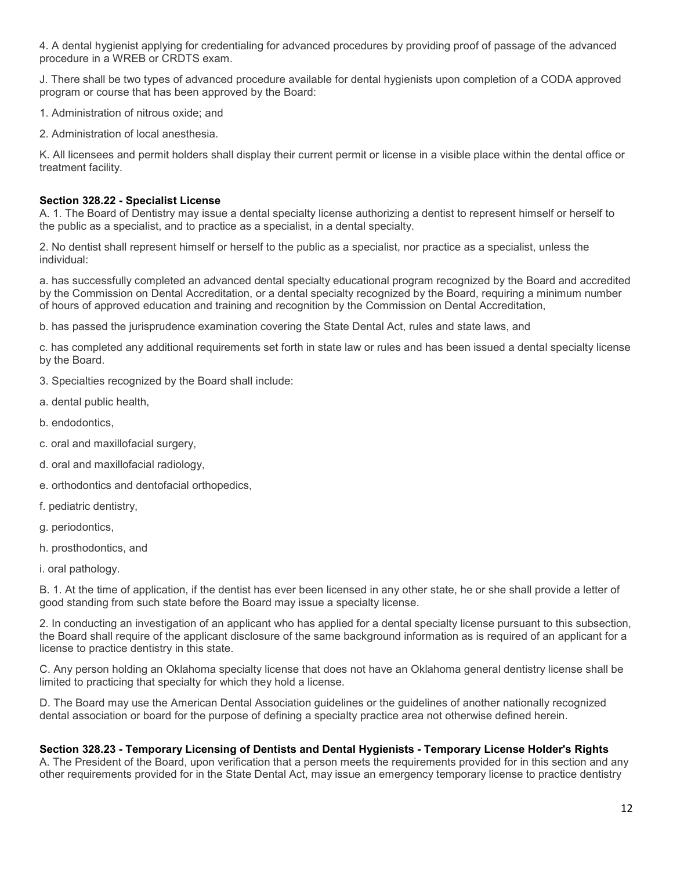4. A dental hygienist applying for credentialing for advanced procedures by providing proof of passage of the advanced procedure in a WREB or CRDTS exam.

J. There shall be two types of advanced procedure available for dental hygienists upon completion of a CODA approved program or course that has been approved by the Board:

1. Administration of nitrous oxide; and

2. Administration of local anesthesia.

K. All licensees and permit holders shall display their current permit or license in a visible place within the dental office or treatment facility.

#### **Section 328.22 - Specialist License**

A. 1. The Board of Dentistry may issue a dental specialty license authorizing a dentist to represent himself or herself to the public as a specialist, and to practice as a specialist, in a dental specialty.

2. No dentist shall represent himself or herself to the public as a specialist, nor practice as a specialist, unless the individual:

a. has successfully completed an advanced dental specialty educational program recognized by the Board and accredited by the Commission on Dental Accreditation, or a dental specialty recognized by the Board, requiring a minimum number of hours of approved education and training and recognition by the Commission on Dental Accreditation,

b. has passed the jurisprudence examination covering the State Dental Act, rules and state laws, and

c. has completed any additional requirements set forth in state law or rules and has been issued a dental specialty license by the Board.

- 3. Specialties recognized by the Board shall include:
- a. dental public health,
- b. endodontics,
- c. oral and maxillofacial surgery,
- d. oral and maxillofacial radiology,
- e. orthodontics and dentofacial orthopedics,
- f. pediatric dentistry,
- g. periodontics,
- h. prosthodontics, and
- i. oral pathology.

B. 1. At the time of application, if the dentist has ever been licensed in any other state, he or she shall provide a letter of good standing from such state before the Board may issue a specialty license.

2. In conducting an investigation of an applicant who has applied for a dental specialty license pursuant to this subsection, the Board shall require of the applicant disclosure of the same background information as is required of an applicant for a license to practice dentistry in this state.

C. Any person holding an Oklahoma specialty license that does not have an Oklahoma general dentistry license shall be limited to practicing that specialty for which they hold a license.

D. The Board may use the American Dental Association guidelines or the guidelines of another nationally recognized dental association or board for the purpose of defining a specialty practice area not otherwise defined herein.

#### **Section 328.23 - Temporary Licensing of Dentists and Dental Hygienists - Temporary License Holder's Rights**

A. The President of the Board, upon verification that a person meets the requirements provided for in this section and any other requirements provided for in the State Dental Act, may issue an emergency temporary license to practice dentistry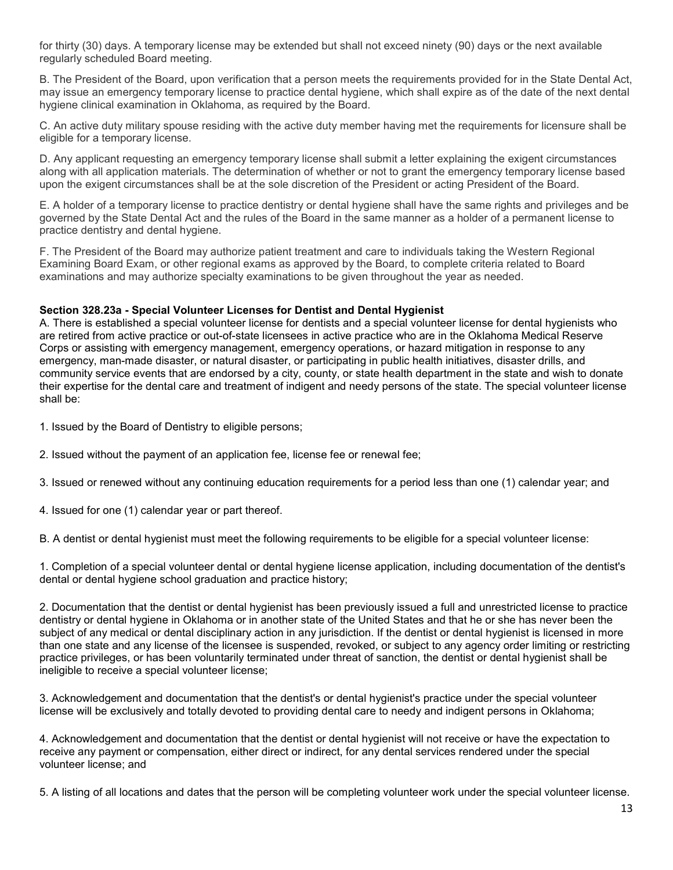for thirty (30) days. A temporary license may be extended but shall not exceed ninety (90) days or the next available regularly scheduled Board meeting.

B. The President of the Board, upon verification that a person meets the requirements provided for in the State Dental Act, may issue an emergency temporary license to practice dental hygiene, which shall expire as of the date of the next dental hygiene clinical examination in Oklahoma, as required by the Board.

C. An active duty military spouse residing with the active duty member having met the requirements for licensure shall be eligible for a temporary license.

D. Any applicant requesting an emergency temporary license shall submit a letter explaining the exigent circumstances along with all application materials. The determination of whether or not to grant the emergency temporary license based upon the exigent circumstances shall be at the sole discretion of the President or acting President of the Board.

E. A holder of a temporary license to practice dentistry or dental hygiene shall have the same rights and privileges and be governed by the State Dental Act and the rules of the Board in the same manner as a holder of a permanent license to practice dentistry and dental hygiene.

F. The President of the Board may authorize patient treatment and care to individuals taking the Western Regional Examining Board Exam, or other regional exams as approved by the Board, to complete criteria related to Board examinations and may authorize specialty examinations to be given throughout the year as needed.

## **Section 328.23a - Special Volunteer Licenses for Dentist and Dental Hygienist**

A. There is established a special volunteer license for dentists and a special volunteer license for dental hygienists who are retired from active practice or out-of-state licensees in active practice who are in the Oklahoma Medical Reserve Corps or assisting with emergency management, emergency operations, or hazard mitigation in response to any emergency, man-made disaster, or natural disaster, or participating in public health initiatives, disaster drills, and community service events that are endorsed by a city, county, or state health department in the state and wish to donate their expertise for the dental care and treatment of indigent and needy persons of the state. The special volunteer license shall be:

- 1. Issued by the Board of Dentistry to eligible persons;
- 2. Issued without the payment of an application fee, license fee or renewal fee;
- 3. Issued or renewed without any continuing education requirements for a period less than one (1) calendar year; and
- 4. Issued for one (1) calendar year or part thereof.

B. A dentist or dental hygienist must meet the following requirements to be eligible for a special volunteer license:

1. Completion of a special volunteer dental or dental hygiene license application, including documentation of the dentist's dental or dental hygiene school graduation and practice history;

2. Documentation that the dentist or dental hygienist has been previously issued a full and unrestricted license to practice dentistry or dental hygiene in Oklahoma or in another state of the United States and that he or she has never been the subject of any medical or dental disciplinary action in any jurisdiction. If the dentist or dental hygienist is licensed in more than one state and any license of the licensee is suspended, revoked, or subject to any agency order limiting or restricting practice privileges, or has been voluntarily terminated under threat of sanction, the dentist or dental hygienist shall be ineligible to receive a special volunteer license;

3. Acknowledgement and documentation that the dentist's or dental hygienist's practice under the special volunteer license will be exclusively and totally devoted to providing dental care to needy and indigent persons in Oklahoma;

4. Acknowledgement and documentation that the dentist or dental hygienist will not receive or have the expectation to receive any payment or compensation, either direct or indirect, for any dental services rendered under the special volunteer license; and

5. A listing of all locations and dates that the person will be completing volunteer work under the special volunteer license.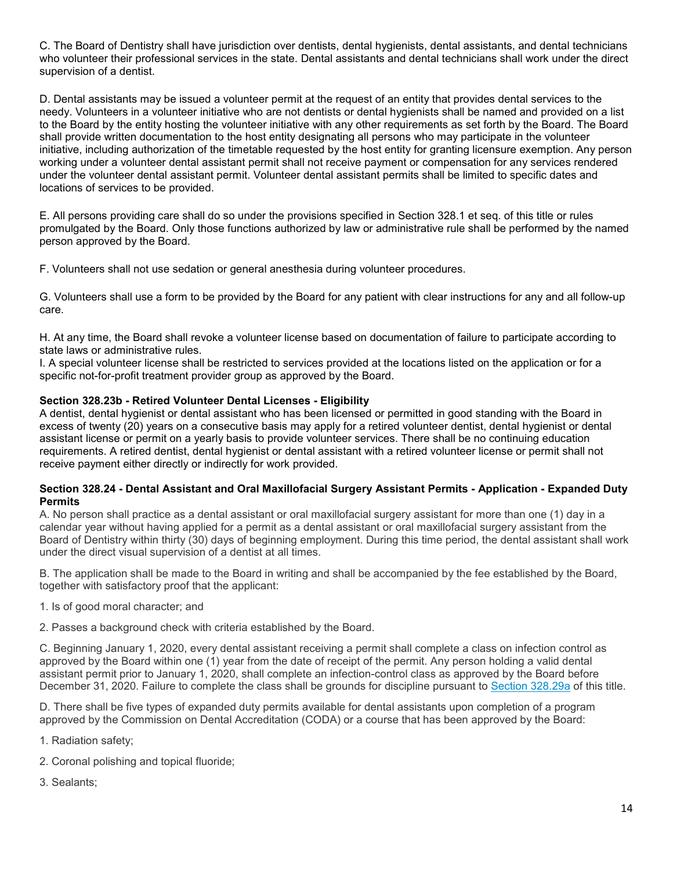C. The Board of Dentistry shall have jurisdiction over dentists, dental hygienists, dental assistants, and dental technicians who volunteer their professional services in the state. Dental assistants and dental technicians shall work under the direct supervision of a dentist.

D. Dental assistants may be issued a volunteer permit at the request of an entity that provides dental services to the needy. Volunteers in a volunteer initiative who are not dentists or dental hygienists shall be named and provided on a list to the Board by the entity hosting the volunteer initiative with any other requirements as set forth by the Board. The Board shall provide written documentation to the host entity designating all persons who may participate in the volunteer initiative, including authorization of the timetable requested by the host entity for granting licensure exemption. Any person working under a volunteer dental assistant permit shall not receive payment or compensation for any services rendered under the volunteer dental assistant permit. Volunteer dental assistant permits shall be limited to specific dates and locations of services to be provided.

E. All persons providing care shall do so under the provisions specified in Section 328.1 et seq. of this title or rules promulgated by the Board. Only those functions authorized by law or administrative rule shall be performed by the named person approved by the Board.

F. Volunteers shall not use sedation or general anesthesia during volunteer procedures.

G. Volunteers shall use a form to be provided by the Board for any patient with clear instructions for any and all follow-up care.

H. At any time, the Board shall revoke a volunteer license based on documentation of failure to participate according to state laws or administrative rules.

I. A special volunteer license shall be restricted to services provided at the locations listed on the application or for a specific not-for-profit treatment provider group as approved by the Board.

## **Section 328.23b - Retired Volunteer Dental Licenses - Eligibility**

A dentist, dental hygienist or dental assistant who has been licensed or permitted in good standing with the Board in excess of twenty (20) years on a consecutive basis may apply for a retired volunteer dentist, dental hygienist or dental assistant license or permit on a yearly basis to provide volunteer services. There shall be no continuing education requirements. A retired dentist, dental hygienist or dental assistant with a retired volunteer license or permit shall not receive payment either directly or indirectly for work provided.

#### **Section 328.24 - Dental Assistant and Oral Maxillofacial Surgery Assistant Permits - Application - Expanded Duty Permits**

A. No person shall practice as a dental assistant or oral maxillofacial surgery assistant for more than one (1) day in a calendar year without having applied for a permit as a dental assistant or oral maxillofacial surgery assistant from the Board of Dentistry within thirty (30) days of beginning employment. During this time period, the dental assistant shall work under the direct visual supervision of a dentist at all times.

B. The application shall be made to the Board in writing and shall be accompanied by the fee established by the Board, together with satisfactory proof that the applicant:

1. Is of good moral character; and

2. Passes a background check with criteria established by the Board.

C. Beginning January 1, 2020, every dental assistant receiving a permit shall complete a class on infection control as approved by the Board within one (1) year from the date of receipt of the permit. Any person holding a valid dental assistant permit prior to January 1, 2020, shall complete an infection-control class as approved by the Board before December 31, 2020. Failure to complete the class shall be grounds for discipline pursuant to [Section 328.29a](http://www.oscn.net/applications/oscn/DeliverDocument.asp?citeid=443687) of this title.

D. There shall be five types of expanded duty permits available for dental assistants upon completion of a program approved by the Commission on Dental Accreditation (CODA) or a course that has been approved by the Board:

- 1. Radiation safety;
- 2. Coronal polishing and topical fluoride;
- 3. Sealants;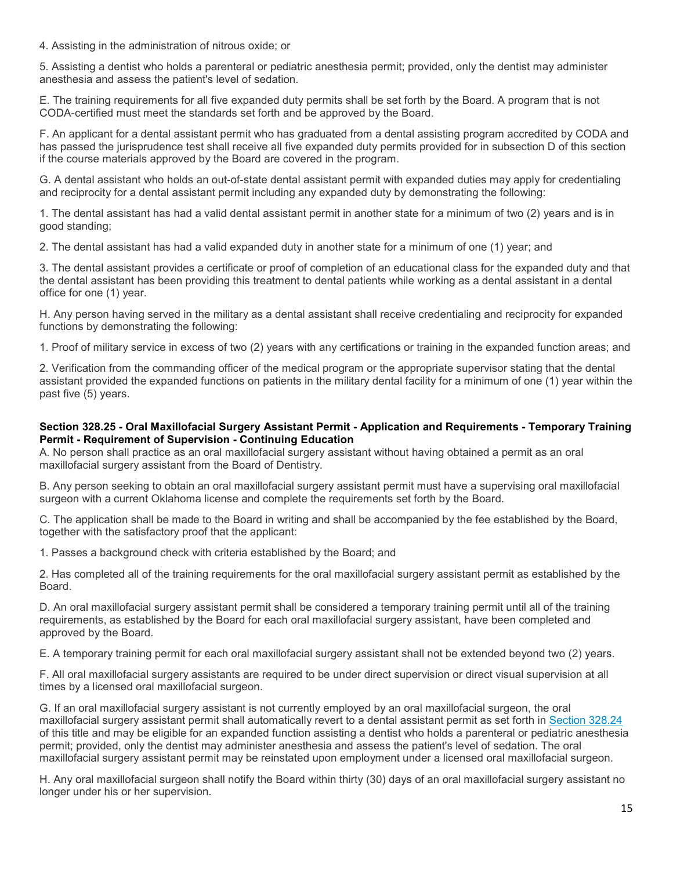4. Assisting in the administration of nitrous oxide; or

5. Assisting a dentist who holds a parenteral or pediatric anesthesia permit; provided, only the dentist may administer anesthesia and assess the patient's level of sedation.

E. The training requirements for all five expanded duty permits shall be set forth by the Board. A program that is not CODA-certified must meet the standards set forth and be approved by the Board.

F. An applicant for a dental assistant permit who has graduated from a dental assisting program accredited by CODA and has passed the jurisprudence test shall receive all five expanded duty permits provided for in subsection D of this section if the course materials approved by the Board are covered in the program.

G. A dental assistant who holds an out-of-state dental assistant permit with expanded duties may apply for credentialing and reciprocity for a dental assistant permit including any expanded duty by demonstrating the following:

1. The dental assistant has had a valid dental assistant permit in another state for a minimum of two (2) years and is in good standing;

2. The dental assistant has had a valid expanded duty in another state for a minimum of one (1) year; and

3. The dental assistant provides a certificate or proof of completion of an educational class for the expanded duty and that the dental assistant has been providing this treatment to dental patients while working as a dental assistant in a dental office for one (1) year.

H. Any person having served in the military as a dental assistant shall receive credentialing and reciprocity for expanded functions by demonstrating the following:

1. Proof of military service in excess of two (2) years with any certifications or training in the expanded function areas; and

2. Verification from the commanding officer of the medical program or the appropriate supervisor stating that the dental assistant provided the expanded functions on patients in the military dental facility for a minimum of one (1) year within the past five (5) years.

#### **Section 328.25 - Oral Maxillofacial Surgery Assistant Permit - Application and Requirements - Temporary Training Permit - Requirement of Supervision - Continuing Education**

A. No person shall practice as an oral maxillofacial surgery assistant without having obtained a permit as an oral maxillofacial surgery assistant from the Board of Dentistry.

B. Any person seeking to obtain an oral maxillofacial surgery assistant permit must have a supervising oral maxillofacial surgeon with a current Oklahoma license and complete the requirements set forth by the Board.

C. The application shall be made to the Board in writing and shall be accompanied by the fee established by the Board, together with the satisfactory proof that the applicant:

1. Passes a background check with criteria established by the Board; and

2. Has completed all of the training requirements for the oral maxillofacial surgery assistant permit as established by the Board.

D. An oral maxillofacial surgery assistant permit shall be considered a temporary training permit until all of the training requirements, as established by the Board for each oral maxillofacial surgery assistant, have been completed and approved by the Board.

E. A temporary training permit for each oral maxillofacial surgery assistant shall not be extended beyond two (2) years.

F. All oral maxillofacial surgery assistants are required to be under direct supervision or direct visual supervision at all times by a licensed oral maxillofacial surgeon.

G. If an oral maxillofacial surgery assistant is not currently employed by an oral maxillofacial surgeon, the oral maxillofacial surgery assistant permit shall automatically revert to a dental assistant permit as set forth in [Section 328.24](http://www.oscn.net/applications/oscn/DeliverDocument.asp?citeid=95486) of this title and may be eligible for an expanded function assisting a dentist who holds a parenteral or pediatric anesthesia permit; provided, only the dentist may administer anesthesia and assess the patient's level of sedation. The oral maxillofacial surgery assistant permit may be reinstated upon employment under a licensed oral maxillofacial surgeon.

H. Any oral maxillofacial surgeon shall notify the Board within thirty (30) days of an oral maxillofacial surgery assistant no longer under his or her supervision.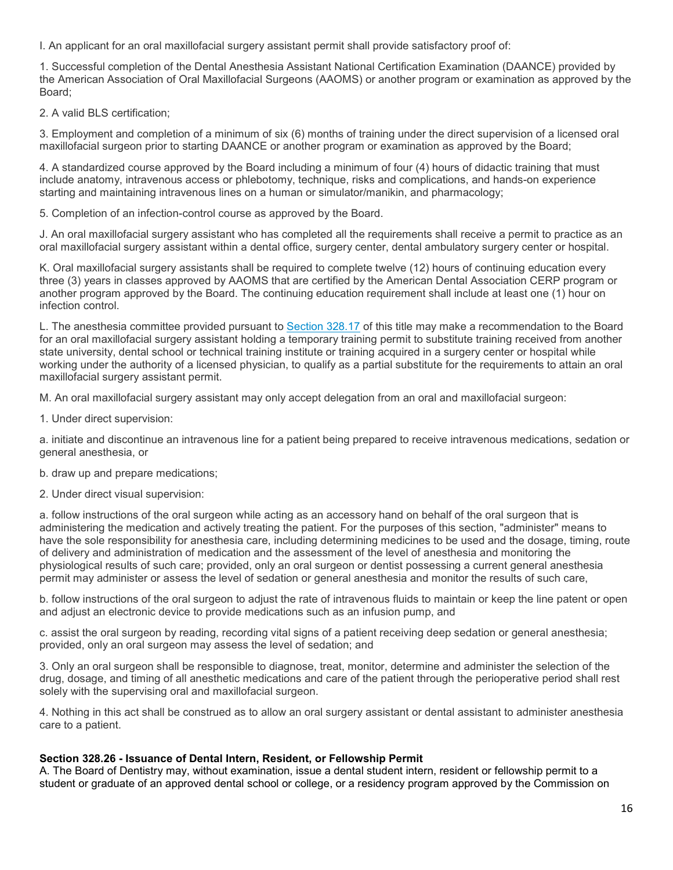I. An applicant for an oral maxillofacial surgery assistant permit shall provide satisfactory proof of:

1. Successful completion of the Dental Anesthesia Assistant National Certification Examination (DAANCE) provided by the American Association of Oral Maxillofacial Surgeons (AAOMS) or another program or examination as approved by the Board;

2. A valid BLS certification;

3. Employment and completion of a minimum of six (6) months of training under the direct supervision of a licensed oral maxillofacial surgeon prior to starting DAANCE or another program or examination as approved by the Board;

4. A standardized course approved by the Board including a minimum of four (4) hours of didactic training that must include anatomy, intravenous access or phlebotomy, technique, risks and complications, and hands-on experience starting and maintaining intravenous lines on a human or simulator/manikin, and pharmacology;

5. Completion of an infection-control course as approved by the Board.

J. An oral maxillofacial surgery assistant who has completed all the requirements shall receive a permit to practice as an oral maxillofacial surgery assistant within a dental office, surgery center, dental ambulatory surgery center or hospital.

K. Oral maxillofacial surgery assistants shall be required to complete twelve (12) hours of continuing education every three (3) years in classes approved by AAOMS that are certified by the American Dental Association CERP program or another program approved by the Board. The continuing education requirement shall include at least one (1) hour on infection control.

L. The anesthesia committee provided pursuant to [Section 328.17](http://www.oscn.net/applications/oscn/DeliverDocument.asp?citeid=95479) of this title may make a recommendation to the Board for an oral maxillofacial surgery assistant holding a temporary training permit to substitute training received from another state university, dental school or technical training institute or training acquired in a surgery center or hospital while working under the authority of a licensed physician, to qualify as a partial substitute for the requirements to attain an oral maxillofacial surgery assistant permit.

M. An oral maxillofacial surgery assistant may only accept delegation from an oral and maxillofacial surgeon:

1. Under direct supervision:

a. initiate and discontinue an intravenous line for a patient being prepared to receive intravenous medications, sedation or general anesthesia, or

b. draw up and prepare medications;

2. Under direct visual supervision:

a. follow instructions of the oral surgeon while acting as an accessory hand on behalf of the oral surgeon that is administering the medication and actively treating the patient. For the purposes of this section, "administer" means to have the sole responsibility for anesthesia care, including determining medicines to be used and the dosage, timing, route of delivery and administration of medication and the assessment of the level of anesthesia and monitoring the physiological results of such care; provided, only an oral surgeon or dentist possessing a current general anesthesia permit may administer or assess the level of sedation or general anesthesia and monitor the results of such care,

b. follow instructions of the oral surgeon to adjust the rate of intravenous fluids to maintain or keep the line patent or open and adjust an electronic device to provide medications such as an infusion pump, and

c. assist the oral surgeon by reading, recording vital signs of a patient receiving deep sedation or general anesthesia; provided, only an oral surgeon may assess the level of sedation; and

3. Only an oral surgeon shall be responsible to diagnose, treat, monitor, determine and administer the selection of the drug, dosage, and timing of all anesthetic medications and care of the patient through the perioperative period shall rest solely with the supervising oral and maxillofacial surgeon.

4. Nothing in this act shall be construed as to allow an oral surgery assistant or dental assistant to administer anesthesia care to a patient.

#### **Section 328.26 - Issuance of Dental Intern, Resident, or Fellowship Permit**

A. The Board of Dentistry may, without examination, issue a dental student intern, resident or fellowship permit to a student or graduate of an approved dental school or college, or a residency program approved by the Commission on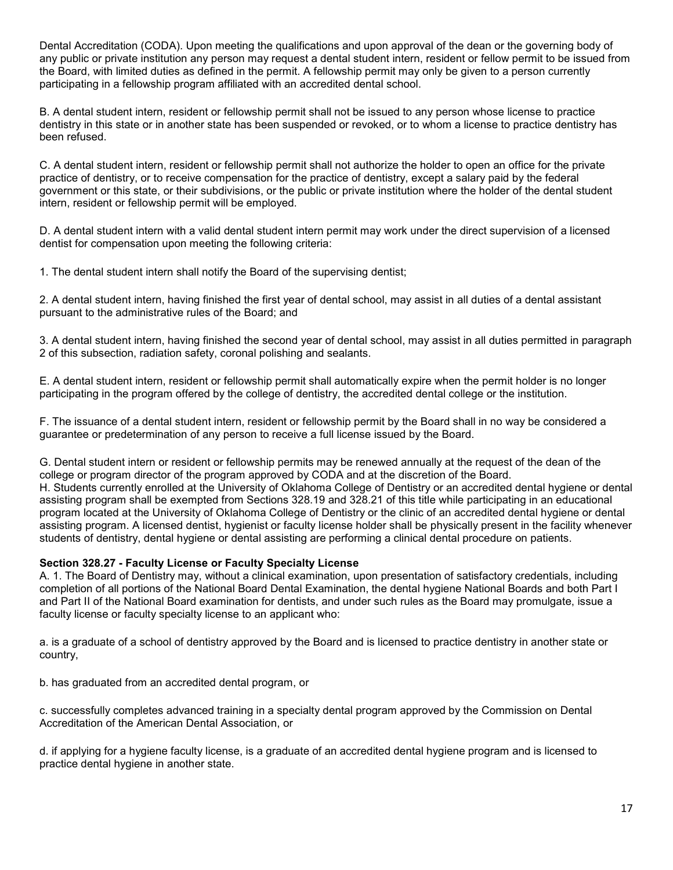Dental Accreditation (CODA). Upon meeting the qualifications and upon approval of the dean or the governing body of any public or private institution any person may request a dental student intern, resident or fellow permit to be issued from the Board, with limited duties as defined in the permit. A fellowship permit may only be given to a person currently participating in a fellowship program affiliated with an accredited dental school.

B. A dental student intern, resident or fellowship permit shall not be issued to any person whose license to practice dentistry in this state or in another state has been suspended or revoked, or to whom a license to practice dentistry has been refused.

C. A dental student intern, resident or fellowship permit shall not authorize the holder to open an office for the private practice of dentistry, or to receive compensation for the practice of dentistry, except a salary paid by the federal government or this state, or their subdivisions, or the public or private institution where the holder of the dental student intern, resident or fellowship permit will be employed.

D. A dental student intern with a valid dental student intern permit may work under the direct supervision of a licensed dentist for compensation upon meeting the following criteria:

1. The dental student intern shall notify the Board of the supervising dentist;

2. A dental student intern, having finished the first year of dental school, may assist in all duties of a dental assistant pursuant to the administrative rules of the Board; and

3. A dental student intern, having finished the second year of dental school, may assist in all duties permitted in paragraph 2 of this subsection, radiation safety, coronal polishing and sealants.

E. A dental student intern, resident or fellowship permit shall automatically expire when the permit holder is no longer participating in the program offered by the college of dentistry, the accredited dental college or the institution.

F. The issuance of a dental student intern, resident or fellowship permit by the Board shall in no way be considered a guarantee or predetermination of any person to receive a full license issued by the Board.

G. Dental student intern or resident or fellowship permits may be renewed annually at the request of the dean of the college or program director of the program approved by CODA and at the discretion of the Board. H. Students currently enrolled at the University of Oklahoma College of Dentistry or an accredited dental hygiene or dental assisting program shall be exempted from Sections 328.19 and 328.21 of this title while participating in an educational program located at the University of Oklahoma College of Dentistry or the clinic of an accredited dental hygiene or dental assisting program. A licensed dentist, hygienist or faculty license holder shall be physically present in the facility whenever students of dentistry, dental hygiene or dental assisting are performing a clinical dental procedure on patients.

## **Section 328.27 - Faculty License or Faculty Specialty License**

A. 1. The Board of Dentistry may, without a clinical examination, upon presentation of satisfactory credentials, including completion of all portions of the National Board Dental Examination, the dental hygiene National Boards and both Part I and Part II of the National Board examination for dentists, and under such rules as the Board may promulgate, issue a faculty license or faculty specialty license to an applicant who:

a. is a graduate of a school of dentistry approved by the Board and is licensed to practice dentistry in another state or country,

b. has graduated from an accredited dental program, or

c. successfully completes advanced training in a specialty dental program approved by the Commission on Dental Accreditation of the American Dental Association, or

d. if applying for a hygiene faculty license, is a graduate of an accredited dental hygiene program and is licensed to practice dental hygiene in another state.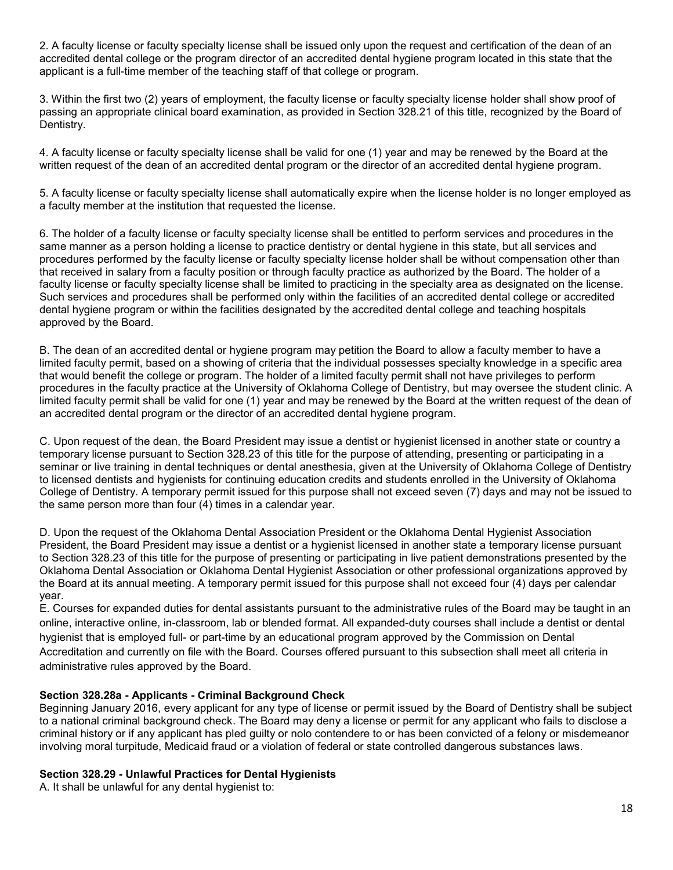2. A faculty license or faculty specialty license shall be issued only upon the request and certification of the dean of an accredited dental college or the program director of an accredited dental hygiene program located in this state that the applicant is a full-time member of the teaching staff of that college or program.

3. Within the first two (2) years of employment, the faculty license or faculty specialty license holder shall show proof of passing an appropriate clinical board examination, as provided in Section 328.21 of this title, recognized by the Board of Dentistry.

4. A faculty license or faculty specialty license shall be valid for one (1) year and may be renewed by the Board at the written request of the dean of an accredited dental program or the director of an accredited dental hygiene program.

5. A faculty license or faculty specialty license shall automatically expire when the license holder is no longer employed as a faculty member at the institution that requested the license.

6. The holder of a faculty license or faculty specialty license shall be entitled to perform services and procedures in the same manner as a person holding a license to practice dentistry or dental hygiene in this state, but all services and procedures performed by the faculty license or faculty specialty license holder shall be without compensation other than that received in salary from a faculty position or through faculty practice as authorized by the Board. The holder of a faculty license or faculty specialty license shall be limited to practicing in the specialty area as designated on the license. Such services and procedures shall be performed only within the facilities of an accredited dental college or accredited dental hygiene program or within the facilities designated by the accredited dental college and teaching hospitals approved by the Board.

B. The dean of an accredited dental or hygiene program may petition the Board to allow a faculty member to have a limited faculty permit, based on a showing of criteria that the individual possesses specialty knowledge in a specific area that would benefit the college or program. The holder of a limited faculty permit shall not have privileges to perform procedures in the faculty practice at the University of Oklahoma College of Dentistry, but may oversee the student clinic. A limited faculty permit shall be valid for one (1) year and may be renewed by the Board at the written request of the dean of an accredited dental program or the director of an accredited dental hygiene program.

C. Upon request of the dean, the Board President may issue a dentist or hygienist licensed in another state or country a temporary license pursuant to Section 328.23 of this title for the purpose of attending, presenting or participating in a seminar or live training in dental techniques or dental anesthesia, given at the University of Oklahoma College of Dentistry to licensed dentists and hygienists for continuing education credits and students enrolled in the University of Oklahoma College of Dentistry. A temporary permit issued for this purpose shall not exceed seven (7) days and may not be issued to the same person more than four (4) times in a calendar year.

D. Upon the request of the Oklahoma Dental Association President or the Oklahoma Dental Hygienist Association President, the Board President may issue a dentist or a hygienist licensed in another state a temporary license pursuant to Section 328.23 of this title for the purpose of presenting or participating in live patient demonstrations presented by the Oklahoma Dental Association or Oklahoma Dental Hygienist Association or other professional organizations approved by the Board at its annual meeting. A temporary permit issued for this purpose shall not exceed four (4) days per calendar year.

E. Courses for expanded duties for dental assistants pursuant to the administrative rules of the Board may be taught in an online, interactive online, in-classroom, lab or blended format. All expanded-duty courses shall include a dentist or dental hygienist that is employed full- or part-time by an educational program approved by the Commission on Dental Accreditation and currently on file with the Board. Courses offered pursuant to this subsection shall meet all criteria in administrative rules approved by the Board.

## **Section 328.28a - Applicants - Criminal Background Check**

Beginning January 2016, every applicant for any type of license or permit issued by the Board of Dentistry shall be subject to a national criminal background check. The Board may deny a license or permit for any applicant who fails to disclose a criminal history or if any applicant has pled guilty or nolo contendere to or has been convicted of a felony or misdemeanor involving moral turpitude, Medicaid fraud or a violation of federal or state controlled dangerous substances laws.

#### **Section 328.29 - Unlawful Practices for Dental Hygienists**

A. It shall be unlawful for any dental hygienist to: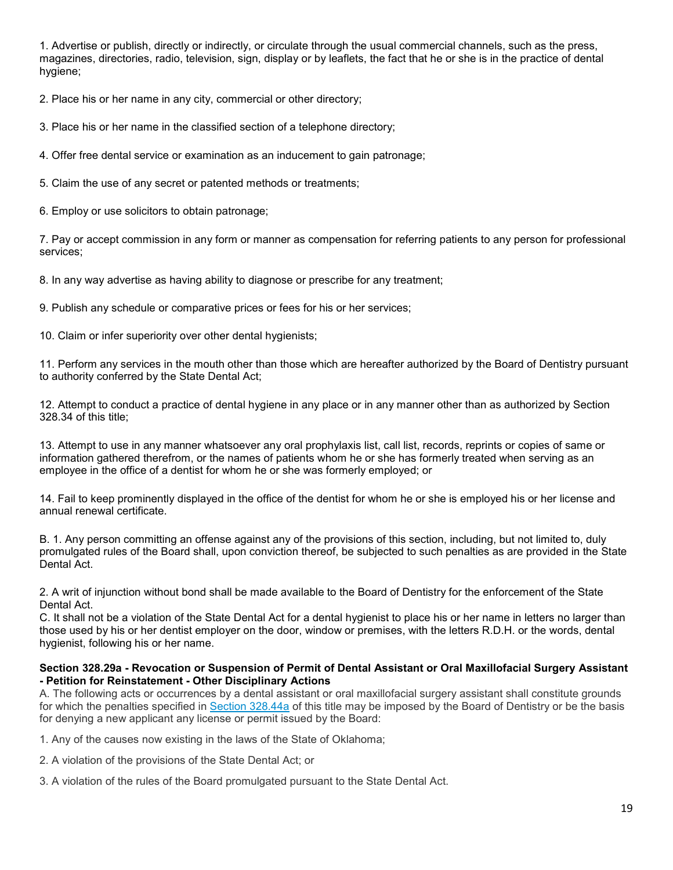1. Advertise or publish, directly or indirectly, or circulate through the usual commercial channels, such as the press, magazines, directories, radio, television, sign, display or by leaflets, the fact that he or she is in the practice of dental hygiene;

2. Place his or her name in any city, commercial or other directory;

3. Place his or her name in the classified section of a telephone directory;

4. Offer free dental service or examination as an inducement to gain patronage;

5. Claim the use of any secret or patented methods or treatments;

6. Employ or use solicitors to obtain patronage;

7. Pay or accept commission in any form or manner as compensation for referring patients to any person for professional services;

8. In any way advertise as having ability to diagnose or prescribe for any treatment;

9. Publish any schedule or comparative prices or fees for his or her services;

10. Claim or infer superiority over other dental hygienists;

11. Perform any services in the mouth other than those which are hereafter authorized by the Board of Dentistry pursuant to authority conferred by the State Dental Act;

12. Attempt to conduct a practice of dental hygiene in any place or in any manner other than as authorized by Section 328.34 of this title;

13. Attempt to use in any manner whatsoever any oral prophylaxis list, call list, records, reprints or copies of same or information gathered therefrom, or the names of patients whom he or she has formerly treated when serving as an employee in the office of a dentist for whom he or she was formerly employed; or

14. Fail to keep prominently displayed in the office of the dentist for whom he or she is employed his or her license and annual renewal certificate.

B. 1. Any person committing an offense against any of the provisions of this section, including, but not limited to, duly promulgated rules of the Board shall, upon conviction thereof, be subjected to such penalties as are provided in the State Dental Act.

2. A writ of injunction without bond shall be made available to the Board of Dentistry for the enforcement of the State Dental Act.

C. It shall not be a violation of the State Dental Act for a dental hygienist to place his or her name in letters no larger than those used by his or her dentist employer on the door, window or premises, with the letters R.D.H. or the words, dental hygienist, following his or her name.

#### **Section 328.29a - Revocation or Suspension of Permit of Dental Assistant or Oral Maxillofacial Surgery Assistant - Petition for Reinstatement - Other Disciplinary Actions**

A. The following acts or occurrences by a dental assistant or oral maxillofacial surgery assistant shall constitute grounds for which the penalties specified in [Section 328.44a](http://www.oscn.net/applications/oscn/DeliverDocument.asp?citeid=95510) of this title may be imposed by the Board of Dentistry or be the basis for denying a new applicant any license or permit issued by the Board:

1. Any of the causes now existing in the laws of the State of Oklahoma;

2. A violation of the provisions of the State Dental Act; or

3. A violation of the rules of the Board promulgated pursuant to the State Dental Act.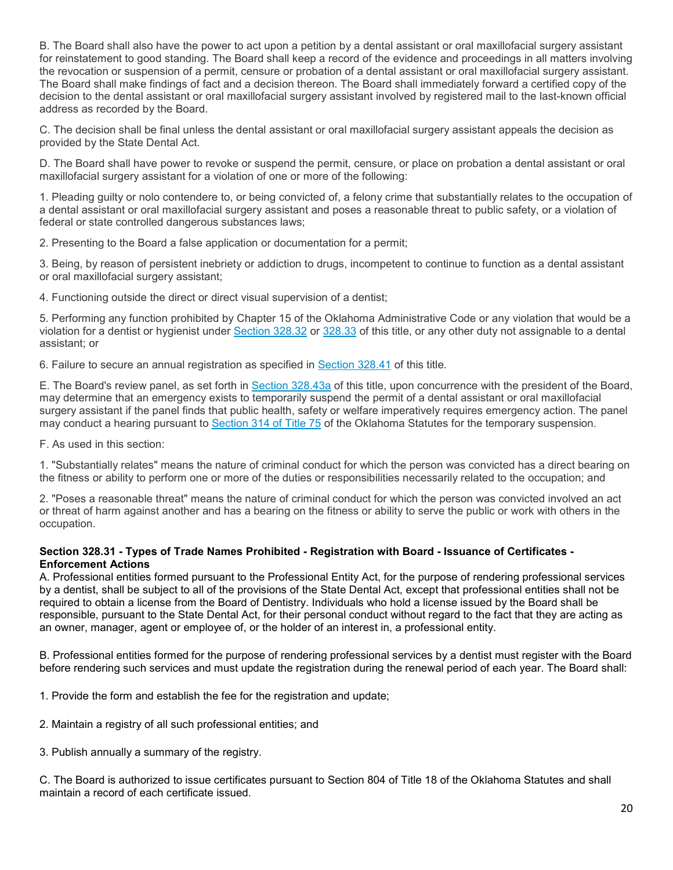B. The Board shall also have the power to act upon a petition by a dental assistant or oral maxillofacial surgery assistant for reinstatement to good standing. The Board shall keep a record of the evidence and proceedings in all matters involving the revocation or suspension of a permit, censure or probation of a dental assistant or oral maxillofacial surgery assistant. The Board shall make findings of fact and a decision thereon. The Board shall immediately forward a certified copy of the decision to the dental assistant or oral maxillofacial surgery assistant involved by registered mail to the last-known official address as recorded by the Board.

C. The decision shall be final unless the dental assistant or oral maxillofacial surgery assistant appeals the decision as provided by the State Dental Act.

D. The Board shall have power to revoke or suspend the permit, censure, or place on probation a dental assistant or oral maxillofacial surgery assistant for a violation of one or more of the following:

1. Pleading guilty or nolo contendere to, or being convicted of, a felony crime that substantially relates to the occupation of a dental assistant or oral maxillofacial surgery assistant and poses a reasonable threat to public safety, or a violation of federal or state controlled dangerous substances laws;

2. Presenting to the Board a false application or documentation for a permit;

3. Being, by reason of persistent inebriety or addiction to drugs, incompetent to continue to function as a dental assistant or oral maxillofacial surgery assistant;

4. Functioning outside the direct or direct visual supervision of a dentist;

5. Performing any function prohibited by Chapter 15 of the Oklahoma Administrative Code or any violation that would be a violation for a dentist or hygienist under [Section 328.32](http://www.oscn.net/applications/oscn/DeliverDocument.asp?citeid=95495) or [328.33](http://www.oscn.net/applications/oscn/DeliverDocument.asp?citeid=95496) of this title, or any other duty not assignable to a dental assistant; or

6. Failure to secure an annual registration as specified in [Section 328.41](http://www.oscn.net/applications/oscn/DeliverDocument.asp?citeid=95505) of this title.

E. The Board's review panel, as set forth in [Section 328.43a](http://www.oscn.net/applications/oscn/DeliverDocument.asp?citeid=95508) of this title, upon concurrence with the president of the Board, may determine that an emergency exists to temporarily suspend the permit of a dental assistant or oral maxillofacial surgery assistant if the panel finds that public health, safety or welfare imperatively requires emergency action. The panel may conduct a hearing pursuant to [Section 314 of Title 75](http://www.oscn.net/applications/oscn/DeliverDocument.asp?citeid=93523) of the Oklahoma Statutes for the temporary suspension.

F. As used in this section:

1. "Substantially relates" means the nature of criminal conduct for which the person was convicted has a direct bearing on the fitness or ability to perform one or more of the duties or responsibilities necessarily related to the occupation; and

2. "Poses a reasonable threat" means the nature of criminal conduct for which the person was convicted involved an act or threat of harm against another and has a bearing on the fitness or ability to serve the public or work with others in the occupation.

## **Section 328.31 - Types of Trade Names Prohibited - Registration with Board - Issuance of Certificates - Enforcement Actions**

A. Professional entities formed pursuant to the Professional Entity Act, for the purpose of rendering professional services by a dentist, shall be subject to all of the provisions of the State Dental Act, except that professional entities shall not be required to obtain a license from the Board of Dentistry. Individuals who hold a license issued by the Board shall be responsible, pursuant to the State Dental Act, for their personal conduct without regard to the fact that they are acting as an owner, manager, agent or employee of, or the holder of an interest in, a professional entity.

B. Professional entities formed for the purpose of rendering professional services by a dentist must register with the Board before rendering such services and must update the registration during the renewal period of each year. The Board shall:

1. Provide the form and establish the fee for the registration and update;

- 2. Maintain a registry of all such professional entities; and
- 3. Publish annually a summary of the registry.

C. The Board is authorized to issue certificates pursuant to Section 804 of Title 18 of the Oklahoma Statutes and shall maintain a record of each certificate issued.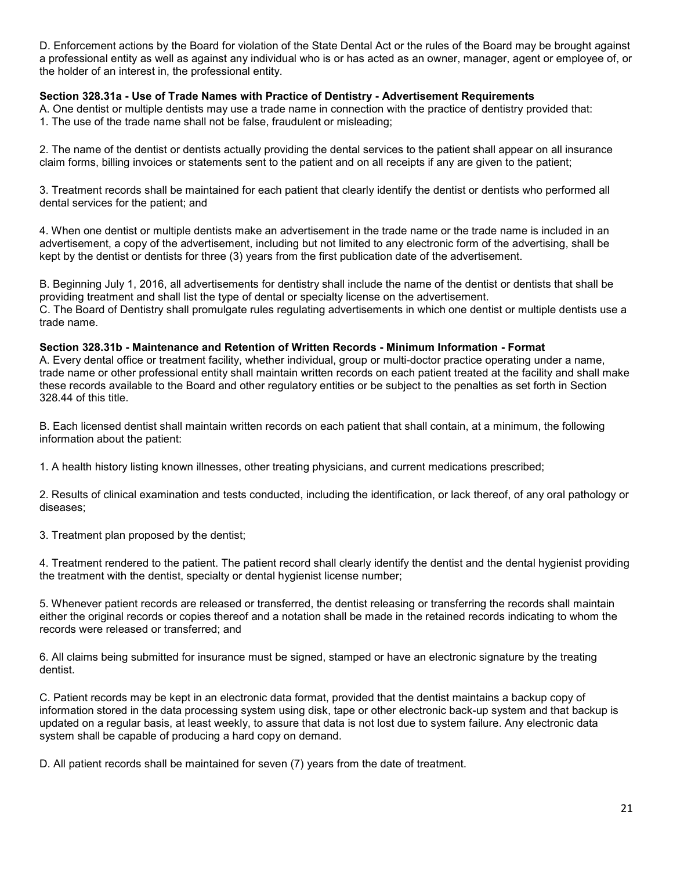D. Enforcement actions by the Board for violation of the State Dental Act or the rules of the Board may be brought against a professional entity as well as against any individual who is or has acted as an owner, manager, agent or employee of, or the holder of an interest in, the professional entity.

# **Section 328.31a - Use of Trade Names with Practice of Dentistry - Advertisement Requirements**

A. One dentist or multiple dentists may use a trade name in connection with the practice of dentistry provided that: 1. The use of the trade name shall not be false, fraudulent or misleading;

2. The name of the dentist or dentists actually providing the dental services to the patient shall appear on all insurance claim forms, billing invoices or statements sent to the patient and on all receipts if any are given to the patient;

3. Treatment records shall be maintained for each patient that clearly identify the dentist or dentists who performed all dental services for the patient; and

4. When one dentist or multiple dentists make an advertisement in the trade name or the trade name is included in an advertisement, a copy of the advertisement, including but not limited to any electronic form of the advertising, shall be kept by the dentist or dentists for three (3) years from the first publication date of the advertisement.

B. Beginning July 1, 2016, all advertisements for dentistry shall include the name of the dentist or dentists that shall be providing treatment and shall list the type of dental or specialty license on the advertisement. C. The Board of Dentistry shall promulgate rules regulating advertisements in which one dentist or multiple dentists use a trade name.

**Section 328.31b - Maintenance and Retention of Written Records - Minimum Information - Format** A. Every dental office or treatment facility, whether individual, group or multi-doctor practice operating under a name, trade name or other professional entity shall maintain written records on each patient treated at the facility and shall make these records available to the Board and other regulatory entities or be subject to the penalties as set forth in Section 328.44 of this title.

B. Each licensed dentist shall maintain written records on each patient that shall contain, at a minimum, the following information about the patient:

1. A health history listing known illnesses, other treating physicians, and current medications prescribed;

2. Results of clinical examination and tests conducted, including the identification, or lack thereof, of any oral pathology or diseases;

3. Treatment plan proposed by the dentist;

4. Treatment rendered to the patient. The patient record shall clearly identify the dentist and the dental hygienist providing the treatment with the dentist, specialty or dental hygienist license number;

5. Whenever patient records are released or transferred, the dentist releasing or transferring the records shall maintain either the original records or copies thereof and a notation shall be made in the retained records indicating to whom the records were released or transferred; and

6. All claims being submitted for insurance must be signed, stamped or have an electronic signature by the treating dentist.

C. Patient records may be kept in an electronic data format, provided that the dentist maintains a backup copy of information stored in the data processing system using disk, tape or other electronic back-up system and that backup is updated on a regular basis, at least weekly, to assure that data is not lost due to system failure. Any electronic data system shall be capable of producing a hard copy on demand.

D. All patient records shall be maintained for seven (7) years from the date of treatment.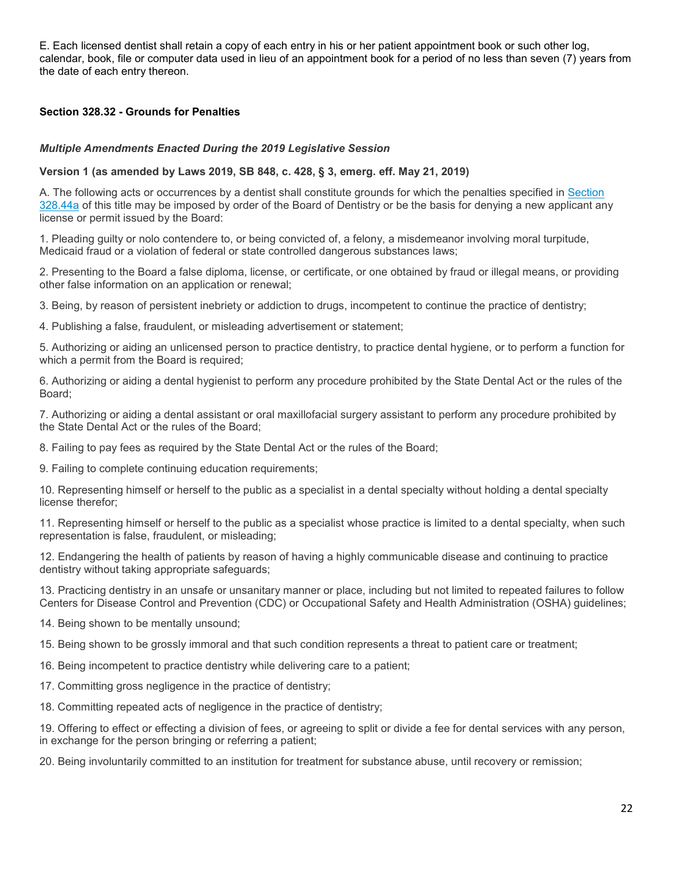E. Each licensed dentist shall retain a copy of each entry in his or her patient appointment book or such other log, calendar, book, file or computer data used in lieu of an appointment book for a period of no less than seven (7) years from the date of each entry thereon.

## **Section 328.32 - Grounds for Penalties**

#### *Multiple Amendments Enacted During the 2019 Legislative Session*

#### **Version 1 (as amended by Laws 2019, SB 848, c. 428, § 3, emerg. eff. May 21, 2019)**

A. The following acts or occurrences by a dentist shall constitute grounds for which the penalties specified in [Section](http://www.oscn.net/applications/oscn/DeliverDocument.asp?citeid=95510)  [328.44a](http://www.oscn.net/applications/oscn/DeliverDocument.asp?citeid=95510) of this title may be imposed by order of the Board of Dentistry or be the basis for denying a new applicant any license or permit issued by the Board:

1. Pleading guilty or nolo contendere to, or being convicted of, a felony, a misdemeanor involving moral turpitude, Medicaid fraud or a violation of federal or state controlled dangerous substances laws;

2. Presenting to the Board a false diploma, license, or certificate, or one obtained by fraud or illegal means, or providing other false information on an application or renewal;

3. Being, by reason of persistent inebriety or addiction to drugs, incompetent to continue the practice of dentistry;

4. Publishing a false, fraudulent, or misleading advertisement or statement;

5. Authorizing or aiding an unlicensed person to practice dentistry, to practice dental hygiene, or to perform a function for which a permit from the Board is required;

6. Authorizing or aiding a dental hygienist to perform any procedure prohibited by the State Dental Act or the rules of the Board;

7. Authorizing or aiding a dental assistant or oral maxillofacial surgery assistant to perform any procedure prohibited by the State Dental Act or the rules of the Board;

8. Failing to pay fees as required by the State Dental Act or the rules of the Board;

9. Failing to complete continuing education requirements;

10. Representing himself or herself to the public as a specialist in a dental specialty without holding a dental specialty license therefor;

11. Representing himself or herself to the public as a specialist whose practice is limited to a dental specialty, when such representation is false, fraudulent, or misleading;

12. Endangering the health of patients by reason of having a highly communicable disease and continuing to practice dentistry without taking appropriate safeguards;

13. Practicing dentistry in an unsafe or unsanitary manner or place, including but not limited to repeated failures to follow Centers for Disease Control and Prevention (CDC) or Occupational Safety and Health Administration (OSHA) guidelines;

14. Being shown to be mentally unsound;

15. Being shown to be grossly immoral and that such condition represents a threat to patient care or treatment;

16. Being incompetent to practice dentistry while delivering care to a patient;

17. Committing gross negligence in the practice of dentistry;

18. Committing repeated acts of negligence in the practice of dentistry;

19. Offering to effect or effecting a division of fees, or agreeing to split or divide a fee for dental services with any person, in exchange for the person bringing or referring a patient;

20. Being involuntarily committed to an institution for treatment for substance abuse, until recovery or remission;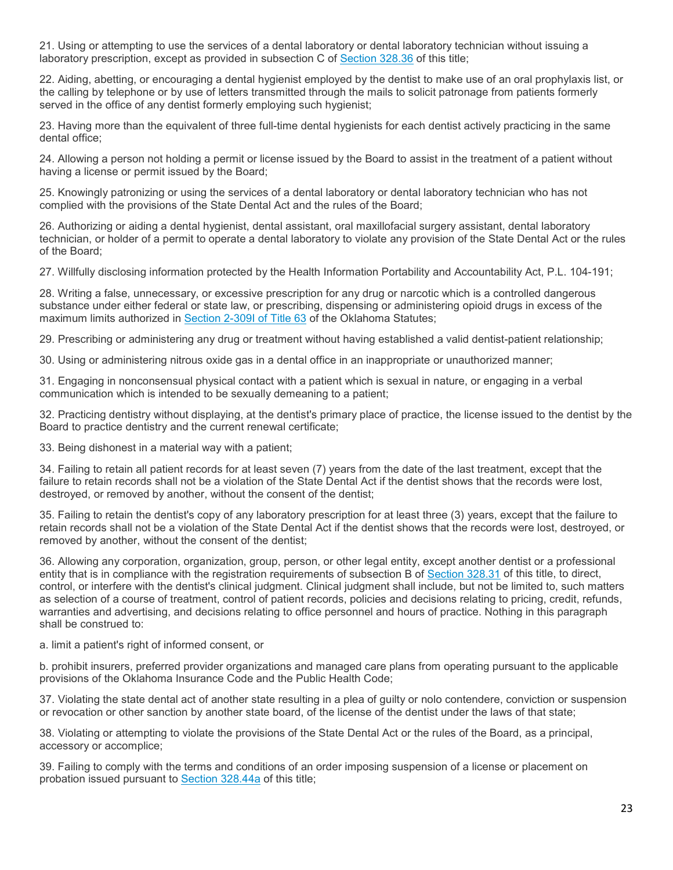21. Using or attempting to use the services of a dental laboratory or dental laboratory technician without issuing a laboratory prescription, except as provided in subsection C of [Section 328.36](http://www.oscn.net/applications/oscn/DeliverDocument.asp?citeid=95499) of this title;

22. Aiding, abetting, or encouraging a dental hygienist employed by the dentist to make use of an oral prophylaxis list, or the calling by telephone or by use of letters transmitted through the mails to solicit patronage from patients formerly served in the office of any dentist formerly employing such hygienist;

23. Having more than the equivalent of three full-time dental hygienists for each dentist actively practicing in the same dental office;

24. Allowing a person not holding a permit or license issued by the Board to assist in the treatment of a patient without having a license or permit issued by the Board;

25. Knowingly patronizing or using the services of a dental laboratory or dental laboratory technician who has not complied with the provisions of the State Dental Act and the rules of the Board;

26. Authorizing or aiding a dental hygienist, dental assistant, oral maxillofacial surgery assistant, dental laboratory technician, or holder of a permit to operate a dental laboratory to violate any provision of the State Dental Act or the rules of the Board;

27. Willfully disclosing information protected by the Health Information Portability and Accountability Act, P.L. 104-191;

28. Writing a false, unnecessary, or excessive prescription for any drug or narcotic which is a controlled dangerous substance under either federal or state law, or prescribing, dispensing or administering opioid drugs in excess of the maximum limits authorized in [Section 2-309I of Title 63](http://www.oscn.net/applications/oscn/DeliverDocument.asp?citeid=482877) of the Oklahoma Statutes;

29. Prescribing or administering any drug or treatment without having established a valid dentist-patient relationship;

30. Using or administering nitrous oxide gas in a dental office in an inappropriate or unauthorized manner;

31. Engaging in nonconsensual physical contact with a patient which is sexual in nature, or engaging in a verbal communication which is intended to be sexually demeaning to a patient;

32. Practicing dentistry without displaying, at the dentist's primary place of practice, the license issued to the dentist by the Board to practice dentistry and the current renewal certificate;

33. Being dishonest in a material way with a patient;

34. Failing to retain all patient records for at least seven (7) years from the date of the last treatment, except that the failure to retain records shall not be a violation of the State Dental Act if the dentist shows that the records were lost, destroyed, or removed by another, without the consent of the dentist;

35. Failing to retain the dentist's copy of any laboratory prescription for at least three (3) years, except that the failure to retain records shall not be a violation of the State Dental Act if the dentist shows that the records were lost, destroyed, or removed by another, without the consent of the dentist;

36. Allowing any corporation, organization, group, person, or other legal entity, except another dentist or a professional entity that is in compliance with the registration requirements of subsection B of [Section 328.31](http://www.oscn.net/applications/oscn/DeliverDocument.asp?citeid=95493) of this title, to direct, control, or interfere with the dentist's clinical judgment. Clinical judgment shall include, but not be limited to, such matters as selection of a course of treatment, control of patient records, policies and decisions relating to pricing, credit, refunds, warranties and advertising, and decisions relating to office personnel and hours of practice. Nothing in this paragraph shall be construed to:

a. limit a patient's right of informed consent, or

b. prohibit insurers, preferred provider organizations and managed care plans from operating pursuant to the applicable provisions of the Oklahoma Insurance Code and the Public Health Code;

37. Violating the state dental act of another state resulting in a plea of guilty or nolo contendere, conviction or suspension or revocation or other sanction by another state board, of the license of the dentist under the laws of that state;

38. Violating or attempting to violate the provisions of the State Dental Act or the rules of the Board, as a principal, accessory or accomplice;

39. Failing to comply with the terms and conditions of an order imposing suspension of a license or placement on probation issued pursuant to [Section 328.44a](http://www.oscn.net/applications/oscn/DeliverDocument.asp?citeid=95510) of this title;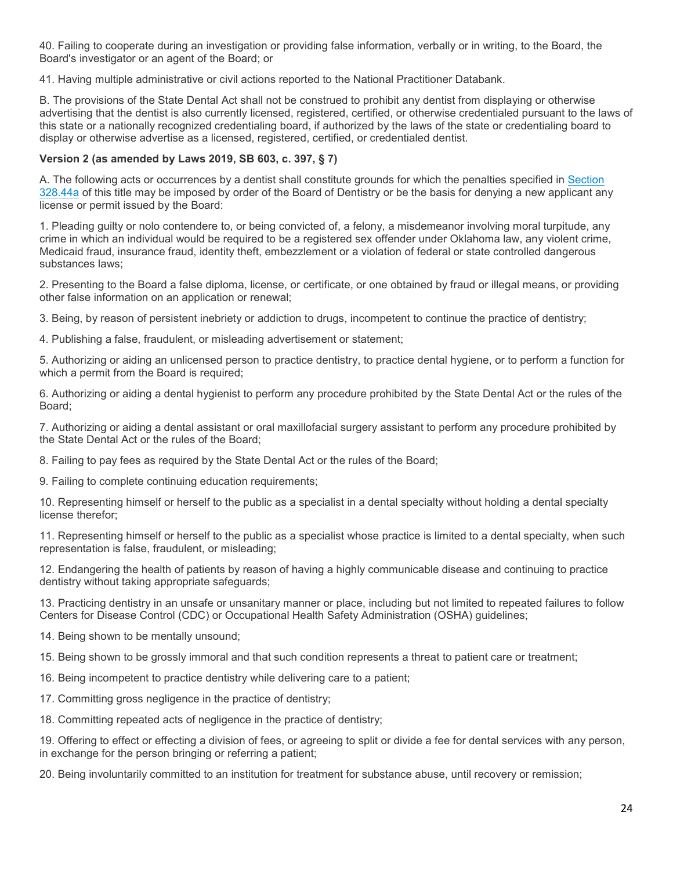40. Failing to cooperate during an investigation or providing false information, verbally or in writing, to the Board, the Board's investigator or an agent of the Board; or

41. Having multiple administrative or civil actions reported to the National Practitioner Databank.

B. The provisions of the State Dental Act shall not be construed to prohibit any dentist from displaying or otherwise advertising that the dentist is also currently licensed, registered, certified, or otherwise credentialed pursuant to the laws of this state or a nationally recognized credentialing board, if authorized by the laws of the state or credentialing board to display or otherwise advertise as a licensed, registered, certified, or credentialed dentist.

#### **Version 2 (as amended by Laws 2019, SB 603, c. 397, § 7)**

A. The following acts or occurrences by a dentist shall constitute grounds for which the penalties specified in [Section](http://www.oscn.net/applications/oscn/DeliverDocument.asp?citeid=95510)  [328.44a](http://www.oscn.net/applications/oscn/DeliverDocument.asp?citeid=95510) of this title may be imposed by order of the Board of Dentistry or be the basis for denying a new applicant any license or permit issued by the Board:

1. Pleading guilty or nolo contendere to, or being convicted of, a felony, a misdemeanor involving moral turpitude, any crime in which an individual would be required to be a registered sex offender under Oklahoma law, any violent crime, Medicaid fraud, insurance fraud, identity theft, embezzlement or a violation of federal or state controlled dangerous substances laws;

2. Presenting to the Board a false diploma, license, or certificate, or one obtained by fraud or illegal means, or providing other false information on an application or renewal;

3. Being, by reason of persistent inebriety or addiction to drugs, incompetent to continue the practice of dentistry;

4. Publishing a false, fraudulent, or misleading advertisement or statement;

5. Authorizing or aiding an unlicensed person to practice dentistry, to practice dental hygiene, or to perform a function for which a permit from the Board is required;

6. Authorizing or aiding a dental hygienist to perform any procedure prohibited by the State Dental Act or the rules of the Board;

7. Authorizing or aiding a dental assistant or oral maxillofacial surgery assistant to perform any procedure prohibited by the State Dental Act or the rules of the Board;

8. Failing to pay fees as required by the State Dental Act or the rules of the Board;

9. Failing to complete continuing education requirements;

10. Representing himself or herself to the public as a specialist in a dental specialty without holding a dental specialty license therefor;

11. Representing himself or herself to the public as a specialist whose practice is limited to a dental specialty, when such representation is false, fraudulent, or misleading;

12. Endangering the health of patients by reason of having a highly communicable disease and continuing to practice dentistry without taking appropriate safeguards;

13. Practicing dentistry in an unsafe or unsanitary manner or place, including but not limited to repeated failures to follow Centers for Disease Control (CDC) or Occupational Health Safety Administration (OSHA) guidelines;

14. Being shown to be mentally unsound;

15. Being shown to be grossly immoral and that such condition represents a threat to patient care or treatment;

- 16. Being incompetent to practice dentistry while delivering care to a patient;
- 17. Committing gross negligence in the practice of dentistry;
- 18. Committing repeated acts of negligence in the practice of dentistry;

19. Offering to effect or effecting a division of fees, or agreeing to split or divide a fee for dental services with any person, in exchange for the person bringing or referring a patient;

20. Being involuntarily committed to an institution for treatment for substance abuse, until recovery or remission;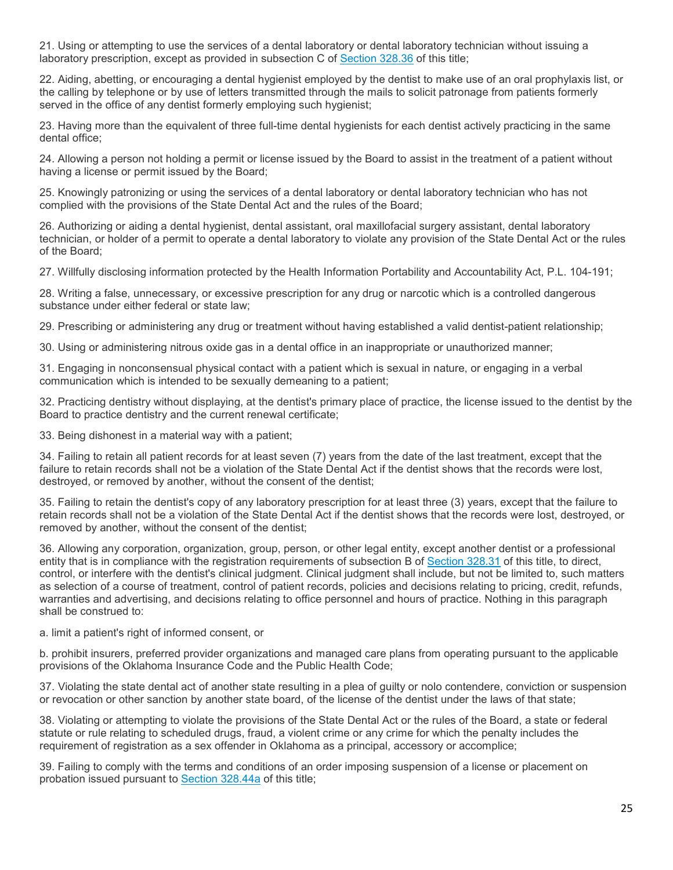21. Using or attempting to use the services of a dental laboratory or dental laboratory technician without issuing a laboratory prescription, except as provided in subsection C of [Section 328.36](http://www.oscn.net/applications/oscn/DeliverDocument.asp?citeid=95499) of this title;

22. Aiding, abetting, or encouraging a dental hygienist employed by the dentist to make use of an oral prophylaxis list, or the calling by telephone or by use of letters transmitted through the mails to solicit patronage from patients formerly served in the office of any dentist formerly employing such hygienist;

23. Having more than the equivalent of three full-time dental hygienists for each dentist actively practicing in the same dental office;

24. Allowing a person not holding a permit or license issued by the Board to assist in the treatment of a patient without having a license or permit issued by the Board;

25. Knowingly patronizing or using the services of a dental laboratory or dental laboratory technician who has not complied with the provisions of the State Dental Act and the rules of the Board;

26. Authorizing or aiding a dental hygienist, dental assistant, oral maxillofacial surgery assistant, dental laboratory technician, or holder of a permit to operate a dental laboratory to violate any provision of the State Dental Act or the rules of the Board;

27. Willfully disclosing information protected by the Health Information Portability and Accountability Act, P.L. 104-191;

28. Writing a false, unnecessary, or excessive prescription for any drug or narcotic which is a controlled dangerous substance under either federal or state law;

29. Prescribing or administering any drug or treatment without having established a valid dentist-patient relationship;

30. Using or administering nitrous oxide gas in a dental office in an inappropriate or unauthorized manner;

31. Engaging in nonconsensual physical contact with a patient which is sexual in nature, or engaging in a verbal communication which is intended to be sexually demeaning to a patient;

32. Practicing dentistry without displaying, at the dentist's primary place of practice, the license issued to the dentist by the Board to practice dentistry and the current renewal certificate;

33. Being dishonest in a material way with a patient;

34. Failing to retain all patient records for at least seven (7) years from the date of the last treatment, except that the failure to retain records shall not be a violation of the State Dental Act if the dentist shows that the records were lost, destroyed, or removed by another, without the consent of the dentist;

35. Failing to retain the dentist's copy of any laboratory prescription for at least three (3) years, except that the failure to retain records shall not be a violation of the State Dental Act if the dentist shows that the records were lost, destroyed, or removed by another, without the consent of the dentist;

36. Allowing any corporation, organization, group, person, or other legal entity, except another dentist or a professional entity that is in compliance with the registration requirements of subsection B of [Section 328.31](http://www.oscn.net/applications/oscn/DeliverDocument.asp?citeid=95493) of this title, to direct, control, or interfere with the dentist's clinical judgment. Clinical judgment shall include, but not be limited to, such matters as selection of a course of treatment, control of patient records, policies and decisions relating to pricing, credit, refunds, warranties and advertising, and decisions relating to office personnel and hours of practice. Nothing in this paragraph shall be construed to:

a. limit a patient's right of informed consent, or

b. prohibit insurers, preferred provider organizations and managed care plans from operating pursuant to the applicable provisions of the Oklahoma Insurance Code and the Public Health Code;

37. Violating the state dental act of another state resulting in a plea of guilty or nolo contendere, conviction or suspension or revocation or other sanction by another state board, of the license of the dentist under the laws of that state;

38. Violating or attempting to violate the provisions of the State Dental Act or the rules of the Board, a state or federal statute or rule relating to scheduled drugs, fraud, a violent crime or any crime for which the penalty includes the requirement of registration as a sex offender in Oklahoma as a principal, accessory or accomplice;

39. Failing to comply with the terms and conditions of an order imposing suspension of a license or placement on probation issued pursuant to [Section 328.44a](http://www.oscn.net/applications/oscn/DeliverDocument.asp?citeid=95510) of this title;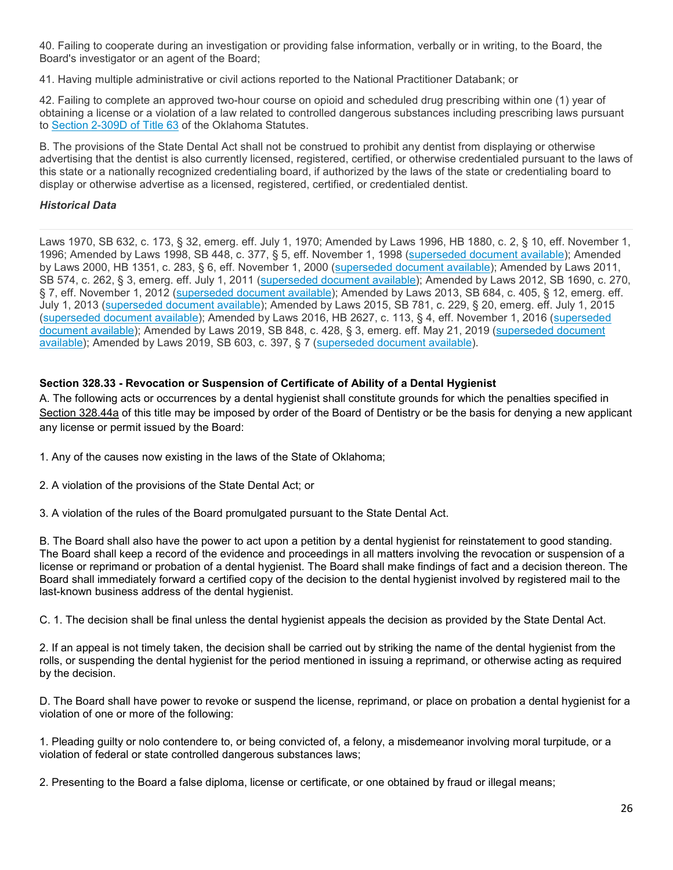40. Failing to cooperate during an investigation or providing false information, verbally or in writing, to the Board, the Board's investigator or an agent of the Board;

41. Having multiple administrative or civil actions reported to the National Practitioner Databank; or

42. Failing to complete an approved two-hour course on opioid and scheduled drug prescribing within one (1) year of obtaining a license or a violation of a law related to controlled dangerous substances including prescribing laws pursuant to [Section 2-309D of Title 63](http://www.oscn.net/applications/oscn/DeliverDocument.asp?citeid=439323) of the Oklahoma Statutes.

B. The provisions of the State Dental Act shall not be construed to prohibit any dentist from displaying or otherwise advertising that the dentist is also currently licensed, registered, certified, or otherwise credentialed pursuant to the laws of this state or a nationally recognized credentialing board, if authorized by the laws of the state or credentialing board to display or otherwise advertise as a licensed, registered, certified, or credentialed dentist.

## *Historical Data*

Laws 1970, SB 632, c. 173, § 32, emerg. eff. July 1, 1970; Amended by Laws 1996, HB 1880, c. 2, § 10, eff. November 1, 1996; Amended by Laws 1998, SB 448, c. 377, § 5, eff. November 1, 1998 [\(superseded document available\)](http://www.oscn.net/applications/oscn/DeliverDocument.asp?citeid=465246); Amended by Laws 2000, HB 1351, c. 283, § 6, eff. November 1, 2000 [\(superseded document available\)](http://www.oscn.net/applications/oscn/DeliverDocument.asp?citeid=445537); Amended by Laws 2011, SB 574, c. 262, § 3, emerg. eff. July 1, 2011 [\(superseded document available\)](http://www.oscn.net/applications/oscn/DeliverDocument.asp?citeid=463454); Amended by Laws 2012, SB 1690, c. 270, § 7, eff. November 1, 2012 [\(superseded document available\)](http://www.oscn.net/applications/oscn/DeliverDocument.asp?citeid=466770); Amended by Laws 2013, SB 684, c. 405, § 12, emerg. eff. July 1, 2013 [\(superseded document available\)](http://www.oscn.net/applications/oscn/DeliverDocument.asp?citeid=470426); Amended by Laws 2015, SB 781, c. 229, § 20, emerg. eff. July 1, 2015 [\(superseded document available\)](http://www.oscn.net/applications/oscn/DeliverDocument.asp?citeid=477097); Amended by Laws 2016, HB 2627, c. 113, § 4, eff. November 1, 2016 [\(superseded](http://www.oscn.net/applications/oscn/DeliverDocument.asp?citeid=478526)  [document available\)](http://www.oscn.net/applications/oscn/DeliverDocument.asp?citeid=478526); Amended by Laws 2019, SB 848, c. 428, § 3, emerg. eff. May 21, 2019 (superseded document [available\)](http://www.oscn.net/applications/oscn/DeliverDocument.asp?citeid=483818); Amended by Laws 2019, SB 603, c. 397, § 7 [\(superseded document available\)](http://www.oscn.net/applications/oscn/DeliverDocument.asp?citeid=486093).

# **Section 328.33 - Revocation or Suspension of Certificate of Ability of a Dental Hygienist**

A. The following acts or occurrences by a dental hygienist shall constitute grounds for which the penalties specified in [Section 328.44a](http://www.oscn.net/applications/oscn/DeliverDocument.asp?citeid=95510) of this title may be imposed by order of the Board of Dentistry or be the basis for denying a new applicant any license or permit issued by the Board:

- 1. Any of the causes now existing in the laws of the State of Oklahoma;
- 2. A violation of the provisions of the State Dental Act; or
- 3. A violation of the rules of the Board promulgated pursuant to the State Dental Act.

B. The Board shall also have the power to act upon a petition by a dental hygienist for reinstatement to good standing. The Board shall keep a record of the evidence and proceedings in all matters involving the revocation or suspension of a license or reprimand or probation of a dental hygienist. The Board shall make findings of fact and a decision thereon. The Board shall immediately forward a certified copy of the decision to the dental hygienist involved by registered mail to the last-known business address of the dental hygienist.

C. 1. The decision shall be final unless the dental hygienist appeals the decision as provided by the State Dental Act.

2. If an appeal is not timely taken, the decision shall be carried out by striking the name of the dental hygienist from the rolls, or suspending the dental hygienist for the period mentioned in issuing a reprimand, or otherwise acting as required by the decision.

D. The Board shall have power to revoke or suspend the license, reprimand, or place on probation a dental hygienist for a violation of one or more of the following:

1. Pleading guilty or nolo contendere to, or being convicted of, a felony, a misdemeanor involving moral turpitude, or a violation of federal or state controlled dangerous substances laws;

2. Presenting to the Board a false diploma, license or certificate, or one obtained by fraud or illegal means;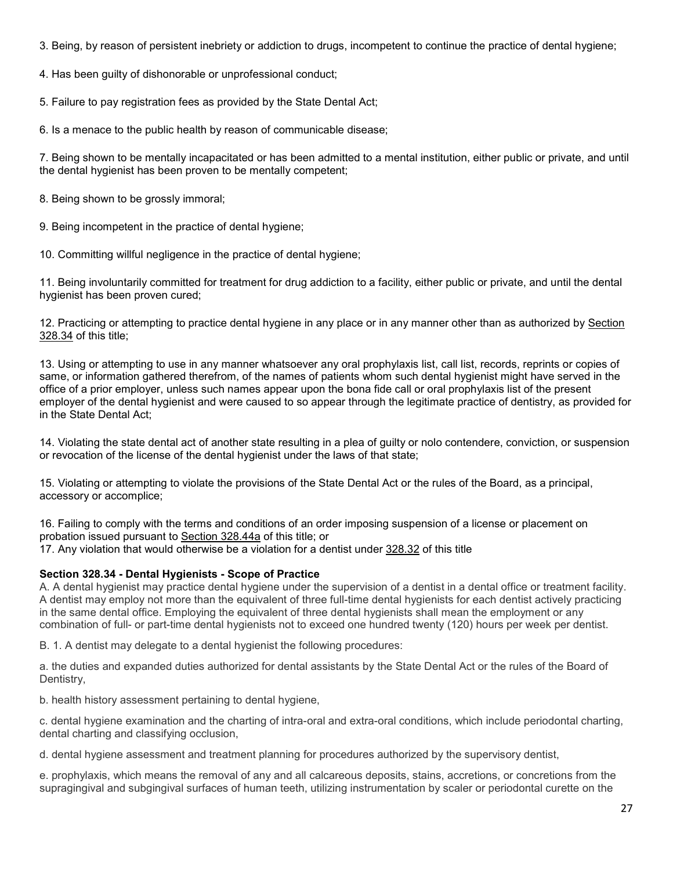3. Being, by reason of persistent inebriety or addiction to drugs, incompetent to continue the practice of dental hygiene;

4. Has been guilty of dishonorable or unprofessional conduct;

5. Failure to pay registration fees as provided by the State Dental Act;

6. Is a menace to the public health by reason of communicable disease;

7. Being shown to be mentally incapacitated or has been admitted to a mental institution, either public or private, and until the dental hygienist has been proven to be mentally competent;

8. Being shown to be grossly immoral;

9. Being incompetent in the practice of dental hygiene;

10. Committing willful negligence in the practice of dental hygiene;

11. Being involuntarily committed for treatment for drug addiction to a facility, either public or private, and until the dental hygienist has been proven cured;

12. Practicing or attempting to practice dental hygiene in any place or in any manner other than as authorized by [Section](http://www.oscn.net/applications/oscn/DeliverDocument.asp?citeid=95497)  [328.34](http://www.oscn.net/applications/oscn/DeliverDocument.asp?citeid=95497) of this title;

13. Using or attempting to use in any manner whatsoever any oral prophylaxis list, call list, records, reprints or copies of same, or information gathered therefrom, of the names of patients whom such dental hygienist might have served in the office of a prior employer, unless such names appear upon the bona fide call or oral prophylaxis list of the present employer of the dental hygienist and were caused to so appear through the legitimate practice of dentistry, as provided for in the State Dental Act;

14. Violating the state dental act of another state resulting in a plea of guilty or nolo contendere, conviction, or suspension or revocation of the license of the dental hygienist under the laws of that state;

15. Violating or attempting to violate the provisions of the State Dental Act or the rules of the Board, as a principal, accessory or accomplice;

16. Failing to comply with the terms and conditions of an order imposing suspension of a license or placement on probation issued pursuant to [Section 328.44a](http://www.oscn.net/applications/oscn/DeliverDocument.asp?citeid=95510) of this title; or 17. Any violation that would otherwise be a violation for a dentist under [328.32](http://www.oscn.net/applications/oscn/DeliverDocument.asp?citeid=95495) of this title

# **Section 328.34 - Dental Hygienists - Scope of Practice**

A. A dental hygienist may practice dental hygiene under the supervision of a dentist in a dental office or treatment facility. A dentist may employ not more than the equivalent of three full-time dental hygienists for each dentist actively practicing in the same dental office. Employing the equivalent of three dental hygienists shall mean the employment or any combination of full- or part-time dental hygienists not to exceed one hundred twenty (120) hours per week per dentist.

B. 1. A dentist may delegate to a dental hygienist the following procedures:

a. the duties and expanded duties authorized for dental assistants by the State Dental Act or the rules of the Board of Dentistry,

b. health history assessment pertaining to dental hygiene,

c. dental hygiene examination and the charting of intra-oral and extra-oral conditions, which include periodontal charting, dental charting and classifying occlusion,

d. dental hygiene assessment and treatment planning for procedures authorized by the supervisory dentist,

e. prophylaxis, which means the removal of any and all calcareous deposits, stains, accretions, or concretions from the supragingival and subgingival surfaces of human teeth, utilizing instrumentation by scaler or periodontal curette on the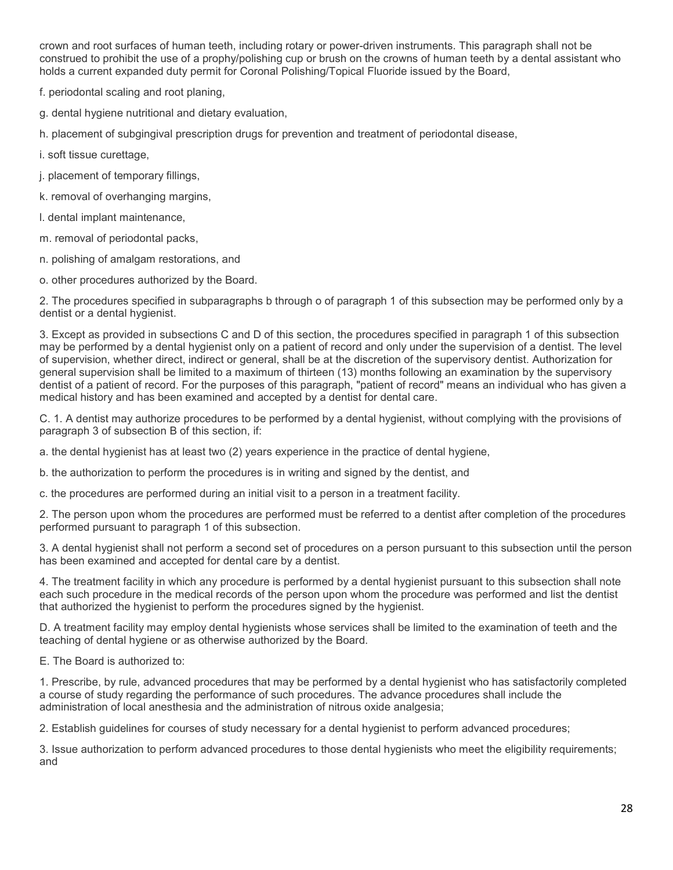crown and root surfaces of human teeth, including rotary or power-driven instruments. This paragraph shall not be construed to prohibit the use of a prophy/polishing cup or brush on the crowns of human teeth by a dental assistant who holds a current expanded duty permit for Coronal Polishing/Topical Fluoride issued by the Board,

f. periodontal scaling and root planing,

g. dental hygiene nutritional and dietary evaluation,

h. placement of subgingival prescription drugs for prevention and treatment of periodontal disease,

i. soft tissue curettage,

j. placement of temporary fillings,

k. removal of overhanging margins,

l. dental implant maintenance,

m. removal of periodontal packs,

n. polishing of amalgam restorations, and

o. other procedures authorized by the Board.

2. The procedures specified in subparagraphs b through o of paragraph 1 of this subsection may be performed only by a dentist or a dental hygienist.

3. Except as provided in subsections C and D of this section, the procedures specified in paragraph 1 of this subsection may be performed by a dental hygienist only on a patient of record and only under the supervision of a dentist. The level of supervision, whether direct, indirect or general, shall be at the discretion of the supervisory dentist. Authorization for general supervision shall be limited to a maximum of thirteen (13) months following an examination by the supervisory dentist of a patient of record. For the purposes of this paragraph, "patient of record" means an individual who has given a medical history and has been examined and accepted by a dentist for dental care.

C. 1. A dentist may authorize procedures to be performed by a dental hygienist, without complying with the provisions of paragraph 3 of subsection B of this section, if:

a. the dental hygienist has at least two (2) years experience in the practice of dental hygiene,

b. the authorization to perform the procedures is in writing and signed by the dentist, and

c. the procedures are performed during an initial visit to a person in a treatment facility.

2. The person upon whom the procedures are performed must be referred to a dentist after completion of the procedures performed pursuant to paragraph 1 of this subsection.

3. A dental hygienist shall not perform a second set of procedures on a person pursuant to this subsection until the person has been examined and accepted for dental care by a dentist.

4. The treatment facility in which any procedure is performed by a dental hygienist pursuant to this subsection shall note each such procedure in the medical records of the person upon whom the procedure was performed and list the dentist that authorized the hygienist to perform the procedures signed by the hygienist.

D. A treatment facility may employ dental hygienists whose services shall be limited to the examination of teeth and the teaching of dental hygiene or as otherwise authorized by the Board.

E. The Board is authorized to:

1. Prescribe, by rule, advanced procedures that may be performed by a dental hygienist who has satisfactorily completed a course of study regarding the performance of such procedures. The advance procedures shall include the administration of local anesthesia and the administration of nitrous oxide analgesia;

2. Establish guidelines for courses of study necessary for a dental hygienist to perform advanced procedures;

3. Issue authorization to perform advanced procedures to those dental hygienists who meet the eligibility requirements; and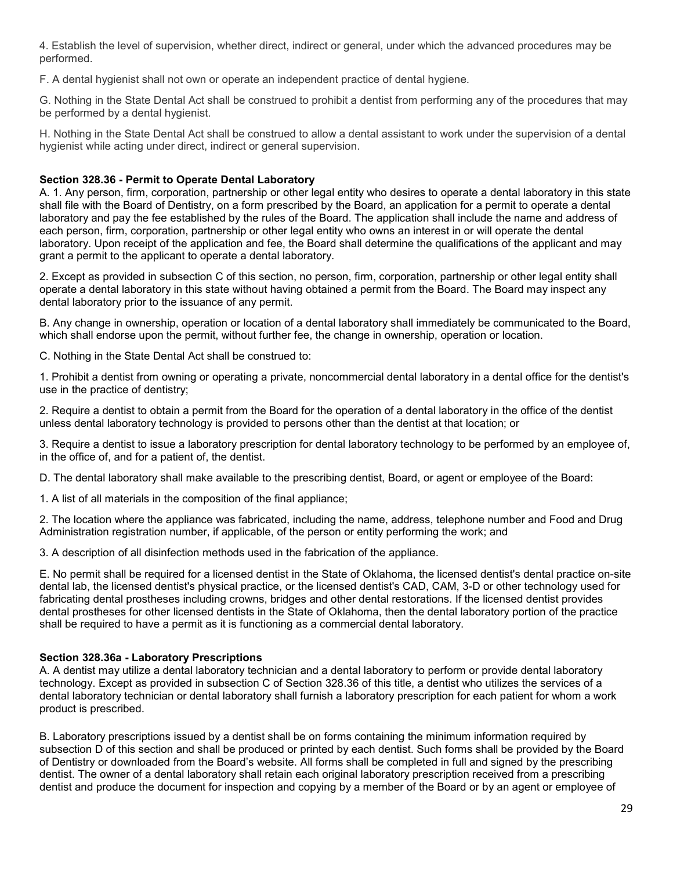4. Establish the level of supervision, whether direct, indirect or general, under which the advanced procedures may be performed.

F. A dental hygienist shall not own or operate an independent practice of dental hygiene.

G. Nothing in the State Dental Act shall be construed to prohibit a dentist from performing any of the procedures that may be performed by a dental hygienist.

H. Nothing in the State Dental Act shall be construed to allow a dental assistant to work under the supervision of a dental hygienist while acting under direct, indirect or general supervision.

# **Section 328.36 - Permit to Operate Dental Laboratory**

A. 1. Any person, firm, corporation, partnership or other legal entity who desires to operate a dental laboratory in this state shall file with the Board of Dentistry, on a form prescribed by the Board, an application for a permit to operate a dental laboratory and pay the fee established by the rules of the Board. The application shall include the name and address of each person, firm, corporation, partnership or other legal entity who owns an interest in or will operate the dental laboratory. Upon receipt of the application and fee, the Board shall determine the qualifications of the applicant and may grant a permit to the applicant to operate a dental laboratory.

2. Except as provided in subsection C of this section, no person, firm, corporation, partnership or other legal entity shall operate a dental laboratory in this state without having obtained a permit from the Board. The Board may inspect any dental laboratory prior to the issuance of any permit.

B. Any change in ownership, operation or location of a dental laboratory shall immediately be communicated to the Board, which shall endorse upon the permit, without further fee, the change in ownership, operation or location.

C. Nothing in the State Dental Act shall be construed to:

1. Prohibit a dentist from owning or operating a private, noncommercial dental laboratory in a dental office for the dentist's use in the practice of dentistry;

2. Require a dentist to obtain a permit from the Board for the operation of a dental laboratory in the office of the dentist unless dental laboratory technology is provided to persons other than the dentist at that location; or

3. Require a dentist to issue a laboratory prescription for dental laboratory technology to be performed by an employee of, in the office of, and for a patient of, the dentist.

D. The dental laboratory shall make available to the prescribing dentist, Board, or agent or employee of the Board:

1. A list of all materials in the composition of the final appliance;

2. The location where the appliance was fabricated, including the name, address, telephone number and Food and Drug Administration registration number, if applicable, of the person or entity performing the work; and

3. A description of all disinfection methods used in the fabrication of the appliance.

E. No permit shall be required for a licensed dentist in the State of Oklahoma, the licensed dentist's dental practice on-site dental lab, the licensed dentist's physical practice, or the licensed dentist's CAD, CAM, 3-D or other technology used for fabricating dental prostheses including crowns, bridges and other dental restorations. If the licensed dentist provides dental prostheses for other licensed dentists in the State of Oklahoma, then the dental laboratory portion of the practice shall be required to have a permit as it is functioning as a commercial dental laboratory.

## **Section 328.36a - Laboratory Prescriptions**

A. A dentist may utilize a dental laboratory technician and a dental laboratory to perform or provide dental laboratory technology. Except as provided in subsection C of Section 328.36 of this title, a dentist who utilizes the services of a dental laboratory technician or dental laboratory shall furnish a laboratory prescription for each patient for whom a work product is prescribed.

B. Laboratory prescriptions issued by a dentist shall be on forms containing the minimum information required by subsection D of this section and shall be produced or printed by each dentist. Such forms shall be provided by the Board of Dentistry or downloaded from the Board's website. All forms shall be completed in full and signed by the prescribing dentist. The owner of a dental laboratory shall retain each original laboratory prescription received from a prescribing dentist and produce the document for inspection and copying by a member of the Board or by an agent or employee of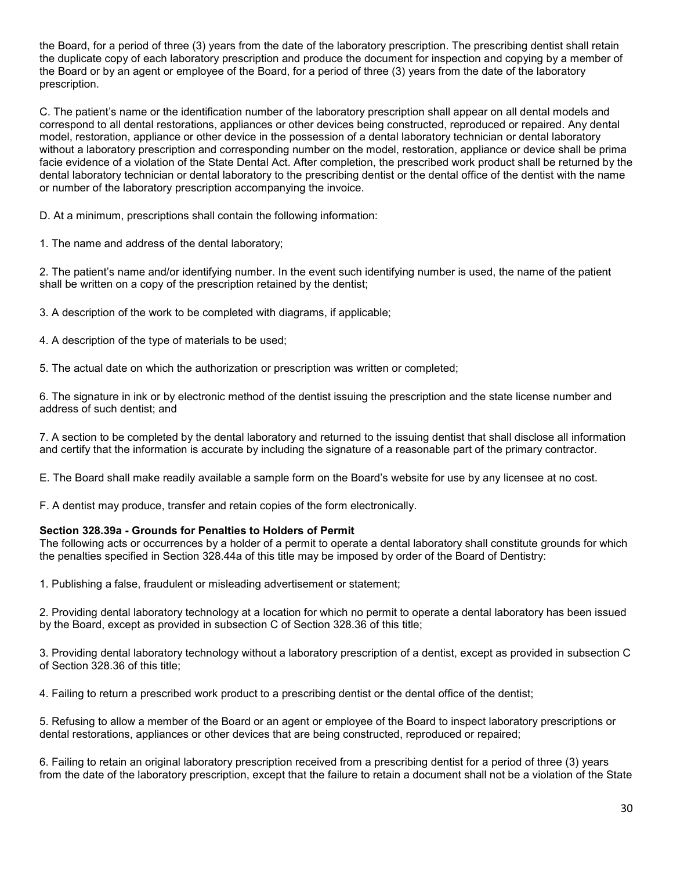the Board, for a period of three (3) years from the date of the laboratory prescription. The prescribing dentist shall retain the duplicate copy of each laboratory prescription and produce the document for inspection and copying by a member of the Board or by an agent or employee of the Board, for a period of three (3) years from the date of the laboratory prescription.

C. The patient's name or the identification number of the laboratory prescription shall appear on all dental models and correspond to all dental restorations, appliances or other devices being constructed, reproduced or repaired. Any dental model, restoration, appliance or other device in the possession of a dental laboratory technician or dental laboratory without a laboratory prescription and corresponding number on the model, restoration, appliance or device shall be prima facie evidence of a violation of the State Dental Act. After completion, the prescribed work product shall be returned by the dental laboratory technician or dental laboratory to the prescribing dentist or the dental office of the dentist with the name or number of the laboratory prescription accompanying the invoice.

D. At a minimum, prescriptions shall contain the following information:

1. The name and address of the dental laboratory;

2. The patient's name and/or identifying number. In the event such identifying number is used, the name of the patient shall be written on a copy of the prescription retained by the dentist;

3. A description of the work to be completed with diagrams, if applicable;

4. A description of the type of materials to be used;

5. The actual date on which the authorization or prescription was written or completed;

6. The signature in ink or by electronic method of the dentist issuing the prescription and the state license number and address of such dentist; and

7. A section to be completed by the dental laboratory and returned to the issuing dentist that shall disclose all information and certify that the information is accurate by including the signature of a reasonable part of the primary contractor.

E. The Board shall make readily available a sample form on the Board's website for use by any licensee at no cost.

F. A dentist may produce, transfer and retain copies of the form electronically.

#### **Section 328.39a - Grounds for Penalties to Holders of Permit**

The following acts or occurrences by a holder of a permit to operate a dental laboratory shall constitute grounds for which the penalties specified in Section 328.44a of this title may be imposed by order of the Board of Dentistry:

1. Publishing a false, fraudulent or misleading advertisement or statement;

2. Providing dental laboratory technology at a location for which no permit to operate a dental laboratory has been issued by the Board, except as provided in subsection C of Section 328.36 of this title;

3. Providing dental laboratory technology without a laboratory prescription of a dentist, except as provided in subsection C of Section 328.36 of this title;

4. Failing to return a prescribed work product to a prescribing dentist or the dental office of the dentist;

5. Refusing to allow a member of the Board or an agent or employee of the Board to inspect laboratory prescriptions or dental restorations, appliances or other devices that are being constructed, reproduced or repaired;

6. Failing to retain an original laboratory prescription received from a prescribing dentist for a period of three (3) years from the date of the laboratory prescription, except that the failure to retain a document shall not be a violation of the State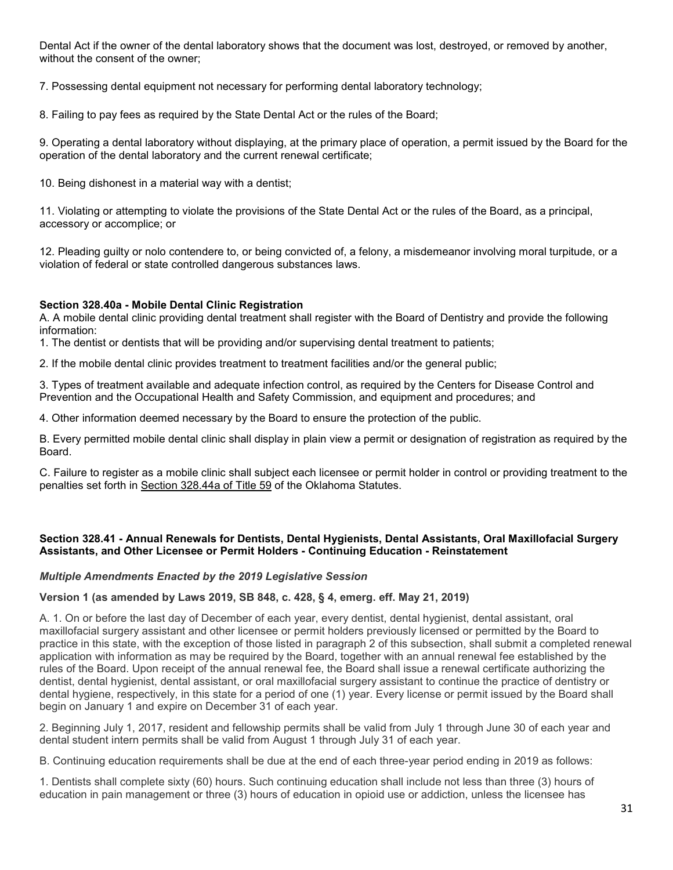Dental Act if the owner of the dental laboratory shows that the document was lost, destroyed, or removed by another, without the consent of the owner;

7. Possessing dental equipment not necessary for performing dental laboratory technology;

8. Failing to pay fees as required by the State Dental Act or the rules of the Board;

9. Operating a dental laboratory without displaying, at the primary place of operation, a permit issued by the Board for the operation of the dental laboratory and the current renewal certificate;

10. Being dishonest in a material way with a dentist;

11. Violating or attempting to violate the provisions of the State Dental Act or the rules of the Board, as a principal, accessory or accomplice; or

12. Pleading guilty or nolo contendere to, or being convicted of, a felony, a misdemeanor involving moral turpitude, or a violation of federal or state controlled dangerous substances laws.

# **Section 328.40a - Mobile Dental Clinic Registration**

A. A mobile dental clinic providing dental treatment shall register with the Board of Dentistry and provide the following information:

1. The dentist or dentists that will be providing and/or supervising dental treatment to patients;

2. If the mobile dental clinic provides treatment to treatment facilities and/or the general public;

3. Types of treatment available and adequate infection control, as required by the Centers for Disease Control and Prevention and the Occupational Health and Safety Commission, and equipment and procedures; and

4. Other information deemed necessary by the Board to ensure the protection of the public.

B. Every permitted mobile dental clinic shall display in plain view a permit or designation of registration as required by the Board.

C. Failure to register as a mobile clinic shall subject each licensee or permit holder in control or providing treatment to the penalties set forth in [Section 328.44a of Title 59](http://www.oscn.net/applications/oscn/DeliverDocument.asp?citeid=95510) of the Oklahoma Statutes.

## **Section 328.41 - Annual Renewals for Dentists, Dental Hygienists, Dental Assistants, Oral Maxillofacial Surgery Assistants, and Other Licensee or Permit Holders - Continuing Education - Reinstatement**

## *Multiple Amendments Enacted by the 2019 Legislative Session*

## **Version 1 (as amended by Laws 2019, SB 848, c. 428, § 4, emerg. eff. May 21, 2019)**

A. 1. On or before the last day of December of each year, every dentist, dental hygienist, dental assistant, oral maxillofacial surgery assistant and other licensee or permit holders previously licensed or permitted by the Board to practice in this state, with the exception of those listed in paragraph 2 of this subsection, shall submit a completed renewal application with information as may be required by the Board, together with an annual renewal fee established by the rules of the Board. Upon receipt of the annual renewal fee, the Board shall issue a renewal certificate authorizing the dentist, dental hygienist, dental assistant, or oral maxillofacial surgery assistant to continue the practice of dentistry or dental hygiene, respectively, in this state for a period of one (1) year. Every license or permit issued by the Board shall begin on January 1 and expire on December 31 of each year.

2. Beginning July 1, 2017, resident and fellowship permits shall be valid from July 1 through June 30 of each year and dental student intern permits shall be valid from August 1 through July 31 of each year.

B. Continuing education requirements shall be due at the end of each three-year period ending in 2019 as follows:

1. Dentists shall complete sixty (60) hours. Such continuing education shall include not less than three (3) hours of education in pain management or three (3) hours of education in opioid use or addiction, unless the licensee has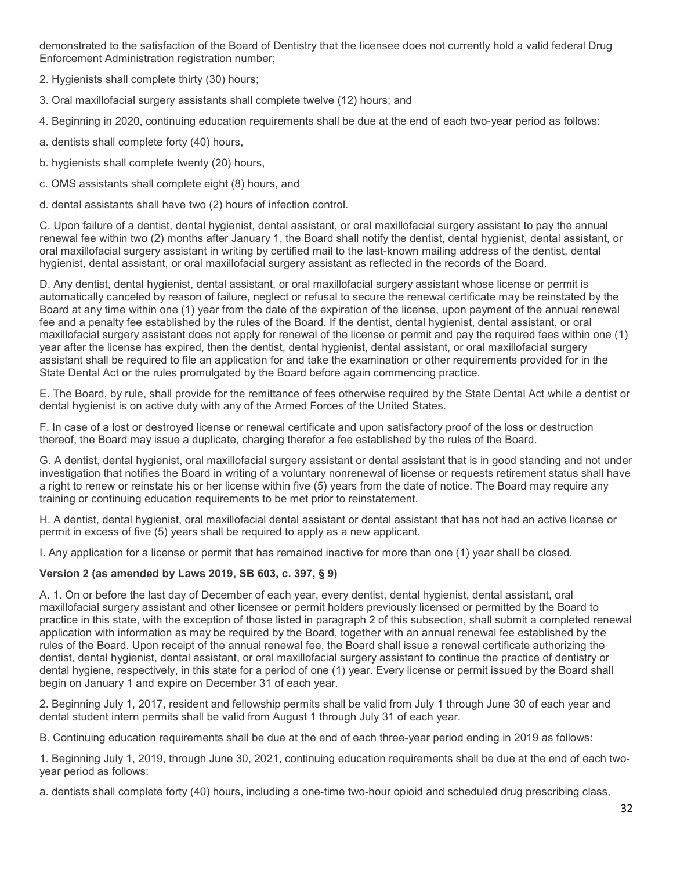demonstrated to the satisfaction of the Board of Dentistry that the licensee does not currently hold a valid federal Drug Enforcement Administration registration number;

2. Hygienists shall complete thirty (30) hours;

- 3. Oral maxillofacial surgery assistants shall complete twelve (12) hours; and
- 4. Beginning in 2020, continuing education requirements shall be due at the end of each two-year period as follows:
- a. dentists shall complete forty (40) hours,
- b. hygienists shall complete twenty (20) hours,
- c. OMS assistants shall complete eight (8) hours, and
- d. dental assistants shall have two (2) hours of infection control.

C. Upon failure of a dentist, dental hygienist, dental assistant, or oral maxillofacial surgery assistant to pay the annual renewal fee within two (2) months after January 1, the Board shall notify the dentist, dental hygienist, dental assistant, or oral maxillofacial surgery assistant in writing by certified mail to the last-known mailing address of the dentist, dental hygienist, dental assistant, or oral maxillofacial surgery assistant as reflected in the records of the Board.

D. Any dentist, dental hygienist, dental assistant, or oral maxillofacial surgery assistant whose license or permit is automatically canceled by reason of failure, neglect or refusal to secure the renewal certificate may be reinstated by the Board at any time within one (1) year from the date of the expiration of the license, upon payment of the annual renewal fee and a penalty fee established by the rules of the Board. If the dentist, dental hygienist, dental assistant, or oral maxillofacial surgery assistant does not apply for renewal of the license or permit and pay the required fees within one (1) year after the license has expired, then the dentist, dental hygienist, dental assistant, or oral maxillofacial surgery assistant shall be required to file an application for and take the examination or other requirements provided for in the State Dental Act or the rules promulgated by the Board before again commencing practice.

E. The Board, by rule, shall provide for the remittance of fees otherwise required by the State Dental Act while a dentist or dental hygienist is on active duty with any of the Armed Forces of the United States.

F. In case of a lost or destroyed license or renewal certificate and upon satisfactory proof of the loss or destruction thereof, the Board may issue a duplicate, charging therefor a fee established by the rules of the Board.

G. A dentist, dental hygienist, oral maxillofacial surgery assistant or dental assistant that is in good standing and not under investigation that notifies the Board in writing of a voluntary nonrenewal of license or requests retirement status shall have a right to renew or reinstate his or her license within five (5) years from the date of notice. The Board may require any training or continuing education requirements to be met prior to reinstatement.

H. A dentist, dental hygienist, oral maxillofacial dental assistant or dental assistant that has not had an active license or permit in excess of five (5) years shall be required to apply as a new applicant.

I. Any application for a license or permit that has remained inactive for more than one (1) year shall be closed.

# **Version 2 (as amended by Laws 2019, SB 603, c. 397, § 9)**

A. 1. On or before the last day of December of each year, every dentist, dental hygienist, dental assistant, oral maxillofacial surgery assistant and other licensee or permit holders previously licensed or permitted by the Board to practice in this state, with the exception of those listed in paragraph 2 of this subsection, shall submit a completed renewal application with information as may be required by the Board, together with an annual renewal fee established by the rules of the Board. Upon receipt of the annual renewal fee, the Board shall issue a renewal certificate authorizing the dentist, dental hygienist, dental assistant, or oral maxillofacial surgery assistant to continue the practice of dentistry or dental hygiene, respectively, in this state for a period of one (1) year. Every license or permit issued by the Board shall begin on January 1 and expire on December 31 of each year.

2. Beginning July 1, 2017, resident and fellowship permits shall be valid from July 1 through June 30 of each year and dental student intern permits shall be valid from August 1 through July 31 of each year.

B. Continuing education requirements shall be due at the end of each three-year period ending in 2019 as follows:

1. Beginning July 1, 2019, through June 30, 2021, continuing education requirements shall be due at the end of each twoyear period as follows:

a. dentists shall complete forty (40) hours, including a one-time two-hour opioid and scheduled drug prescribing class,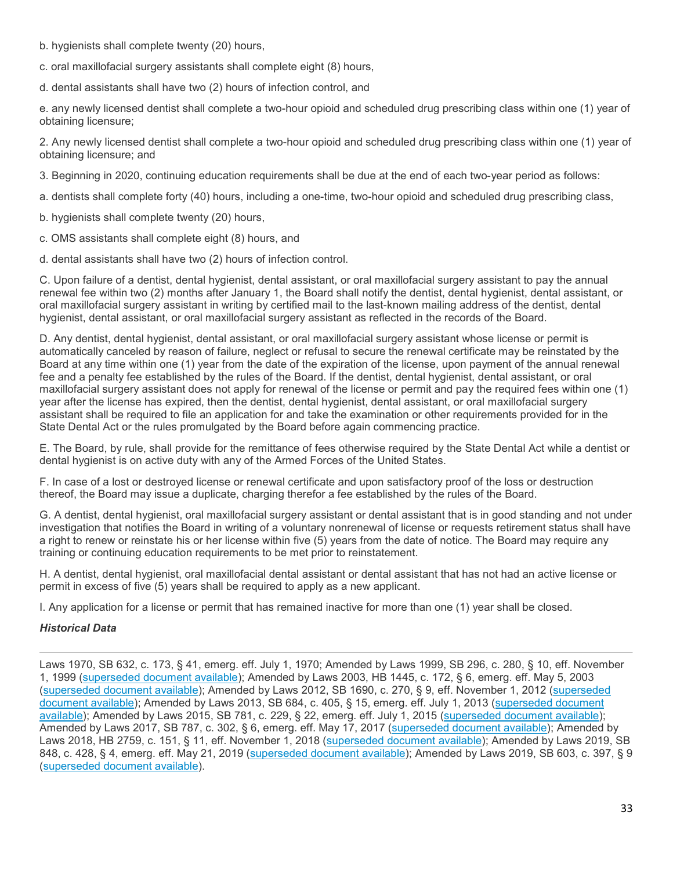- b. hygienists shall complete twenty (20) hours,
- c. oral maxillofacial surgery assistants shall complete eight (8) hours,

d. dental assistants shall have two (2) hours of infection control, and

e. any newly licensed dentist shall complete a two-hour opioid and scheduled drug prescribing class within one (1) year of obtaining licensure;

2. Any newly licensed dentist shall complete a two-hour opioid and scheduled drug prescribing class within one (1) year of obtaining licensure; and

3. Beginning in 2020, continuing education requirements shall be due at the end of each two-year period as follows:

a. dentists shall complete forty (40) hours, including a one-time, two-hour opioid and scheduled drug prescribing class,

- b. hygienists shall complete twenty (20) hours,
- c. OMS assistants shall complete eight (8) hours, and
- d. dental assistants shall have two (2) hours of infection control.

C. Upon failure of a dentist, dental hygienist, dental assistant, or oral maxillofacial surgery assistant to pay the annual renewal fee within two (2) months after January 1, the Board shall notify the dentist, dental hygienist, dental assistant, or oral maxillofacial surgery assistant in writing by certified mail to the last-known mailing address of the dentist, dental hygienist, dental assistant, or oral maxillofacial surgery assistant as reflected in the records of the Board.

D. Any dentist, dental hygienist, dental assistant, or oral maxillofacial surgery assistant whose license or permit is automatically canceled by reason of failure, neglect or refusal to secure the renewal certificate may be reinstated by the Board at any time within one (1) year from the date of the expiration of the license, upon payment of the annual renewal fee and a penalty fee established by the rules of the Board. If the dentist, dental hygienist, dental assistant, or oral maxillofacial surgery assistant does not apply for renewal of the license or permit and pay the required fees within one (1) year after the license has expired, then the dentist, dental hygienist, dental assistant, or oral maxillofacial surgery assistant shall be required to file an application for and take the examination or other requirements provided for in the State Dental Act or the rules promulgated by the Board before again commencing practice.

E. The Board, by rule, shall provide for the remittance of fees otherwise required by the State Dental Act while a dentist or dental hygienist is on active duty with any of the Armed Forces of the United States.

F. In case of a lost or destroyed license or renewal certificate and upon satisfactory proof of the loss or destruction thereof, the Board may issue a duplicate, charging therefor a fee established by the rules of the Board.

G. A dentist, dental hygienist, oral maxillofacial surgery assistant or dental assistant that is in good standing and not under investigation that notifies the Board in writing of a voluntary nonrenewal of license or requests retirement status shall have a right to renew or reinstate his or her license within five (5) years from the date of notice. The Board may require any training or continuing education requirements to be met prior to reinstatement.

H. A dentist, dental hygienist, oral maxillofacial dental assistant or dental assistant that has not had an active license or permit in excess of five (5) years shall be required to apply as a new applicant.

I. Any application for a license or permit that has remained inactive for more than one (1) year shall be closed.

# *Historical Data*

Laws 1970, SB 632, c. 173, § 41, emerg. eff. July 1, 1970; Amended by Laws 1999, SB 296, c. 280, § 10, eff. November 1, 1999 [\(superseded document available\)](http://www.oscn.net/datafiles/superseded/oklahoma/statutes/title59/X270599X59%20OS%20328.41.html); Amended by Laws 2003, HB 1445, c. 172, § 6, emerg. eff. May 5, 2003 [\(superseded document available\)](http://www.oscn.net/applications/oscn/DeliverDocument.asp?citeid=438181); Amended by Laws 2012, SB 1690, c. 270, § 9, eff. November 1, 2012 [\(superseded](http://www.oscn.net/applications/oscn/DeliverDocument.asp?citeid=466774)  [document available\)](http://www.oscn.net/applications/oscn/DeliverDocument.asp?citeid=466774); Amended by Laws 2013, SB 684, c. 405, § 15, emerg. eff. July 1, 2013 [\(superseded document](http://www.oscn.net/applications/oscn/DeliverDocument.asp?citeid=470452)  [available\)](http://www.oscn.net/applications/oscn/DeliverDocument.asp?citeid=470452); Amended by Laws 2015, SB 781, c. 229, § 22, emerg. eff. July 1, 2015 [\(superseded document available\)](http://www.oscn.net/applications/oscn/DeliverDocument.asp?citeid=477102); Amended by Laws 2017, SB 787, c. 302, § 6, emerg. eff. May 17, 2017 [\(superseded document available\)](http://www.oscn.net/applications/oscn/DeliverDocument.asp?citeid=481075); Amended by Laws 2018, HB 2759, c. 151, § 11, eff. November 1, 2018 [\(superseded document available\)](http://www.oscn.net/applications/oscn/DeliverDocument.asp?citeid=483131); Amended by Laws 2019, SB 848, c. 428, § 4, emerg. eff. May 21, 2019 [\(superseded document available\)](http://www.oscn.net/applications/oscn/DeliverDocument.asp?citeid=483819); Amended by Laws 2019, SB 603, c. 397, § 9 [\(superseded document available\)](http://www.oscn.net/applications/oscn/DeliverDocument.asp?citeid=486095).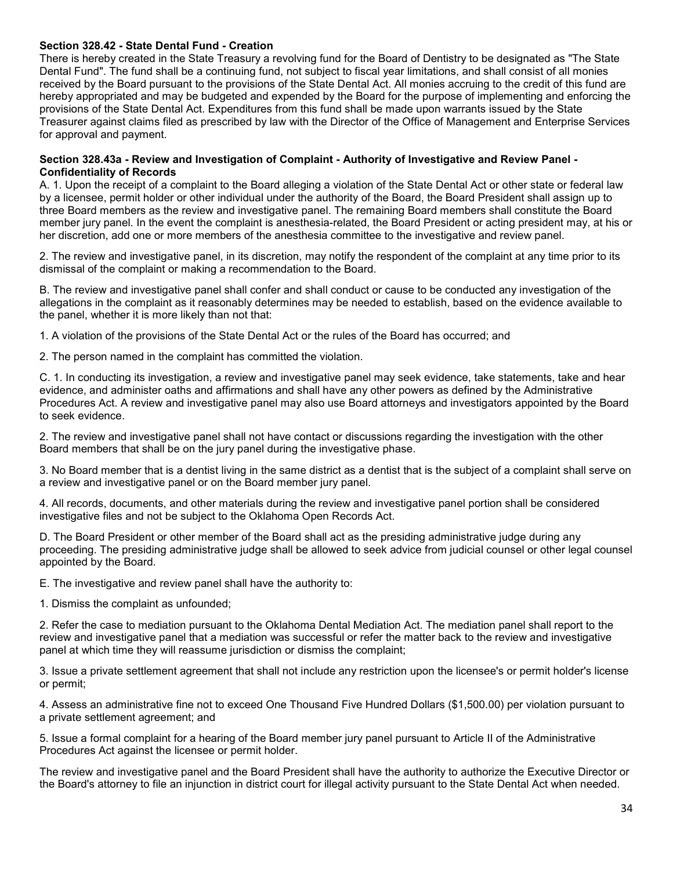#### **Section 328.42 - State Dental Fund - Creation**

There is hereby created in the State Treasury a revolving fund for the Board of Dentistry to be designated as "The State Dental Fund". The fund shall be a continuing fund, not subject to fiscal year limitations, and shall consist of all monies received by the Board pursuant to the provisions of the State Dental Act. All monies accruing to the credit of this fund are hereby appropriated and may be budgeted and expended by the Board for the purpose of implementing and enforcing the provisions of the State Dental Act. Expenditures from this fund shall be made upon warrants issued by the State Treasurer against claims filed as prescribed by law with the Director of the Office of Management and Enterprise Services for approval and payment.

#### **Section 328.43a - Review and Investigation of Complaint - Authority of Investigative and Review Panel - Confidentiality of Records**

A. 1. Upon the receipt of a complaint to the Board alleging a violation of the State Dental Act or other state or federal law by a licensee, permit holder or other individual under the authority of the Board, the Board President shall assign up to three Board members as the review and investigative panel. The remaining Board members shall constitute the Board member jury panel. In the event the complaint is anesthesia-related, the Board President or acting president may, at his or her discretion, add one or more members of the anesthesia committee to the investigative and review panel.

2. The review and investigative panel, in its discretion, may notify the respondent of the complaint at any time prior to its dismissal of the complaint or making a recommendation to the Board.

B. The review and investigative panel shall confer and shall conduct or cause to be conducted any investigation of the allegations in the complaint as it reasonably determines may be needed to establish, based on the evidence available to the panel, whether it is more likely than not that:

1. A violation of the provisions of the State Dental Act or the rules of the Board has occurred; and

2. The person named in the complaint has committed the violation.

C. 1. In conducting its investigation, a review and investigative panel may seek evidence, take statements, take and hear evidence, and administer oaths and affirmations and shall have any other powers as defined by the Administrative Procedures Act. A review and investigative panel may also use Board attorneys and investigators appointed by the Board to seek evidence.

2. The review and investigative panel shall not have contact or discussions regarding the investigation with the other Board members that shall be on the jury panel during the investigative phase.

3. No Board member that is a dentist living in the same district as a dentist that is the subject of a complaint shall serve on a review and investigative panel or on the Board member jury panel.

4. All records, documents, and other materials during the review and investigative panel portion shall be considered investigative files and not be subject to the Oklahoma Open Records Act.

D. The Board President or other member of the Board shall act as the presiding administrative judge during any proceeding. The presiding administrative judge shall be allowed to seek advice from judicial counsel or other legal counsel appointed by the Board.

E. The investigative and review panel shall have the authority to:

1. Dismiss the complaint as unfounded;

2. Refer the case to mediation pursuant to the Oklahoma Dental Mediation Act. The mediation panel shall report to the review and investigative panel that a mediation was successful or refer the matter back to the review and investigative panel at which time they will reassume jurisdiction or dismiss the complaint;

3. Issue a private settlement agreement that shall not include any restriction upon the licensee's or permit holder's license or permit;

4. Assess an administrative fine not to exceed One Thousand Five Hundred Dollars (\$1,500.00) per violation pursuant to a private settlement agreement; and

5. Issue a formal complaint for a hearing of the Board member jury panel pursuant to Article II of the Administrative Procedures Act against the licensee or permit holder.

The review and investigative panel and the Board President shall have the authority to authorize the Executive Director or the Board's attorney to file an injunction in district court for illegal activity pursuant to the State Dental Act when needed.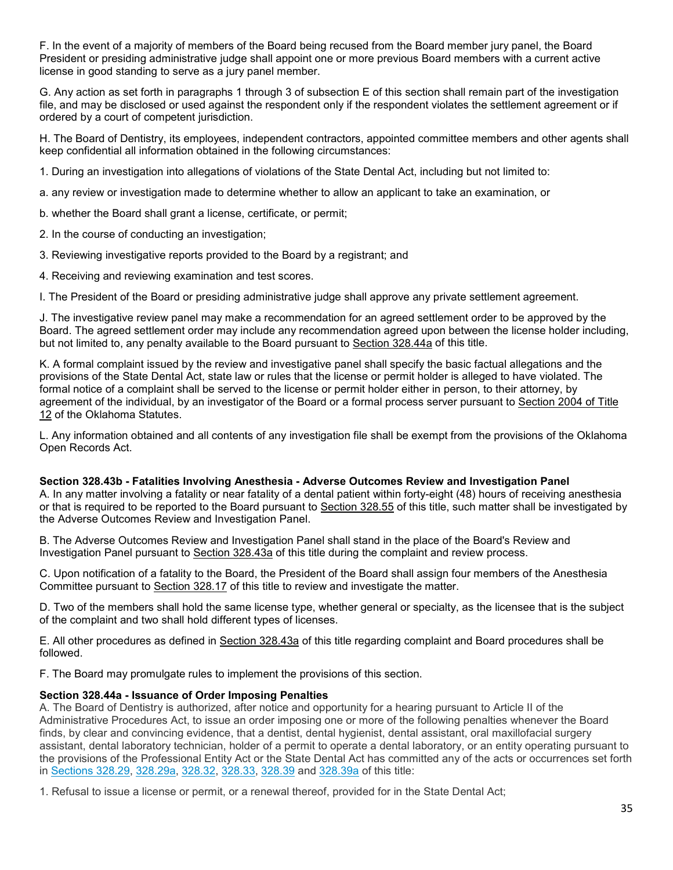F. In the event of a majority of members of the Board being recused from the Board member jury panel, the Board President or presiding administrative judge shall appoint one or more previous Board members with a current active license in good standing to serve as a jury panel member.

G. Any action as set forth in paragraphs 1 through 3 of subsection E of this section shall remain part of the investigation file, and may be disclosed or used against the respondent only if the respondent violates the settlement agreement or if ordered by a court of competent jurisdiction.

H. The Board of Dentistry, its employees, independent contractors, appointed committee members and other agents shall keep confidential all information obtained in the following circumstances:

1. During an investigation into allegations of violations of the State Dental Act, including but not limited to:

a. any review or investigation made to determine whether to allow an applicant to take an examination, or

b. whether the Board shall grant a license, certificate, or permit;

2. In the course of conducting an investigation;

3. Reviewing investigative reports provided to the Board by a registrant; and

4. Receiving and reviewing examination and test scores.

I. The President of the Board or presiding administrative judge shall approve any private settlement agreement.

J. The investigative review panel may make a recommendation for an agreed settlement order to be approved by the Board. The agreed settlement order may include any recommendation agreed upon between the license holder including, but not limited to, any penalty available to the Board pursuant to [Section 328.44a](http://www.oscn.net/applications/oscn/DeliverDocument.asp?citeid=95510) of this title.

K. A formal complaint issued by the review and investigative panel shall specify the basic factual allegations and the provisions of the State Dental Act, state law or rules that the license or permit holder is alleged to have violated. The formal notice of a complaint shall be served to the license or permit holder either in person, to their attorney, by agreement of the individual, by an investigator of the Board or a formal process server pursuant to [Section 2004 of Title](http://www.oscn.net/applications/oscn/DeliverDocument.asp?citeid=94862)  [12](http://www.oscn.net/applications/oscn/DeliverDocument.asp?citeid=94862) of the Oklahoma Statutes.

L. Any information obtained and all contents of any investigation file shall be exempt from the provisions of the Oklahoma Open Records Act.

#### **Section 328.43b - Fatalities Involving Anesthesia - Adverse Outcomes Review and Investigation Panel**

A. In any matter involving a fatality or near fatality of a dental patient within forty-eight (48) hours of receiving anesthesia or that is required to be reported to the Board pursuant to [Section 328.55](http://www.oscn.net/applications/oscn/DeliverDocument.asp?citeid=466780) of this title, such matter shall be investigated by the Adverse Outcomes Review and Investigation Panel.

B. The Adverse Outcomes Review and Investigation Panel shall stand in the place of the Board's Review and Investigation Panel pursuant to [Section 328.43a](http://www.oscn.net/applications/oscn/DeliverDocument.asp?citeid=95508) of this title during the complaint and review process.

C. Upon notification of a fatality to the Board, the President of the Board shall assign four members of the Anesthesia Committee pursuant to [Section 328.17](http://www.oscn.net/applications/oscn/DeliverDocument.asp?citeid=95479) of this title to review and investigate the matter.

D. Two of the members shall hold the same license type, whether general or specialty, as the licensee that is the subject of the complaint and two shall hold different types of licenses.

E. All other procedures as defined in [Section 328.43a](http://www.oscn.net/applications/oscn/DeliverDocument.asp?citeid=95508) of this title regarding complaint and Board procedures shall be followed.

F. The Board may promulgate rules to implement the provisions of this section.

## **Section 328.44a - Issuance of Order Imposing Penalties**

A. The Board of Dentistry is authorized, after notice and opportunity for a hearing pursuant to Article II of the Administrative Procedures Act, to issue an order imposing one or more of the following penalties whenever the Board finds, by clear and convincing evidence, that a dentist, dental hygienist, dental assistant, oral maxillofacial surgery assistant, dental laboratory technician, holder of a permit to operate a dental laboratory, or an entity operating pursuant to the provisions of the Professional Entity Act or the State Dental Act has committed any of the acts or occurrences set forth in [Sections 328.29,](http://www.oscn.net/applications/oscn/DeliverDocument.asp?citeid=95491) [328.29a,](http://www.oscn.net/applications/oscn/DeliverDocument.asp?citeid=443687) [328.32,](http://www.oscn.net/applications/oscn/DeliverDocument.asp?citeid=95495) [328.33,](http://www.oscn.net/applications/oscn/DeliverDocument.asp?citeid=95496) [328.39](http://www.oscn.net/applications/oscn/DeliverDocument.asp?citeid=95502) and [328.39a](http://www.oscn.net/applications/oscn/DeliverDocument.asp?citeid=95503) of this title:

1. Refusal to issue a license or permit, or a renewal thereof, provided for in the State Dental Act;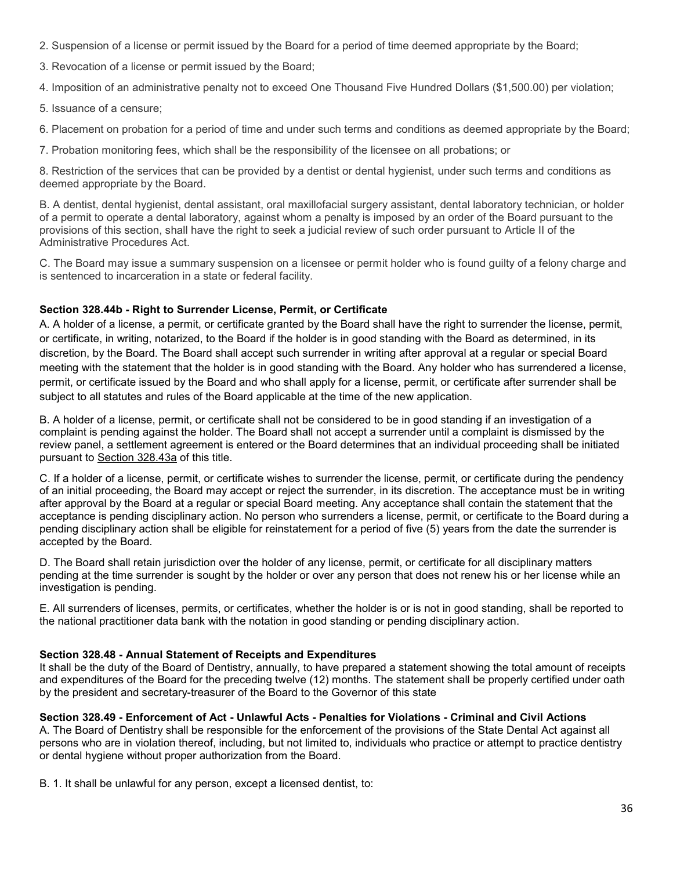- 2. Suspension of a license or permit issued by the Board for a period of time deemed appropriate by the Board;
- 3. Revocation of a license or permit issued by the Board;

4. Imposition of an administrative penalty not to exceed One Thousand Five Hundred Dollars (\$1,500.00) per violation;

5. Issuance of a censure;

6. Placement on probation for a period of time and under such terms and conditions as deemed appropriate by the Board;

7. Probation monitoring fees, which shall be the responsibility of the licensee on all probations; or

8. Restriction of the services that can be provided by a dentist or dental hygienist, under such terms and conditions as deemed appropriate by the Board.

B. A dentist, dental hygienist, dental assistant, oral maxillofacial surgery assistant, dental laboratory technician, or holder of a permit to operate a dental laboratory, against whom a penalty is imposed by an order of the Board pursuant to the provisions of this section, shall have the right to seek a judicial review of such order pursuant to Article II of the Administrative Procedures Act.

C. The Board may issue a summary suspension on a licensee or permit holder who is found guilty of a felony charge and is sentenced to incarceration in a state or federal facility.

# **Section 328.44b - Right to Surrender License, Permit, or Certificate**

A. A holder of a license, a permit, or certificate granted by the Board shall have the right to surrender the license, permit, or certificate, in writing, notarized, to the Board if the holder is in good standing with the Board as determined, in its discretion, by the Board. The Board shall accept such surrender in writing after approval at a regular or special Board meeting with the statement that the holder is in good standing with the Board. Any holder who has surrendered a license, permit, or certificate issued by the Board and who shall apply for a license, permit, or certificate after surrender shall be subject to all statutes and rules of the Board applicable at the time of the new application.

B. A holder of a license, permit, or certificate shall not be considered to be in good standing if an investigation of a complaint is pending against the holder. The Board shall not accept a surrender until a complaint is dismissed by the review panel, a settlement agreement is entered or the Board determines that an individual proceeding shall be initiated pursuant to [Section 328.43a](http://www.oscn.net/applications/oscn/DeliverDocument.asp?citeid=95508) of this title.

C. If a holder of a license, permit, or certificate wishes to surrender the license, permit, or certificate during the pendency of an initial proceeding, the Board may accept or reject the surrender, in its discretion. The acceptance must be in writing after approval by the Board at a regular or special Board meeting. Any acceptance shall contain the statement that the acceptance is pending disciplinary action. No person who surrenders a license, permit, or certificate to the Board during a pending disciplinary action shall be eligible for reinstatement for a period of five (5) years from the date the surrender is accepted by the Board.

D. The Board shall retain jurisdiction over the holder of any license, permit, or certificate for all disciplinary matters pending at the time surrender is sought by the holder or over any person that does not renew his or her license while an investigation is pending.

E. All surrenders of licenses, permits, or certificates, whether the holder is or is not in good standing, shall be reported to the national practitioner data bank with the notation in good standing or pending disciplinary action.

# **Section 328.48 - Annual Statement of Receipts and Expenditures**

It shall be the duty of the Board of Dentistry, annually, to have prepared a statement showing the total amount of receipts and expenditures of the Board for the preceding twelve (12) months. The statement shall be properly certified under oath by the president and secretary-treasurer of the Board to the Governor of this state

## **Section 328.49 - Enforcement of Act - Unlawful Acts - Penalties for Violations - Criminal and Civil Actions**

A. The Board of Dentistry shall be responsible for the enforcement of the provisions of the State Dental Act against all persons who are in violation thereof, including, but not limited to, individuals who practice or attempt to practice dentistry or dental hygiene without proper authorization from the Board.

B. 1. It shall be unlawful for any person, except a licensed dentist, to: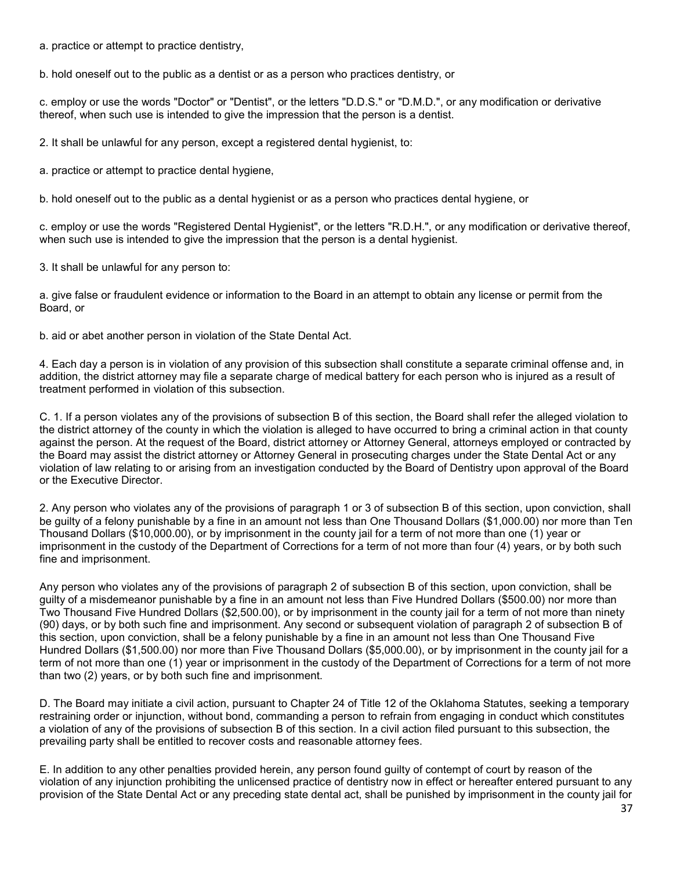a. practice or attempt to practice dentistry,

b. hold oneself out to the public as a dentist or as a person who practices dentistry, or

c. employ or use the words "Doctor" or "Dentist", or the letters "D.D.S." or "D.M.D.", or any modification or derivative thereof, when such use is intended to give the impression that the person is a dentist.

2. It shall be unlawful for any person, except a registered dental hygienist, to:

a. practice or attempt to practice dental hygiene,

b. hold oneself out to the public as a dental hygienist or as a person who practices dental hygiene, or

c. employ or use the words "Registered Dental Hygienist", or the letters "R.D.H.", or any modification or derivative thereof, when such use is intended to give the impression that the person is a dental hygienist.

3. It shall be unlawful for any person to:

a. give false or fraudulent evidence or information to the Board in an attempt to obtain any license or permit from the Board, or

b. aid or abet another person in violation of the State Dental Act.

4. Each day a person is in violation of any provision of this subsection shall constitute a separate criminal offense and, in addition, the district attorney may file a separate charge of medical battery for each person who is injured as a result of treatment performed in violation of this subsection.

C. 1. If a person violates any of the provisions of subsection B of this section, the Board shall refer the alleged violation to the district attorney of the county in which the violation is alleged to have occurred to bring a criminal action in that county against the person. At the request of the Board, district attorney or Attorney General, attorneys employed or contracted by the Board may assist the district attorney or Attorney General in prosecuting charges under the State Dental Act or any violation of law relating to or arising from an investigation conducted by the Board of Dentistry upon approval of the Board or the Executive Director.

2. Any person who violates any of the provisions of paragraph 1 or 3 of subsection B of this section, upon conviction, shall be guilty of a felony punishable by a fine in an amount not less than One Thousand Dollars (\$1,000.00) nor more than Ten Thousand Dollars (\$10,000.00), or by imprisonment in the county jail for a term of not more than one (1) year or imprisonment in the custody of the Department of Corrections for a term of not more than four (4) years, or by both such fine and imprisonment.

Any person who violates any of the provisions of paragraph 2 of subsection B of this section, upon conviction, shall be guilty of a misdemeanor punishable by a fine in an amount not less than Five Hundred Dollars (\$500.00) nor more than Two Thousand Five Hundred Dollars (\$2,500.00), or by imprisonment in the county jail for a term of not more than ninety (90) days, or by both such fine and imprisonment. Any second or subsequent violation of paragraph 2 of subsection B of this section, upon conviction, shall be a felony punishable by a fine in an amount not less than One Thousand Five Hundred Dollars (\$1,500.00) nor more than Five Thousand Dollars (\$5,000.00), or by imprisonment in the county jail for a term of not more than one (1) year or imprisonment in the custody of the Department of Corrections for a term of not more than two (2) years, or by both such fine and imprisonment.

D. The Board may initiate a civil action, pursuant to Chapter 24 of Title 12 of the Oklahoma Statutes, seeking a temporary restraining order or injunction, without bond, commanding a person to refrain from engaging in conduct which constitutes a violation of any of the provisions of subsection B of this section. In a civil action filed pursuant to this subsection, the prevailing party shall be entitled to recover costs and reasonable attorney fees.

E. In addition to any other penalties provided herein, any person found guilty of contempt of court by reason of the violation of any injunction prohibiting the unlicensed practice of dentistry now in effect or hereafter entered pursuant to any provision of the State Dental Act or any preceding state dental act, shall be punished by imprisonment in the county jail for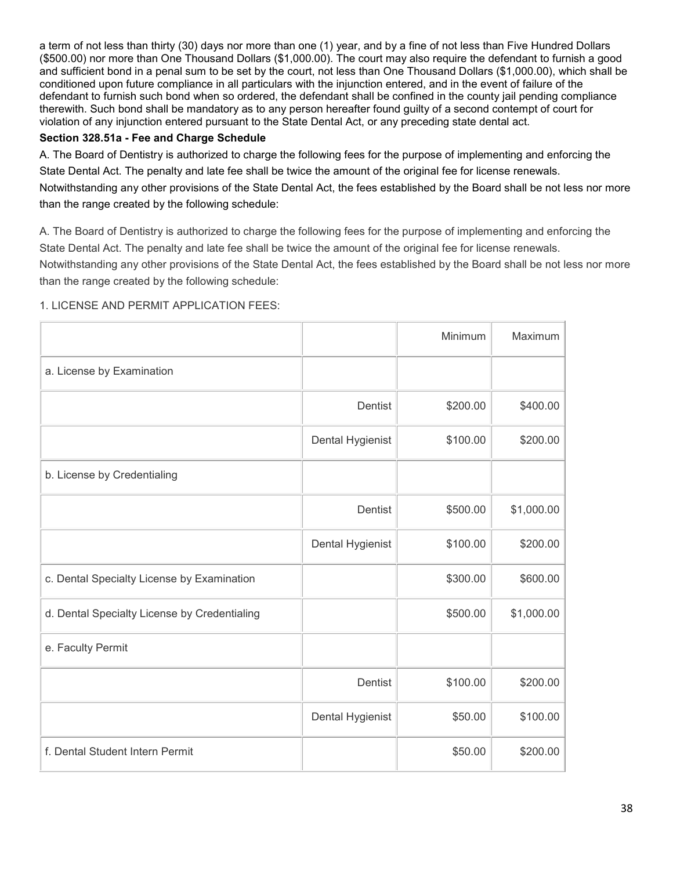a term of not less than thirty (30) days nor more than one (1) year, and by a fine of not less than Five Hundred Dollars (\$500.00) nor more than One Thousand Dollars (\$1,000.00). The court may also require the defendant to furnish a good and sufficient bond in a penal sum to be set by the court, not less than One Thousand Dollars (\$1,000.00), which shall be conditioned upon future compliance in all particulars with the injunction entered, and in the event of failure of the defendant to furnish such bond when so ordered, the defendant shall be confined in the county jail pending compliance therewith. Such bond shall be mandatory as to any person hereafter found guilty of a second contempt of court for violation of any injunction entered pursuant to the State Dental Act, or any preceding state dental act.

## **Section 328.51a - Fee and Charge Schedule**

A. The Board of Dentistry is authorized to charge the following fees for the purpose of implementing and enforcing the State Dental Act. The penalty and late fee shall be twice the amount of the original fee for license renewals. Notwithstanding any other provisions of the State Dental Act, the fees established by the Board shall be not less nor more than the range created by the following schedule:

A. The Board of Dentistry is authorized to charge the following fees for the purpose of implementing and enforcing the State Dental Act. The penalty and late fee shall be twice the amount of the original fee for license renewals.

Notwithstanding any other provisions of the State Dental Act, the fees established by the Board shall be not less nor more than the range created by the following schedule:

# 1. LICENSE AND PERMIT APPLICATION FEES:

|                                              |                  | Minimum  | Maximum    |
|----------------------------------------------|------------------|----------|------------|
| a. License by Examination                    |                  |          |            |
|                                              | Dentist          | \$200.00 | \$400.00   |
|                                              | Dental Hygienist | \$100.00 | \$200.00   |
| b. License by Credentialing                  |                  |          |            |
|                                              | <b>Dentist</b>   | \$500.00 | \$1,000.00 |
|                                              | Dental Hygienist | \$100.00 | \$200.00   |
| c. Dental Specialty License by Examination   |                  | \$300.00 | \$600.00   |
| d. Dental Specialty License by Credentialing |                  | \$500.00 | \$1,000.00 |
| e. Faculty Permit                            |                  |          |            |
|                                              | Dentist          | \$100.00 | \$200.00   |
|                                              | Dental Hygienist | \$50.00  | \$100.00   |
| f. Dental Student Intern Permit              |                  | \$50.00  | \$200.00   |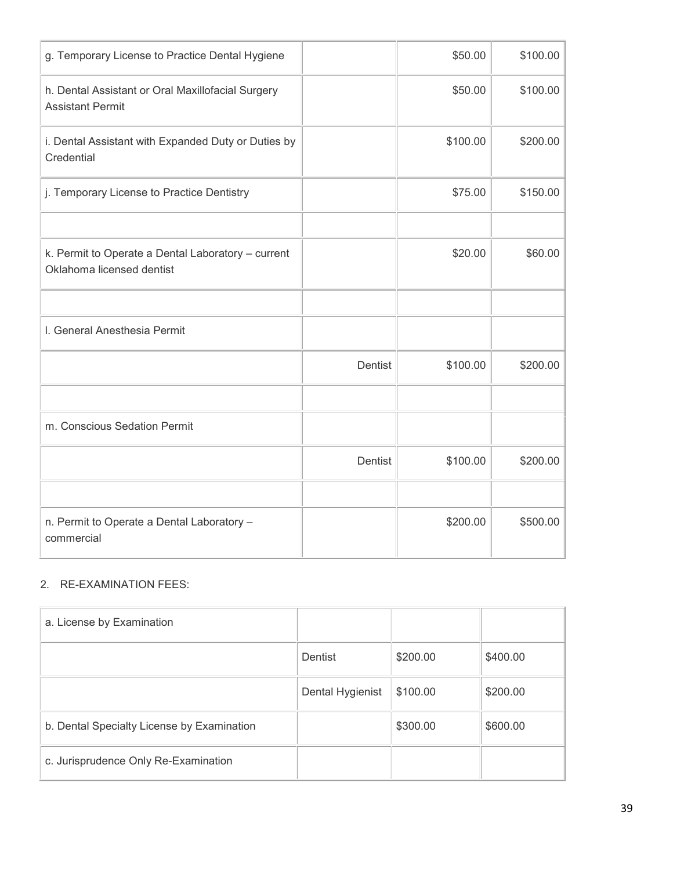| g. Temporary License to Practice Dental Hygiene                                 |         | \$50.00  | \$100.00 |
|---------------------------------------------------------------------------------|---------|----------|----------|
| h. Dental Assistant or Oral Maxillofacial Surgery<br><b>Assistant Permit</b>    |         | \$50.00  | \$100.00 |
| i. Dental Assistant with Expanded Duty or Duties by<br>Credential               |         | \$100.00 | \$200.00 |
| j. Temporary License to Practice Dentistry                                      |         | \$75.00  | \$150.00 |
|                                                                                 |         |          |          |
| k. Permit to Operate a Dental Laboratory - current<br>Oklahoma licensed dentist |         | \$20.00  | \$60.00  |
|                                                                                 |         |          |          |
| I. General Anesthesia Permit                                                    |         |          |          |
|                                                                                 | Dentist | \$100.00 | \$200.00 |
|                                                                                 |         |          |          |
| m. Conscious Sedation Permit                                                    |         |          |          |
|                                                                                 | Dentist | \$100.00 | \$200.00 |
|                                                                                 |         |          |          |
| n. Permit to Operate a Dental Laboratory -<br>commercial                        |         | \$200.00 | \$500.00 |

## 2. RE-EXAMINATION FEES:

| a. License by Examination                  |                  |          |          |
|--------------------------------------------|------------------|----------|----------|
|                                            | Dentist          | \$200.00 | \$400.00 |
|                                            | Dental Hygienist | \$100.00 | \$200.00 |
| b. Dental Specialty License by Examination |                  | \$300.00 | \$600.00 |
| c. Jurisprudence Only Re-Examination       |                  |          |          |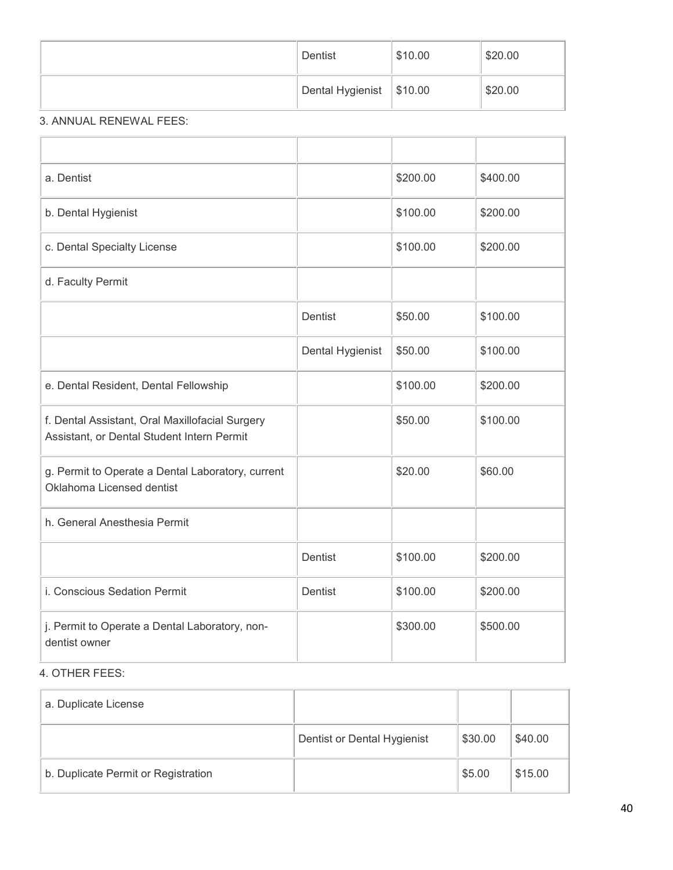| Dentist                    | \$10.00 | \$20.00 |
|----------------------------|---------|---------|
| Dental Hygienist   \$10.00 |         | \$20.00 |

# 3. ANNUAL RENEWAL FEES:

| a. Dentist                                                                                    |                  | \$200.00 | \$400.00 |
|-----------------------------------------------------------------------------------------------|------------------|----------|----------|
| b. Dental Hygienist                                                                           |                  | \$100.00 | \$200.00 |
| c. Dental Specialty License                                                                   |                  | \$100.00 | \$200.00 |
| d. Faculty Permit                                                                             |                  |          |          |
|                                                                                               | Dentist          | \$50.00  | \$100.00 |
|                                                                                               | Dental Hygienist | \$50.00  | \$100.00 |
| e. Dental Resident, Dental Fellowship                                                         |                  | \$100.00 | \$200.00 |
| f. Dental Assistant, Oral Maxillofacial Surgery<br>Assistant, or Dental Student Intern Permit |                  | \$50.00  | \$100.00 |
| g. Permit to Operate a Dental Laboratory, current<br>Oklahoma Licensed dentist                |                  | \$20.00  | \$60.00  |
| h. General Anesthesia Permit                                                                  |                  |          |          |
|                                                                                               | Dentist          | \$100.00 | \$200.00 |
| i. Conscious Sedation Permit                                                                  | <b>Dentist</b>   | \$100.00 | \$200.00 |
| j. Permit to Operate a Dental Laboratory, non-<br>dentist owner                               |                  | \$300.00 | \$500.00 |

# 4. OTHER FEES:

| a. Duplicate License                |                             |         |         |
|-------------------------------------|-----------------------------|---------|---------|
|                                     | Dentist or Dental Hygienist | \$30.00 | \$40.00 |
| b. Duplicate Permit or Registration |                             | \$5.00  | \$15.00 |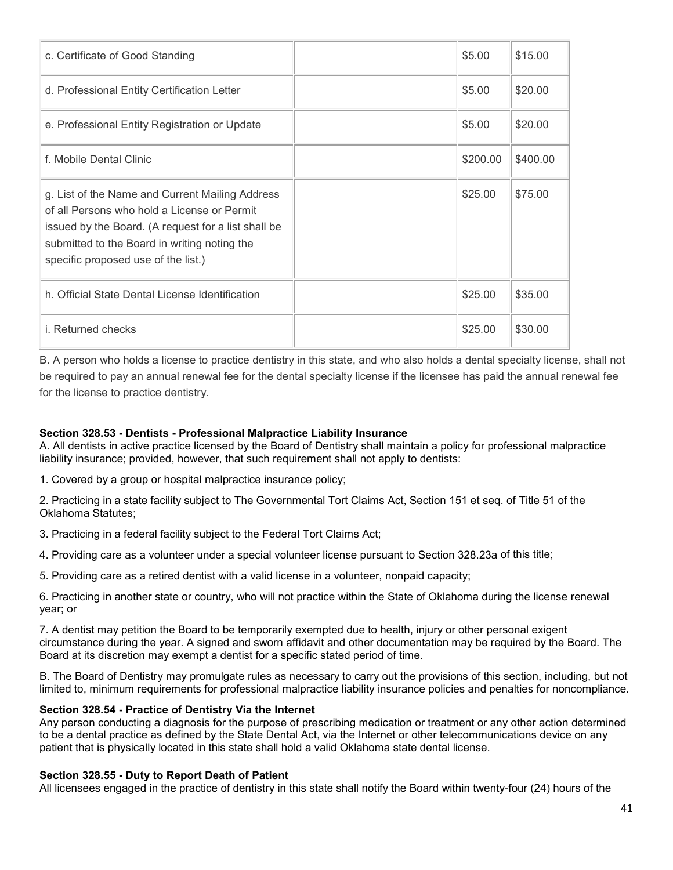| c. Certificate of Good Standing                                                                                                                                                                                                              | \$5.00   | \$15.00  |
|----------------------------------------------------------------------------------------------------------------------------------------------------------------------------------------------------------------------------------------------|----------|----------|
| d. Professional Entity Certification Letter                                                                                                                                                                                                  | \$5.00   | \$20.00  |
| e. Professional Entity Registration or Update                                                                                                                                                                                                | \$5.00   | \$20.00  |
| f. Mobile Dental Clinic                                                                                                                                                                                                                      | \$200.00 | \$400.00 |
| g. List of the Name and Current Mailing Address<br>of all Persons who hold a License or Permit<br>issued by the Board. (A request for a list shall be<br>submitted to the Board in writing noting the<br>specific proposed use of the list.) | \$25.00  | \$75.00  |
| h. Official State Dental License Identification                                                                                                                                                                                              | \$25.00  | \$35.00  |
| <i>i.</i> Returned checks                                                                                                                                                                                                                    | \$25.00  | \$30.00  |

B. A person who holds a license to practice dentistry in this state, and who also holds a dental specialty license, shall not be required to pay an annual renewal fee for the dental specialty license if the licensee has paid the annual renewal fee for the license to practice dentistry.

#### **Section 328.53 - Dentists - Professional Malpractice Liability Insurance**

A. All dentists in active practice licensed by the Board of Dentistry shall maintain a policy for professional malpractice liability insurance; provided, however, that such requirement shall not apply to dentists:

1. Covered by a group or hospital malpractice insurance policy;

2. Practicing in a state facility subject to The Governmental Tort Claims Act, Section 151 et seq. of Title 51 of the Oklahoma Statutes;

3. Practicing in a federal facility subject to the Federal Tort Claims Act;

4. Providing care as a volunteer under a special volunteer license pursuant to [Section 328.23a](http://www.oscn.net/applications/oscn/DeliverDocument.asp?citeid=436407) of this title;

5. Providing care as a retired dentist with a valid license in a volunteer, nonpaid capacity;

6. Practicing in another state or country, who will not practice within the State of Oklahoma during the license renewal year; or

7. A dentist may petition the Board to be temporarily exempted due to health, injury or other personal exigent circumstance during the year. A signed and sworn affidavit and other documentation may be required by the Board. The Board at its discretion may exempt a dentist for a specific stated period of time.

B. The Board of Dentistry may promulgate rules as necessary to carry out the provisions of this section, including, but not limited to, minimum requirements for professional malpractice liability insurance policies and penalties for noncompliance.

#### **Section 328.54 - Practice of Dentistry Via the Internet**

Any person conducting a diagnosis for the purpose of prescribing medication or treatment or any other action determined to be a dental practice as defined by the State Dental Act, via the Internet or other telecommunications device on any patient that is physically located in this state shall hold a valid Oklahoma state dental license.

#### **Section 328.55 - Duty to Report Death of Patient**

All licensees engaged in the practice of dentistry in this state shall notify the Board within twenty-four (24) hours of the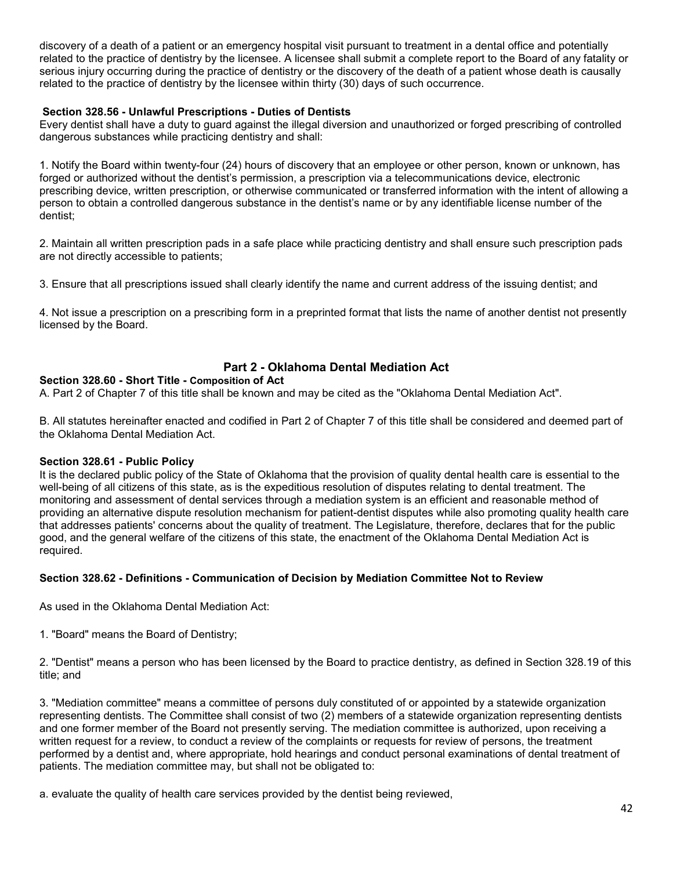discovery of a death of a patient or an emergency hospital visit pursuant to treatment in a dental office and potentially related to the practice of dentistry by the licensee. A licensee shall submit a complete report to the Board of any fatality or serious injury occurring during the practice of dentistry or the discovery of the death of a patient whose death is causally related to the practice of dentistry by the licensee within thirty (30) days of such occurrence.

## **Section 328.56 - Unlawful Prescriptions - Duties of Dentists**

Every dentist shall have a duty to guard against the illegal diversion and unauthorized or forged prescribing of controlled dangerous substances while practicing dentistry and shall:

1. Notify the Board within twenty-four (24) hours of discovery that an employee or other person, known or unknown, has forged or authorized without the dentist's permission, a prescription via a telecommunications device, electronic prescribing device, written prescription, or otherwise communicated or transferred information with the intent of allowing a person to obtain a controlled dangerous substance in the dentist's name or by any identifiable license number of the dentist;

2. Maintain all written prescription pads in a safe place while practicing dentistry and shall ensure such prescription pads are not directly accessible to patients;

3. Ensure that all prescriptions issued shall clearly identify the name and current address of the issuing dentist; and

4. Not issue a prescription on a prescribing form in a preprinted format that lists the name of another dentist not presently licensed by the Board.

# **Part 2 - Oklahoma Dental Mediation Act**

## **Section 328.60 - Short Title - Composition of Act**

A. Part 2 of Chapter 7 of this title shall be known and may be cited as the "Oklahoma Dental Mediation Act".

B. All statutes hereinafter enacted and codified in Part 2 of Chapter 7 of this title shall be considered and deemed part of the Oklahoma Dental Mediation Act.

#### **Section 328.61 - Public Policy**

It is the declared public policy of the State of Oklahoma that the provision of quality dental health care is essential to the well-being of all citizens of this state, as is the expeditious resolution of disputes relating to dental treatment. The monitoring and assessment of dental services through a mediation system is an efficient and reasonable method of providing an alternative dispute resolution mechanism for patient-dentist disputes while also promoting quality health care that addresses patients' concerns about the quality of treatment. The Legislature, therefore, declares that for the public good, and the general welfare of the citizens of this state, the enactment of the Oklahoma Dental Mediation Act is required.

## **Section 328.62 - Definitions - Communication of Decision by Mediation Committee Not to Review**

As used in the Oklahoma Dental Mediation Act:

1. "Board" means the Board of Dentistry;

2. "Dentist" means a person who has been licensed by the Board to practice dentistry, as defined in Section 328.19 of this title; and

3. "Mediation committee" means a committee of persons duly constituted of or appointed by a statewide organization representing dentists. The Committee shall consist of two (2) members of a statewide organization representing dentists and one former member of the Board not presently serving. The mediation committee is authorized, upon receiving a written request for a review, to conduct a review of the complaints or requests for review of persons, the treatment performed by a dentist and, where appropriate, hold hearings and conduct personal examinations of dental treatment of patients. The mediation committee may, but shall not be obligated to:

a. evaluate the quality of health care services provided by the dentist being reviewed,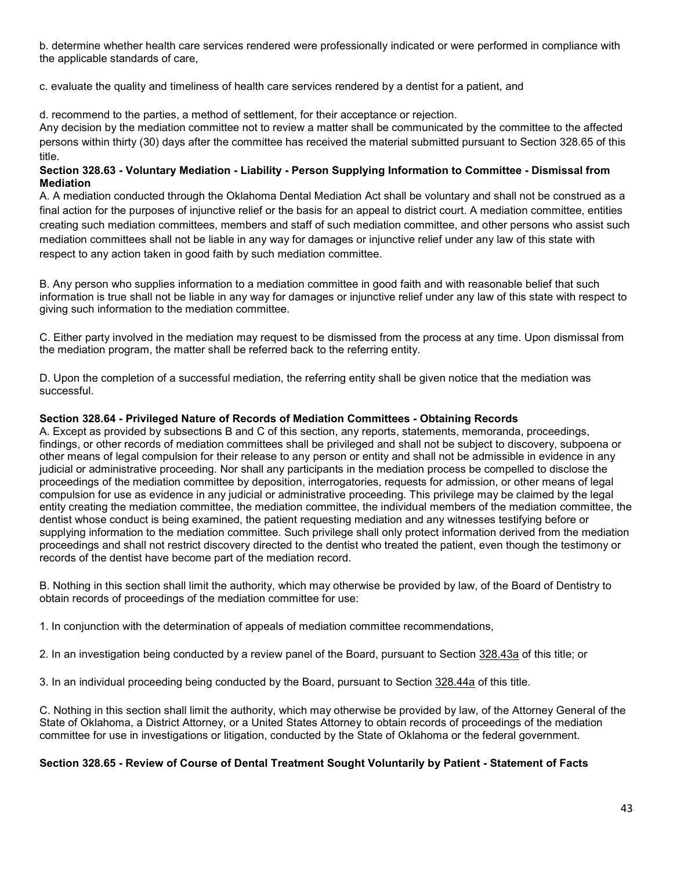b. determine whether health care services rendered were professionally indicated or were performed in compliance with the applicable standards of care,

c. evaluate the quality and timeliness of health care services rendered by a dentist for a patient, and

d. recommend to the parties, a method of settlement, for their acceptance or rejection.

Any decision by the mediation committee not to review a matter shall be communicated by the committee to the affected persons within thirty (30) days after the committee has received the material submitted pursuant to Section 328.65 of this title.

## **Section 328.63 - Voluntary Mediation - Liability - Person Supplying Information to Committee - Dismissal from Mediation**

A. A mediation conducted through the Oklahoma Dental Mediation Act shall be voluntary and shall not be construed as a final action for the purposes of injunctive relief or the basis for an appeal to district court. A mediation committee, entities creating such mediation committees, members and staff of such mediation committee, and other persons who assist such mediation committees shall not be liable in any way for damages or injunctive relief under any law of this state with respect to any action taken in good faith by such mediation committee.

B. Any person who supplies information to a mediation committee in good faith and with reasonable belief that such information is true shall not be liable in any way for damages or injunctive relief under any law of this state with respect to giving such information to the mediation committee.

C. Either party involved in the mediation may request to be dismissed from the process at any time. Upon dismissal from the mediation program, the matter shall be referred back to the referring entity.

D. Upon the completion of a successful mediation, the referring entity shall be given notice that the mediation was successful.

#### **Section 328.64 - Privileged Nature of Records of Mediation Committees - Obtaining Records**

A. Except as provided by subsections B and C of this section, any reports, statements, memoranda, proceedings, findings, or other records of mediation committees shall be privileged and shall not be subject to discovery, subpoena or other means of legal compulsion for their release to any person or entity and shall not be admissible in evidence in any judicial or administrative proceeding. Nor shall any participants in the mediation process be compelled to disclose the proceedings of the mediation committee by deposition, interrogatories, requests for admission, or other means of legal compulsion for use as evidence in any judicial or administrative proceeding. This privilege may be claimed by the legal entity creating the mediation committee, the mediation committee, the individual members of the mediation committee, the dentist whose conduct is being examined, the patient requesting mediation and any witnesses testifying before or supplying information to the mediation committee. Such privilege shall only protect information derived from the mediation proceedings and shall not restrict discovery directed to the dentist who treated the patient, even though the testimony or records of the dentist have become part of the mediation record.

B. Nothing in this section shall limit the authority, which may otherwise be provided by law, of the Board of Dentistry to obtain records of proceedings of the mediation committee for use:

1. In conjunction with the determination of appeals of mediation committee recommendations,

2. In an investigation being conducted by a review panel of the Board, pursuant to Section [328.43a](http://www.oscn.net/applications/oscn/DeliverDocument.asp?citeid=95508) of this title; or

3. In an individual proceeding being conducted by the Board, pursuant to Section [328.44a](http://www.oscn.net/applications/oscn/DeliverDocument.asp?citeid=95510) of this title.

C. Nothing in this section shall limit the authority, which may otherwise be provided by law, of the Attorney General of the State of Oklahoma, a District Attorney, or a United States Attorney to obtain records of proceedings of the mediation committee for use in investigations or litigation, conducted by the State of Oklahoma or the federal government.

#### **Section 328.65 - Review of Course of Dental Treatment Sought Voluntarily by Patient - Statement of Facts**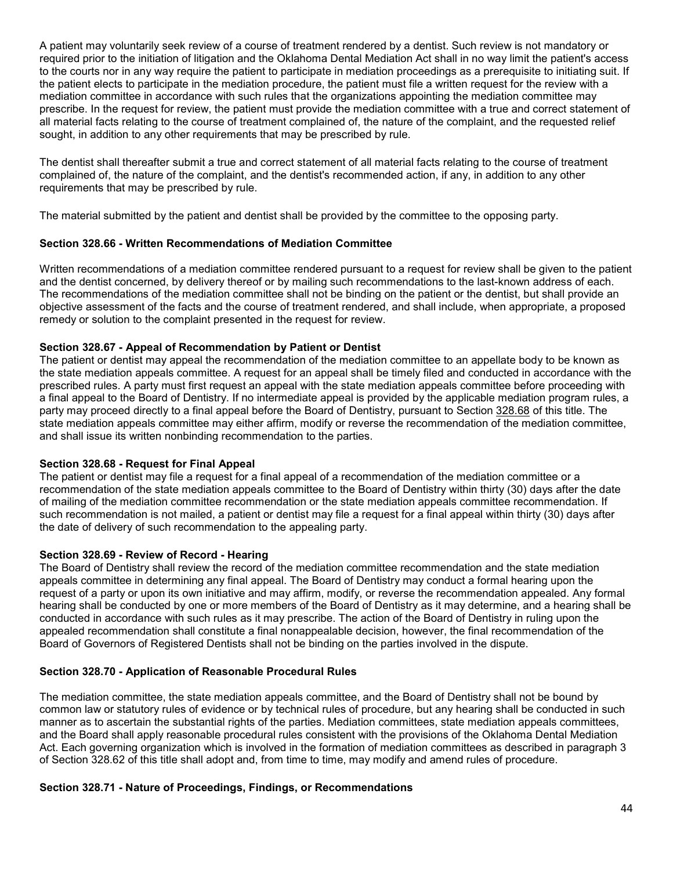A patient may voluntarily seek review of a course of treatment rendered by a dentist. Such review is not mandatory or required prior to the initiation of litigation and the Oklahoma Dental Mediation Act shall in no way limit the patient's access to the courts nor in any way require the patient to participate in mediation proceedings as a prerequisite to initiating suit. If the patient elects to participate in the mediation procedure, the patient must file a written request for the review with a mediation committee in accordance with such rules that the organizations appointing the mediation committee may prescribe. In the request for review, the patient must provide the mediation committee with a true and correct statement of all material facts relating to the course of treatment complained of, the nature of the complaint, and the requested relief sought, in addition to any other requirements that may be prescribed by rule.

The dentist shall thereafter submit a true and correct statement of all material facts relating to the course of treatment complained of, the nature of the complaint, and the dentist's recommended action, if any, in addition to any other requirements that may be prescribed by rule.

The material submitted by the patient and dentist shall be provided by the committee to the opposing party.

## **Section 328.66 - Written Recommendations of Mediation Committee**

Written recommendations of a mediation committee rendered pursuant to a request for review shall be given to the patient and the dentist concerned, by delivery thereof or by mailing such recommendations to the last-known address of each. The recommendations of the mediation committee shall not be binding on the patient or the dentist, but shall provide an objective assessment of the facts and the course of treatment rendered, and shall include, when appropriate, a proposed remedy or solution to the complaint presented in the request for review.

#### **Section 328.67 - Appeal of Recommendation by Patient or Dentist**

The patient or dentist may appeal the recommendation of the mediation committee to an appellate body to be known as the state mediation appeals committee. A request for an appeal shall be timely filed and conducted in accordance with the prescribed rules. A party must first request an appeal with the state mediation appeals committee before proceeding with a final appeal to the Board of Dentistry. If no intermediate appeal is provided by the applicable mediation program rules, a party may proceed directly to a final appeal before the Board of Dentistry, pursuant to Section [328.68](http://www.oscn.net/applications/oscn/DeliverDocument.asp?citeid=95528) of this title. The state mediation appeals committee may either affirm, modify or reverse the recommendation of the mediation committee, and shall issue its written nonbinding recommendation to the parties.

#### **Section 328.68 - Request for Final Appeal**

The patient or dentist may file a request for a final appeal of a recommendation of the mediation committee or a recommendation of the state mediation appeals committee to the Board of Dentistry within thirty (30) days after the date of mailing of the mediation committee recommendation or the state mediation appeals committee recommendation. If such recommendation is not mailed, a patient or dentist may file a request for a final appeal within thirty (30) days after the date of delivery of such recommendation to the appealing party.

## **Section 328.69 - Review of Record - Hearing**

The Board of Dentistry shall review the record of the mediation committee recommendation and the state mediation appeals committee in determining any final appeal. The Board of Dentistry may conduct a formal hearing upon the request of a party or upon its own initiative and may affirm, modify, or reverse the recommendation appealed. Any formal hearing shall be conducted by one or more members of the Board of Dentistry as it may determine, and a hearing shall be conducted in accordance with such rules as it may prescribe. The action of the Board of Dentistry in ruling upon the appealed recommendation shall constitute a final nonappealable decision, however, the final recommendation of the Board of Governors of Registered Dentists shall not be binding on the parties involved in the dispute.

## **Section 328.70 - Application of Reasonable Procedural Rules**

The mediation committee, the state mediation appeals committee, and the Board of Dentistry shall not be bound by common law or statutory rules of evidence or by technical rules of procedure, but any hearing shall be conducted in such manner as to ascertain the substantial rights of the parties. Mediation committees, state mediation appeals committees, and the Board shall apply reasonable procedural rules consistent with the provisions of the Oklahoma Dental Mediation Act. Each governing organization which is involved in the formation of mediation committees as described in paragraph 3 of Section 328.62 of this title shall adopt and, from time to time, may modify and amend rules of procedure.

#### **Section 328.71 - Nature of Proceedings, Findings, or Recommendations**